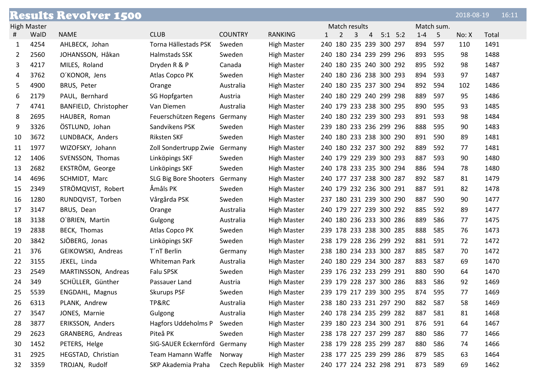|    |                    | <b>Results Revolver 1500</b> |                       |                            |                    |              |                         |   |   |             |         |            | 2018-08-19 |       | 16:11 |
|----|--------------------|------------------------------|-----------------------|----------------------------|--------------------|--------------|-------------------------|---|---|-------------|---------|------------|------------|-------|-------|
|    | <b>High Master</b> |                              |                       |                            |                    |              | Match results           |   |   |             |         | Match sum. |            |       |       |
| #  | WalD               | <b>NAME</b>                  | <b>CLUB</b>           | <b>COUNTRY</b>             | <b>RANKING</b>     | $\mathbf{1}$ | 2                       | 3 | 4 | $5:1$ $5:2$ | $1 - 4$ | 5          | No: X      | Total |       |
| 1  | 4254               | AHLBECK, Johan               | Torna Hällestads PSK  | Sweden                     | <b>High Master</b> |              | 240 180 235 239 300 297 |   |   |             | 894     | 597        | 110        | 1491  |       |
| 2  | 2560               | JOHANSSON, Håkan             | Halmstads SSK         | Sweden                     | <b>High Master</b> |              | 240 180 234 239 299 296 |   |   |             | 893     | 595        | 98         | 1488  |       |
| 3  | 4217               | MILES, Roland                | Dryden R & P          | Canada                     | <b>High Master</b> |              | 240 180 235 240 300 292 |   |   |             | 895     | 592        | 98         | 1487  |       |
| 4  | 3762               | O'KONOR, Jens                | Atlas Copco PK        | Sweden                     | <b>High Master</b> |              | 240 180 236 238 300 293 |   |   |             | 894     | 593        | 97         | 1487  |       |
| 5  | 4900               | BRUS, Peter                  | Orange                | Australia                  | <b>High Master</b> |              | 240 180 235 237 300 294 |   |   |             | 892     | 594        | 102        | 1486  |       |
| 6  | 2179               | PAUL, Bernhard               | <b>SG Hopfgarten</b>  | Austria                    | <b>High Master</b> |              | 240 180 229 240 299 298 |   |   |             | 889     | 597        | 95         | 1486  |       |
| 7  | 4741               | BANFIELD, Christopher        | Van Diemen            | Australia                  | <b>High Master</b> |              | 240 179 233 238 300 295 |   |   |             | 890     | 595        | 93         | 1485  |       |
| 8  | 2695               | HAUBER, Roman                | Feuerschützen Regens  | Germany                    | <b>High Master</b> |              | 240 180 232 239 300 293 |   |   |             | 891     | 593        | 98         | 1484  |       |
| 9  | 3326               | ÖSTLUND, Johan               | Sandvikens PSK        | Sweden                     | <b>High Master</b> |              | 239 180 233 236 299 296 |   |   |             | 888     | 595        | 90         | 1483  |       |
| 10 | 3672               | LUNDBACK, Anders             | <b>Riksten SKF</b>    | Sweden                     | <b>High Master</b> |              | 240 180 233 238 300 290 |   |   |             | 891     | 590        | 89         | 1481  |       |
| 11 | 1977               | WIZOFSKY, Johann             | Zoll Sondertrupp Zwie | Germany                    | <b>High Master</b> |              | 240 180 232 237 300 292 |   |   |             | 889     | 592        | 77         | 1481  |       |
| 12 | 1406               | SVENSSON, Thomas             | Linköpings SKF        | Sweden                     | <b>High Master</b> |              | 240 179 229 239 300 293 |   |   |             | 887     | 593        | 90         | 1480  |       |
| 13 | 2682               | EKSTRÖM, George              | Linköpings SKF        | Sweden                     | <b>High Master</b> |              | 240 178 233 235 300 294 |   |   |             | 886     | 594        | 78         | 1480  |       |
| 14 | 4696               | SCHMIDT, Marc                | SLG Big Bore Shooters | Germany                    | <b>High Master</b> |              | 240 177 237 238 300 287 |   |   |             | 892     | 587        | 81         | 1479  |       |
| 15 | 2349               | STRÖMQVIST, Robert           | Åmåls PK              | Sweden                     | <b>High Master</b> |              | 240 179 232 236 300 291 |   |   |             | 887     | 591        | 82         | 1478  |       |
| 16 | 1280               | RUNDQVIST, Torben            | Vårgårda PSK          | Sweden                     | <b>High Master</b> |              | 237 180 231 239 300 290 |   |   |             | 887     | 590        | 90         | 1477  |       |
| 17 | 3147               | BRUS, Dean                   | Orange                | Australia                  | <b>High Master</b> |              | 240 179 227 239 300 292 |   |   |             | 885     | 592        | 89         | 1477  |       |
| 18 | 3138               | O'BRIEN, Martin              | Gulgong               | Australia                  | <b>High Master</b> |              | 240 180 236 233 300 286 |   |   |             | 889     | 586        | 77         | 1475  |       |
| 19 | 2838               | BECK, Thomas                 | Atlas Copco PK        | Sweden                     | <b>High Master</b> |              | 239 178 233 238 300 285 |   |   |             | 888     | 585        | 76         | 1473  |       |
| 20 | 3842               | SJÖBERG, Jonas               | Linköpings SKF        | Sweden                     | <b>High Master</b> |              | 238 179 228 236 299 292 |   |   |             | 881     | 591        | 72         | 1472  |       |
| 21 | 376                | GEIKOWSKI, Andreas           | T'nT Berlin           | Germany                    | <b>High Master</b> |              | 238 180 234 233 300 287 |   |   |             | 885     | 587        | 70         | 1472  |       |
| 22 | 3155               | JEKEL, Linda                 | Whiteman Park         | Australia                  | <b>High Master</b> |              | 240 180 229 234 300 287 |   |   |             | 883     | 587        | 69         | 1470  |       |
| 23 | 2549               | MARTINSSON, Andreas          | Falu SPSK             | Sweden                     | <b>High Master</b> |              | 239 176 232 233 299 291 |   |   |             | 880     | 590        | 64         | 1470  |       |
| 24 | 349                | SCHÜLLER, Günther            | Passauer Land         | Austria                    | <b>High Master</b> |              | 239 179 228 237 300 286 |   |   |             | 883     | 586        | 92         | 1469  |       |
| 25 | 5539               | ENGDAHL, Magnus              | <b>Skurups PSF</b>    | Sweden                     | <b>High Master</b> |              | 239 179 217 239 300 295 |   |   |             | 874     | 595        | 77         | 1469  |       |
| 26 | 6313               | PLANK, Andrew                | TP&RC                 | Australia                  | <b>High Master</b> |              | 238 180 233 231 297 290 |   |   |             | 882     | 587        | 58         | 1469  |       |
| 27 | 3547               | JONES, Marnie                | Gulgong               | Australia                  | <b>High Master</b> |              | 240 178 234 235 299 282 |   |   |             | 887     | 581        | 81         | 1468  |       |
| 28 | 3877               | ERIKSSON, Anders             | Hagfors Uddeholms P   | Sweden                     | <b>High Master</b> |              | 239 180 223 234 300 291 |   |   |             | 876     | 591        | 64         | 1467  |       |
| 29 | 2623               | GRANBERG, Andreas            | Piteå PK              | Sweden                     | <b>High Master</b> |              | 238 178 227 237 299 287 |   |   |             | 880     | 586        | 77         | 1466  |       |
| 30 | 1452               | PETERS, Helge                | SIG-SAUER Eckernförd  | Germany                    | <b>High Master</b> |              | 238 179 228 235 299 287 |   |   |             | 880     | 586        | 74         | 1466  |       |
| 31 | 2925               | HEGSTAD, Christian           | Team Hamann Waffe     | Norway                     | <b>High Master</b> |              | 238 177 225 239 299 286 |   |   |             | 879     | 585        | 63         | 1464  |       |
| 32 | 3359               | TROJAN, Rudolf               | SKP Akademia Praha    | Czech Republik High Master |                    |              | 240 177 224 232 298 291 |   |   |             | 873 589 |            | 69         | 1462  |       |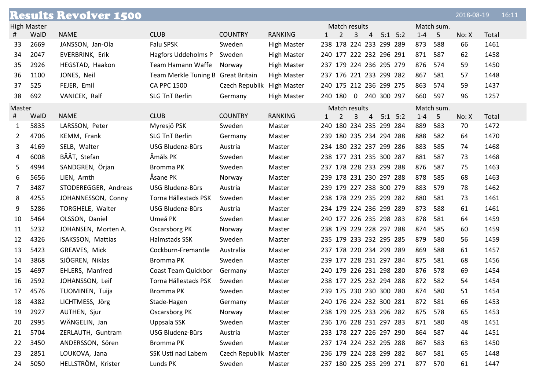|        |                    | <b>Results Revolver 1500</b> |                                    |                            |                    |           |                         |                |                |             |         |             | 2018-08-19 |       | 16:11 |
|--------|--------------------|------------------------------|------------------------------------|----------------------------|--------------------|-----------|-------------------------|----------------|----------------|-------------|---------|-------------|------------|-------|-------|
|        | <b>High Master</b> |                              |                                    |                            |                    |           | Match results           |                |                |             |         | Match sum.  |            |       |       |
| #      | WalD               | <b>NAME</b>                  | <b>CLUB</b>                        | <b>COUNTRY</b>             | <b>RANKING</b>     | $1 \quad$ | 2                       | 3              | $\overline{4}$ | $5:1$ $5:2$ | $1 - 4$ | $-5$        | No: X      | Total |       |
| 33     | 2669               | JANSSON, Jan-Ola             | Falu SPSK                          | Sweden                     | <b>High Master</b> |           | 238 178 224 233 299 289 |                |                |             | 873     | 588         | 66         | 1461  |       |
| 34     | 2047               | EVERBRINK, Erik              | Hagfors Uddeholms P                | Sweden                     | <b>High Master</b> |           | 240 177 222 232 296 291 |                |                |             | 871     | 587         | 62         | 1458  |       |
| 35     | 2926               | HEGSTAD, Haakon              | Team Hamann Waffe                  | Norway                     | <b>High Master</b> |           | 237 179 224 236 295 279 |                |                |             | 876     | 574         | 59         | 1450  |       |
| 36     | 1100               | JONES, Neil                  | Team Merkle Tuning B Great Britain |                            | <b>High Master</b> |           | 237 176 221 233 299 282 |                |                |             | 867     | 581         | 57         | 1448  |       |
| 37     | 525                | FEJER, Emil                  | <b>CA PPC 1500</b>                 | Czech Republik High Master |                    |           | 240 175 212 236 299 275 |                |                |             | 863     | 574         | 59         | 1437  |       |
| 38     | 692                | VANICEK, Ralf                | <b>SLG TnT Berlin</b>              | Germany                    | <b>High Master</b> |           | 240 180 0 240 300 297   |                |                |             | 660     | 597         | 96         | 1257  |       |
| Master |                    |                              |                                    |                            |                    |           | Match results           |                |                |             |         | Match sum.  |            |       |       |
| #      | WalD               | <b>NAME</b>                  | <b>CLUB</b>                        | <b>COUNTRY</b>             | <b>RANKING</b>     | $1 \quad$ | $\overline{2}$          | $\overline{3}$ | $\overline{4}$ | $5:1$ $5:2$ | $1 - 4$ | $5^{\circ}$ | No: X      | Total |       |
| 1      | 5835               | LARSSON, Peter               | Myresjö PSK                        | Sweden                     | Master             |           | 240 180 234 235 299 284 |                |                |             | 889     | 583         | 70         | 1472  |       |
| 2      | 4706               | KEMM, Frank                  | <b>SLG TnT Berlin</b>              | Germany                    | Master             |           | 239 180 235 234 294 288 |                |                |             | 888     | 582         | 64         | 1470  |       |
| 3      | 4169               | SELB, Walter                 | USG Bludenz-Bürs                   | Austria                    | Master             |           | 234 180 232 237 299 286 |                |                |             | 883     | 585         | 74         | 1468  |       |
| 4      | 6008               | BÅÅT, Stefan                 | Åmåls PK                           | Sweden                     | Master             |           | 238 177 231 235 300 287 |                |                |             | 881     | 587         | 73         | 1468  |       |
| 5      | 4994               | SANDGREN, Örjan              | Bromma PK                          | Sweden                     | Master             |           | 237 178 228 233 299 288 |                |                |             | 876     | 587         | 75         | 1463  |       |
| 6      | 5656               | LIEN, Arnth                  | Åsane PK                           | Norway                     | Master             |           | 239 178 231 230 297 288 |                |                |             | 878     | 585         | 68         | 1463  |       |
| 7      | 3487               | STODEREGGER, Andreas         | USG Bludenz-Bürs                   | Austria                    | Master             |           | 239 179 227 238 300 279 |                |                |             | 883     | 579         | 78         | 1462  |       |
| 8      | 4255               | JOHANNESSON, Conny           | Torna Hällestads PSK               | Sweden                     | Master             |           | 238 178 229 235 299 282 |                |                |             | 880     | 581         | 73         | 1461  |       |
| 9      | 5286               | TORGHELE, Walter             | USG Bludenz-Bürs                   | Austria                    | Master             |           | 234 179 224 236 299 289 |                |                |             | 873     | 588         | 61         | 1461  |       |
| 10     | 5464               | OLSSON, Daniel               | Umeå PK                            | Sweden                     | Master             |           | 240 177 226 235 298 283 |                |                |             | 878     | 581         | 64         | 1459  |       |
| 11     | 5232               | JOHANSEN, Morten A.          | Oscarsborg PK                      | Norway                     | Master             |           | 238 179 229 228 297 288 |                |                |             | 874     | 585         | 60         | 1459  |       |
| 12     | 4326               | ISAKSSON, Mattias            | Halmstads SSK                      | Sweden                     | Master             |           | 235 179 233 232 295 285 |                |                |             | 879     | 580         | 56         | 1459  |       |
| 13     | 5423               | GREAVES, Mick                | Cockburn-Fremantle                 | Australia                  | Master             |           | 237 178 220 234 299 289 |                |                |             | 869     | 588         | 61         | 1457  |       |
| 14     | 3868               | SJÖGREN, Niklas              | Bromma PK                          | Sweden                     | Master             |           | 239 177 228 231 297 284 |                |                |             | 875     | 581         | 68         | 1456  |       |
| 15     | 4697               | EHLERS, Manfred              | Coast Team Quickbor                | Germany                    | Master             |           | 240 179 226 231 298 280 |                |                |             | 876     | 578         | 69         | 1454  |       |
| 16     | 2592               | JOHANSSON, Leif              | Torna Hällestads PSK               | Sweden                     | Master             |           | 238 177 225 232 294 288 |                |                |             | 872     | 582         | 54         | 1454  |       |
| 17     | 4576               | TUOMINEN, Tuija              | Bromma PK                          | Sweden                     | Master             |           | 239 175 230 230 300 280 |                |                |             | 874     | 580         | 51         | 1454  |       |
| 18     | 4382               | LICHTMESS, Jörg              | Stade-Hagen                        | Germany                    | Master             |           | 240 176 224 232 300 281 |                |                |             | 872 581 |             | 66         | 1453  |       |
| 19     | 2927               | AUTHEN, Sjur                 | Oscarsborg PK                      | Norway                     | Master             |           | 238 179 225 233 296 282 |                |                |             | 875     | 578         | 65         | 1453  |       |
| 20     | 2995               | WÄNGELIN, Jan                | Uppsala SSK                        | Sweden                     | Master             |           | 236 176 228 231 297 283 |                |                |             | 871     | 580         | 48         | 1451  |       |
| 21     | 5704               | ZERLAUTH, Guntram            | USG Bludenz-Bürs                   | Austria                    | Master             |           | 233 178 227 226 297 290 |                |                |             | 864     | 587         | 44         | 1451  |       |
| 22     | 3450               | ANDERSSON, Sören             | Bromma PK                          | Sweden                     | Master             |           | 237 174 224 232 295 288 |                |                |             | 867     | 583         | 63         | 1450  |       |
| 23     | 2851               | LOUKOVA, Jana                | SSK Usti nad Labem                 | Czech Republik Master      |                    |           | 236 179 224 228 299 282 |                |                |             | 867     | 581         | 65         | 1448  |       |
| 24     | 5050               | HELLSTRÖM, Krister           | Lunds PK                           | Sweden                     | Master             |           | 237 180 225 235 299 271 |                |                |             | 877 570 |             | 61         | 1447  |       |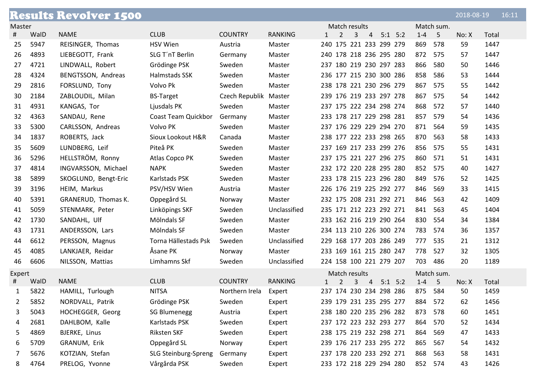|                |      | <b>Results Revolver 1500</b> |                      |                       |                |   |                |   |                |                         |                         |         |            | 2018-08-19 |       | 16:11 |
|----------------|------|------------------------------|----------------------|-----------------------|----------------|---|----------------|---|----------------|-------------------------|-------------------------|---------|------------|------------|-------|-------|
| Master         |      |                              |                      |                       |                |   | Match results  |   |                |                         |                         |         | Match sum. |            |       |       |
| #              | WalD | <b>NAME</b>                  | <b>CLUB</b>          | <b>COUNTRY</b>        | <b>RANKING</b> |   | $\overline{2}$ | 3 | $\overline{4}$ | $5:1$ $5:2$             |                         | $1 - 4$ | 5          | No: X      | Total |       |
| 25             | 5947 | REISINGER, Thomas            | <b>HSV Wien</b>      | Austria               | Master         |   |                |   |                | 240 175 221 233 299 279 |                         | 869     | 578        | 59         | 1447  |       |
| 26             | 4893 | LIEBEGOTT, Frank             | SLG T'nT Berlin      | Germany               | Master         |   |                |   |                | 240 178 218 236 295 280 |                         | 872     | 575        | 57         | 1447  |       |
| 27             | 4721 | LINDWALL, Robert             | Grödinge PSK         | Sweden                | Master         |   |                |   |                | 237 180 219 230 297 283 |                         | 866     | 580        | 50         | 1446  |       |
| 28             | 4324 | BENGTSSON, Andreas           | Halmstads SSK        | Sweden                | Master         |   |                |   |                | 236 177 215 230 300 286 |                         | 858     | 586        | 53         | 1444  |       |
| 29             | 2816 | FORSLUND, Tony               | Volvo Pk             | Sweden                | Master         |   |                |   |                | 238 178 221 230 296 279 |                         | 867     | 575        | 55         | 1442  |       |
| 30             | 2184 | ZABLOUDIL, Milan             | <b>BS-Target</b>     | Czech Republik Master |                |   |                |   |                | 239 176 219 233 297 278 |                         | 867     | 575        | 54         | 1442  |       |
| 31             | 4931 | KANGAS, Tor                  | Ljusdals PK          | Sweden                | Master         |   |                |   |                | 237 175 222 234 298 274 |                         | 868     | 572        | 57         | 1440  |       |
| 32             | 4363 | SANDAU, Rene                 | Coast Team Quickbor  | Germany               | Master         |   |                |   |                | 233 178 217 229 298 281 |                         | 857     | 579        | 54         | 1436  |       |
| 33             | 5300 | CARLSSON, Andreas            | Volvo PK             | Sweden                | Master         |   |                |   |                | 237 176 229 229 294 270 |                         | 871     | 564        | 59         | 1435  |       |
| 34             | 1837 | ROBERTS, Jack                | Sioux Lookout H&R    | Canada                | Master         |   |                |   |                | 238 177 222 233 298 265 |                         | 870     | 563        | 58         | 1433  |       |
| 35             | 5609 | LUNDBERG, Leif               | Piteå PK             | Sweden                | Master         |   |                |   |                | 237 169 217 233 299 276 |                         | 856     | 575        | 55         | 1431  |       |
| 36             | 5296 | HELLSTRÖM, Ronny             | Atlas Copco PK       | Sweden                | Master         |   |                |   |                | 237 175 221 227 296 275 |                         | 860     | 571        | 51         | 1431  |       |
| 37             | 4814 | INGVARSSON, Michael          | <b>NAPK</b>          | Sweden                | Master         |   |                |   |                | 232 172 220 228 295 280 |                         | 852     | 575        | 40         | 1427  |       |
| 38             | 5899 | SKOGLUND, Bengt-Eric         | Karlstads PSK        | Sweden                | Master         |   |                |   |                | 233 178 215 223 296 280 |                         | 849     | 576        | 52         | 1425  |       |
| 39             | 3196 | HEIM, Markus                 | PSV/HSV Wien         | Austria               | Master         |   |                |   |                | 226 176 219 225 292 277 |                         | 846     | 569        | 33         | 1415  |       |
| 40             | 5391 | GRANERUD, Thomas K.          | Oppegård SL          | Norway                | Master         |   |                |   |                | 232 175 208 231 292 271 |                         | 846     | 563        | 42         | 1409  |       |
| 41             | 5059 | STENMARK, Peter              | Linköpings SKF       | Sweden                | Unclassified   |   |                |   |                | 235 171 212 223 292 271 |                         | 841     | 563        | 45         | 1404  |       |
| 42             | 1730 | SANDAHL, Ulf                 | Mölndals SF          | Sweden                | Master         |   |                |   |                | 233 162 216 219 290 264 |                         | 830     | 554        | 34         | 1384  |       |
| 43             | 1731 | ANDERSSON, Lars              | Mölndals SF          | Sweden                | Master         |   |                |   |                | 234 113 210 226 300 274 |                         | 783     | 574        | 36         | 1357  |       |
| 44             | 6612 | PERSSON, Magnus              | Torna Hällestads Psk | Sweden                | Unclassified   |   |                |   |                | 229 168 177 203 286 249 |                         | 777     | 535        | 21         | 1312  |       |
| 45             | 4085 | LANKJAER, Reidar             | Åsane PK             | Norway                | Master         |   |                |   |                | 233 169 161 215 280 247 |                         | 778     | 527        | 32         | 1305  |       |
| 46             | 6606 | NILSSON, Mattias             | Limhamns Skf         | Sweden                | Unclassified   |   |                |   |                | 224 158 100 221 279 207 |                         | 703     | 486        | 20         | 1189  |       |
| Expert         |      |                              |                      |                       |                |   | Match results  |   |                |                         |                         |         | Match sum. |            |       |       |
| #              | WalD | <b>NAME</b>                  | <b>CLUB</b>          | <b>COUNTRY</b>        | <b>RANKING</b> | 1 | 2              | 3 | $\overline{4}$ | $5:1$ $5:2$             |                         | $1 - 4$ | $-5$       | No: X      | Total |       |
| 1              | 5822 | HAMILL, Turlough             | <b>NITSA</b>         | Northern Irela        | Expert         |   |                |   |                | 237 174 230 234 298 286 |                         | 875     | 584        | 50         | 1459  |       |
| $\overline{2}$ | 5852 | NORDVALL, Patrik             | Grödinge PSK         | Sweden                | Expert         |   |                |   |                |                         | 239 179 231 235 295 277 | 884 572 |            | 62         | 1456  |       |
| 3              | 5043 | HOCHEGGER, Georg             | <b>SG Blumenegg</b>  | Austria               | Expert         |   |                |   |                | 238 180 220 235 296 282 |                         | 873     | 578        | 60         | 1451  |       |
| 4              | 2681 | DAHLBOM, Kalle               | Karlstads PSK        | Sweden                | Expert         |   |                |   |                | 237 172 223 232 293 277 |                         | 864     | 570        | 52         | 1434  |       |
| 5              | 4869 | BJERKE, Linus                | Riksten SKF          | Sweden                | Expert         |   |                |   |                | 238 175 219 232 298 271 |                         | 864     | 569        | 47         | 1433  |       |
| 6              | 5709 | GRANUM, Erik                 | Oppegård SL          | Norway                | Expert         |   |                |   |                | 239 176 217 233 295 272 |                         | 865     | 567        | 54         | 1432  |       |
| 7              | 5676 | KOTZIAN, Stefan              | SLG Steinburg-Spreng | Germany               | Expert         |   |                |   |                | 237 178 220 233 292 271 |                         | 868     | 563        | 58         | 1431  |       |
| 8              | 4764 | PRELOG, Yvonne               | Vårgårda PSK         | Sweden                | Expert         |   |                |   |                | 233 172 218 229 294 280 |                         | 852 574 |            | 43         | 1426  |       |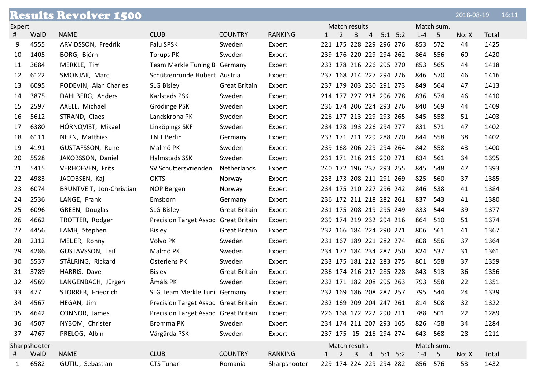|        |              | <b>Results Revolver 1500</b> |                                      |                      |                |           |                |              |                |                         |         |            | 2018-08-19 |       | 16:11 |
|--------|--------------|------------------------------|--------------------------------------|----------------------|----------------|-----------|----------------|--------------|----------------|-------------------------|---------|------------|------------|-------|-------|
| Expert |              |                              |                                      |                      |                |           | Match results  |              |                |                         |         | Match sum. |            |       |       |
| #      | WalD         | <b>NAME</b>                  | <b>CLUB</b>                          | <b>COUNTRY</b>       | <b>RANKING</b> | 1         | $\overline{2}$ | 3            | $\overline{4}$ | $5:1$ $5:2$             | $1 - 4$ | $-5$       | No: X      | Total |       |
| 9      | 4555         | ARVIDSSON, Fredrik           | Falu SPSK                            | Sweden               | Expert         |           |                |              |                | 221 175 228 229 296 276 | 853     | 572        | 44         | 1425  |       |
| 10     | 1405         | BORG, Björn                  | <b>Torups PK</b>                     | Sweden               | Expert         |           |                |              |                | 239 176 220 229 294 262 | 864     | 556        | 60         | 1420  |       |
| 11     | 3684         | MERKLE, Tim                  | Team Merkle Tuning B Germany         |                      | Expert         |           |                |              |                | 233 178 216 226 295 270 | 853     | 565        | 44         | 1418  |       |
| 12     | 6122         | SMONJAK, Marc                | Schützenrunde Hubert Austria         |                      | Expert         |           |                |              |                | 237 168 214 227 294 276 | 846     | 570        | 46         | 1416  |       |
| 13     | 6095         | PODEVIN, Alan Charles        | <b>SLG Bisley</b>                    | <b>Great Britain</b> | Expert         |           |                |              |                | 237 179 203 230 291 273 | 849     | 564        | 47         | 1413  |       |
| 14     | 3875         | DAHLBERG, Anders             | Karlstads PSK                        | Sweden               | Expert         |           |                |              |                | 214 177 227 218 296 278 | 836     | 574        | 46         | 1410  |       |
| 15     | 2597         | AXELL, Michael               | Grödinge PSK                         | Sweden               | Expert         |           |                |              |                | 236 174 206 224 293 276 | 840     | 569        | 44         | 1409  |       |
| 16     | 5612         | STRAND, Claes                | Landskrona PK                        | Sweden               | Expert         |           |                |              |                | 226 177 213 229 293 265 | 845     | 558        | 51         | 1403  |       |
| 17     | 6380         | HÖRNQVIST, Mikael            | Linköpings SKF                       | Sweden               | Expert         |           |                |              |                | 234 178 193 226 294 277 | 831     | 571        | 47         | 1402  |       |
| 18     | 6111         | NERN, Matthias               | TN T Berlin                          | Germany              | Expert         |           |                |              |                | 233 171 211 229 288 270 | 844     | 558        | 38         | 1402  |       |
| 19     | 4191         | GUSTAFSSON, Rune             | Malmö PK                             | Sweden               | Expert         |           |                |              |                | 239 168 206 229 294 264 | 842     | 558        | 43         | 1400  |       |
| 20     | 5528         | JAKOBSSON, Daniel            | Halmstads SSK                        | Sweden               | Expert         |           |                |              |                | 231 171 216 216 290 271 | 834     | 561        | 34         | 1395  |       |
| 21     | 5415         | <b>VERHOEVEN, Frits</b>      | SV Schuttersvrienden                 | Netherlands          | Expert         |           |                |              |                | 240 172 196 237 293 255 | 845     | 548        | 47         | 1393  |       |
| 22     | 4983         | JACOBSEN, Kaj                | <b>OKTS</b>                          | Norway               | Expert         |           |                |              |                | 233 173 208 211 291 269 | 825     | 560        | 37         | 1385  |       |
| 23     | 6074         | BRUNTVEIT, Jon-Christian     | NOP Bergen                           | Norway               | Expert         |           |                |              |                | 234 175 210 227 296 242 | 846     | 538        | 41         | 1384  |       |
| 24     | 2536         | LANGE, Frank                 | Emsborn                              | Germany              | Expert         |           |                |              |                | 236 172 211 218 282 261 | 837     | 543        | 41         | 1380  |       |
| 25     | 6096         | GREEN, Douglas               | <b>SLG Bisley</b>                    | <b>Great Britain</b> | Expert         |           |                |              |                | 231 175 208 219 295 249 | 833     | 544        | 39         | 1377  |       |
| 26     | 4662         | TROTTER, Rodger              | Precision Target Assoc Great Britain |                      | Expert         |           |                |              |                | 239 174 219 232 294 216 | 864     | 510        | 51         | 1374  |       |
| 27     | 4456         | LAMB, Stephen                | <b>Bisley</b>                        | <b>Great Britain</b> | Expert         |           |                |              |                | 232 166 184 224 290 271 | 806     | 561        | 41         | 1367  |       |
| 28     | 2312         | MEIJER, Ronny                | Volvo PK                             | Sweden               | Expert         |           |                |              |                | 231 167 189 221 282 274 | 808     | 556        | 37         | 1364  |       |
| 29     | 4286         | GUSTAVSSON, Leif             | Malmö PK                             | Sweden               | Expert         |           |                |              |                | 234 172 184 234 287 250 | 824     | 537        | 31         | 1361  |       |
| 30     | 5537         | STÅLRING, Rickard            | Österlens PK                         | Sweden               | Expert         |           |                |              |                | 233 175 181 212 283 275 | 801     | 558        | 37         | 1359  |       |
| 31     | 3789         | HARRIS, Dave                 | <b>Bisley</b>                        | <b>Great Britain</b> | Expert         |           |                |              |                | 236 174 216 217 285 228 | 843     | 513        | 36         | 1356  |       |
| 32     | 4569         | LANGENBACH, Jürgen           | Åmåls PK                             | Sweden               | Expert         |           |                |              |                | 232 171 182 208 295 263 | 793     | 558        | 22         | 1351  |       |
| 33     | 477          | STORRER, Friedrich           | SLG Team Merkle Tuni Germany         |                      | Expert         |           |                |              |                | 232 169 186 208 287 257 | 795     | 544        | 24         | 1339  |       |
| 34     | 4567         | HEGAN, Jim                   | Precision Target Assoc Great Britain |                      | Expert         |           |                |              |                | 232 169 209 204 247 261 | 814     | 508        | 32         | 1322  |       |
| 35     | 4642         | CONNOR, James                | Precision Target Assoc Great Britain |                      | Expert         |           |                |              |                | 226 168 172 222 290 211 | 788     | 501        | 22         | 1289  |       |
| 36     | 4507         | NYBOM, Christer              | Bromma PK                            | Sweden               | Expert         |           |                |              |                | 234 174 211 207 293 165 | 826     | 458        | 34         | 1284  |       |
| 37     | 4767         | PRELOG, Albin                | Vårgårda PSK                         | Sweden               | Expert         |           |                |              |                | 237 175 15 216 294 274  | 643 568 |            | 28         | 1211  |       |
|        | Sharpshooter |                              |                                      |                      |                |           | Match results  |              |                |                         |         | Match sum. |            |       |       |
| #      | WalD         | <b>NAME</b>                  | <b>CLUB</b>                          | <b>COUNTRY</b>       | <b>RANKING</b> | $1 \quad$ | $\overline{2}$ | $\mathbf{3}$ |                | $4$ 5:1 5:2             | $1-4$ 5 |            | No: X      | Total |       |
| 1      | 6582         | GUTIU, Sebastian             | CTS Tunari                           | Romania              | Sharpshooter   |           |                |              |                | 229 174 224 229 294 282 | 856 576 |            | 53         | 1432  |       |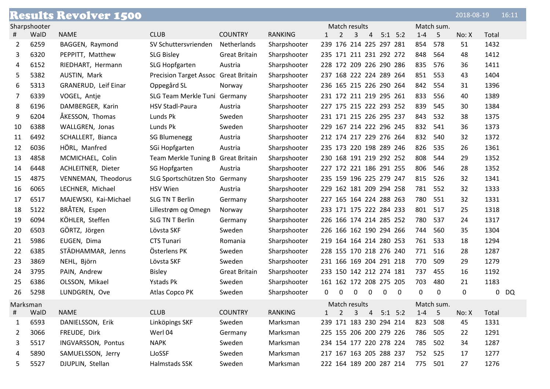|          |              | <b>Results Revolver 1500</b> |                                    |                      |                |                                            |                 | 2018-08-19 | 16:11  |
|----------|--------------|------------------------------|------------------------------------|----------------------|----------------|--------------------------------------------|-----------------|------------|--------|
|          | Sharpshooter |                              |                                    |                      |                | Match results                              | Match sum.      |            |        |
|          | WalD         | <b>NAME</b>                  | <b>CLUB</b>                        | <b>COUNTRY</b>       | <b>RANKING</b> | 2<br>3<br>$5:1$ $5:2$<br>$\mathbf{1}$<br>4 | $1 - 4$<br>5    | No: X      | Total  |
| 2        | 6259         | BAGGEN, Raymond              | SV Schuttersvrienden               | Netherlands          | Sharpshooter   | 239 176 214 225 297 281                    | 854<br>578      | 51         | 1432   |
| 3        | 6320         | PEPPITT, Matthew             | <b>SLG Bisley</b>                  | <b>Great Britain</b> | Sharpshooter   | 235 171 211 231 292 272                    | 848<br>564      | 48         | 1412   |
| 4        | 6152         | RIEDHART, Hermann            | SLG Hopfgarten                     | Austria              | Sharpshooter   | 228 172 209 226 290 286                    | 835<br>576      | 36         | 1411   |
| 5        | 5382         | AUSTIN, Mark                 | <b>Precision Target Assoc</b>      | <b>Great Britain</b> | Sharpshooter   | 237 168 222 224 289 264                    | 851<br>553      | 43         | 1404   |
| 6        | 5313         | GRANERUD, Leif Einar         | Oppegård SL                        | Norway               | Sharpshooter   | 236 165 215 226 290 264                    | 842<br>554      | 31         | 1396   |
| 7        | 6339         | VOGEL, Antie                 | SLG Team Merkle Tuni Germany       |                      | Sharpshooter   | 231 172 211 219 295 261                    | 833<br>556      | 40         | 1389   |
| 8        | 6196         | DAMBERGER, Karin             | <b>HSV Stadl-Paura</b>             | Austria              | Sharpshooter   | 227 175 215 222 293 252                    | 839<br>545      | 30         | 1384   |
| 9        | 6204         | ÅKESSON, Thomas              | Lunds Pk                           | Sweden               | Sharpshooter   | 231 171 215 226 295 237                    | 843<br>532      | 38         | 1375   |
| 10       | 6388         | WALLGREN, Jonas              | Lunds Pk                           | Sweden               | Sharpshooter   | 229 167 214 222 296 245                    | 832<br>541      | 36         | 1373   |
| 11       | 6492         | SCHALLERT, Bianca            | <b>SG Blumenegg</b>                | Austria              | Sharpshooter   | 212 174 217 229 276 264                    | 832<br>540      | 32         | 1372   |
| 12       | 6036         | HÖRL, Manfred                | SGi Hopfgarten                     | Austria              | Sharpshooter   | 235 173 220 198 289 246                    | 826<br>535      | 26         | 1361   |
| 13       | 4858         | MCMICHAEL, Colin             | Team Merkle Tuning B Great Britain |                      | Sharpshooter   | 230 168 191 219 292 252                    | 808<br>544      | 29         | 1352   |
| 14       | 6448         | ACHLEITNER, Dieter           | SG Hopfgarten                      | Austria              | Sharpshooter   | 227 172 221 186 291 255                    | 806<br>546      | 28         | 1352   |
| 15       | 4875         | VENNEMAN, Theodorus          | SLG Sportschützen Sto Germany      |                      | Sharpshooter   | 235 159 196 225 279 247                    | 815<br>526      | 32         | 1341   |
| 16       | 6065         | LECHNER, Michael             | <b>HSV Wien</b>                    | Austria              | Sharpshooter   | 229 162 181 209 294 258                    | 781<br>552      | 32         | 1333   |
| 17       | 6517         | MAJEWSKI, Kai-Michael        | SLG TN T Berlin                    | Germany              | Sharpshooter   | 227 165 164 224 288 263                    | 780<br>551      | 32         | 1331   |
| 18       | 5122         | BRÅTEN, Espen                | Lillestrøm og Omegn                | Norway               | Sharpshooter   | 233 171 175 222 284 233                    | 801<br>517      | 25         | 1318   |
| 19       | 6094         | KÖHLER, Steffen              | <b>SLG TN T Berlin</b>             | Germany              | Sharpshooter   | 226 166 174 214 285 252                    | 780<br>537      | 24         | 1317   |
| 20       | 6503         | GÖRTZ, Jörgen                | Lövsta SKF                         | Sweden               | Sharpshooter   | 226 166 162 190 294 266                    | 744<br>560      | 35         | 1304   |
| 21       | 5986         | EUGEN, Dima                  | <b>CTS Tunari</b>                  | Romania              | Sharpshooter   | 219 164 164 214 280 253                    | 761<br>533      | 18         | 1294   |
| 22       | 6385         | STÄDHAMMAR, Jenns            | Österlens PK                       | Sweden               | Sharpshooter   | 228 155 170 218 276 240                    | 771<br>516      | 28         | 1287   |
| 23       | 3869         | NEHL, Björn                  | Lövsta SKF                         | Sweden               | Sharpshooter   | 231 166 169 204 291 218                    | 770<br>509      | 29         | 1279   |
| 24       | 3795         | PAIN, Andrew                 | <b>Bisley</b>                      | <b>Great Britain</b> | Sharpshooter   | 233 150 142 212 274 181                    | 737<br>455      | 16         | 1192   |
| 25       | 6386         | OLSSON, Mikael               | <b>Ystads Pk</b>                   | Sweden               | Sharpshooter   | 161 162 172 208 275 205                    | 703<br>480      | 21         | 1183   |
| 26       | 5298         | LUNDGREN, Ove                | Atlas Copco PK                     | Sweden               | Sharpshooter   | $\Omega$<br>0<br>0<br>0<br>0<br>0          | $\Omega$<br>0   | 0          | $0$ DQ |
| Marksman |              |                              |                                    |                      |                | Match results                              | Match sum.      |            |        |
| #        | WalD         | <b>NAME</b>                  | <b>CLUB</b>                        | <b>COUNTRY</b>       | <b>RANKING</b> | 2<br>$5:1$ $5:2$<br>3<br>$\overline{4}$    | $1 - 4$<br>$-5$ | No: X      | Total  |
| 1        | 6593         | DANIELSSON, Erik             | Linköpings SKF                     | Sweden               | Marksman       | 239 171 183 230 294 214                    | 823<br>508      | 45         | 1331   |
| 2        | 3066         | FREUDE, Dirk                 | Werl 04                            | Germany              | Marksman       | 225 155 206 200 279 226                    | 786<br>505      | 22         | 1291   |
| 3        | 5517         | INGVARSSON, Pontus           | <b>NAPK</b>                        | Sweden               | Marksman       | 234 154 177 220 278 224                    | 785<br>502      | 34         | 1287   |
| 4        | 5890         | SAMUELSSON, Jerry            | LJoSSF                             | Sweden               | Marksman       | 217 167 163 205 288 237                    | 752<br>525      | 17         | 1277   |
| 5.       | 5527         | DJUPLIN, Stellan             | Halmstads SSK                      | Sweden               | Marksman       | 222 164 189 200 287 214                    | 775 501         | 27         | 1276   |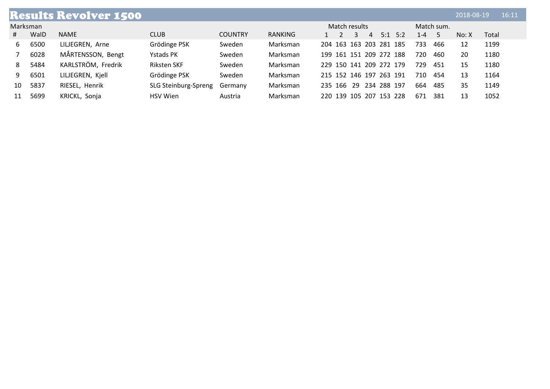|    |          | <b>Results Revolver 1500</b> |                      |                |                |  |         |               |                         |                         |         |            | 2018-08-19 |       | 16:11 |
|----|----------|------------------------------|----------------------|----------------|----------------|--|---------|---------------|-------------------------|-------------------------|---------|------------|------------|-------|-------|
|    | Marksman |                              |                      |                |                |  |         | Match results |                         |                         |         | Match sum. |            |       |       |
| #  | WalD     | <b>NAME</b>                  | <b>CLUB</b>          | <b>COUNTRY</b> | <b>RANKING</b> |  |         | 3             | 4                       | $5:1$ 5:2               | $1 - 4$ |            | No: X      | Total |       |
| 6  | 6500     | LILJEGREN, Arne              | Grödinge PSK         | Sweden         | Marksman       |  |         |               |                         | 204 163 163 203 281 185 | 733     | 466        | 12         | 1199  |       |
|    | 6028     | MÅRTENSSON, Bengt            | Ystads PK            | Sweden         | Marksman       |  |         |               |                         | 199 161 151 209 272 188 | 720     | 460        | 20         | 1180  |       |
| 8  | 5484     | KARLSTRÖM, Fredrik           | <b>Riksten SKF</b>   | Sweden         | Marksman       |  |         |               |                         | 229 150 141 209 272 179 | 729     | 451        | 15         | 1180  |       |
| 9. | 6501     | LILJEGREN, Kjell             | Grödinge PSK         | Sweden         | Marksman       |  |         |               | 215 152 146 197 263 191 |                         | 710     | 454        | 13         | 1164  |       |
| 10 | 5837     | RIESEL, Henrik               | SLG Steinburg-Spreng | Germany        | Marksman       |  | 235 166 | 29            | 234 288 197             |                         | 664     | 485        | 35         | 1149  |       |
|    | 5699     | KRICKL, Sonja                | <b>HSV</b> Wien      | Austria        | Marksman       |  |         |               |                         | 220 139 105 207 153 228 | 671     | 381        | 13         | 1052  |       |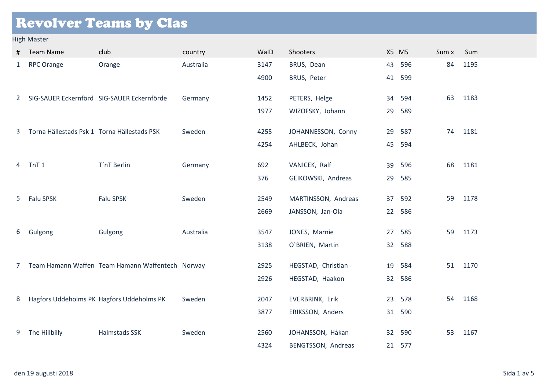## Revolver Teams by Clas

#### High Master

| #             | <b>Team Name</b>                            | club                                             | country   | WalD | Shooters            |    | X5 M5  | Sum x | Sum  |
|---------------|---------------------------------------------|--------------------------------------------------|-----------|------|---------------------|----|--------|-------|------|
| $\mathbf{1}$  | <b>RPC Orange</b>                           | Orange                                           | Australia | 3147 | BRUS, Dean          | 43 | 596    | 84    | 1195 |
|               |                                             |                                                  |           | 4900 | BRUS, Peter         | 41 | 599    |       |      |
| $2^{\circ}$   |                                             | SIG-SAUER Eckernförd SIG-SAUER Eckernförde       | Germany   | 1452 | PETERS, Helge       | 34 | 594    | 63    | 1183 |
|               |                                             |                                                  |           | 1977 | WIZOFSKY, Johann    | 29 | 589    |       |      |
| 3             | Torna Hällestads Psk 1 Torna Hällestads PSK |                                                  | Sweden    | 4255 | JOHANNESSON, Conny  | 29 | 587    | 74    | 1181 |
|               |                                             |                                                  |           | 4254 | AHLBECK, Johan      | 45 | 594    |       |      |
| 4             | TnT <sub>1</sub>                            | T'nT Berlin                                      | Germany   | 692  | VANICEK, Ralf       | 39 | 596    | 68    | 1181 |
|               |                                             |                                                  |           | 376  | GEIKOWSKI, Andreas  | 29 | 585    |       |      |
| 5             | Falu SPSK                                   | Falu SPSK                                        | Sweden    | 2549 | MARTINSSON, Andreas |    | 37 592 | 59    | 1178 |
|               |                                             |                                                  |           | 2669 | JANSSON, Jan-Ola    |    | 22 586 |       |      |
| 6             | Gulgong                                     | Gulgong                                          | Australia | 3547 | JONES, Marnie       |    | 27 585 | 59    | 1173 |
|               |                                             |                                                  |           | 3138 | O'BRIEN, Martin     | 32 | 588    |       |      |
| $\mathcal{I}$ |                                             | Team Hamann Waffen Team Hamann Waffentech Norway |           | 2925 | HEGSTAD, Christian  | 19 | 584    | 51    | 1170 |
|               |                                             |                                                  |           | 2926 | HEGSTAD, Haakon     | 32 | 586    |       |      |
| 8             |                                             | Hagfors Uddeholms PK Hagfors Uddeholms PK        | Sweden    | 2047 | EVERBRINK, Erik     | 23 | 578    | 54    | 1168 |
|               |                                             |                                                  |           | 3877 | ERIKSSON, Anders    |    | 31 590 |       |      |
| 9             | The Hillbilly                               | Halmstads SSK                                    | Sweden    | 2560 | JOHANSSON, Håkan    | 32 | 590    | 53    | 1167 |
|               |                                             |                                                  |           | 4324 | BENGTSSON, Andreas  |    | 21 577 |       |      |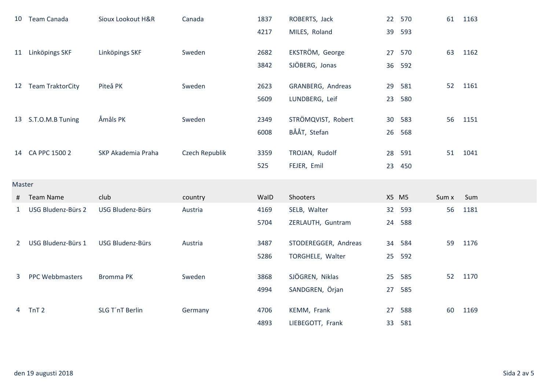|              | 10 Team Canada         | Sioux Lookout H&R  | Canada         | 1837 | ROBERTS, Jack        | 22    | 570    | 61    | 1163 |
|--------------|------------------------|--------------------|----------------|------|----------------------|-------|--------|-------|------|
|              |                        |                    |                | 4217 | MILES, Roland        | 39    | 593    |       |      |
|              | 11 Linköpings SKF      | Linköpings SKF     | Sweden         | 2682 | EKSTRÖM, George      | 27    | 570    | 63    | 1162 |
|              |                        |                    |                | 3842 | SJÖBERG, Jonas       | 36    | 592    |       |      |
|              | 12 Team TraktorCity    | Piteå PK           | Sweden         | 2623 | GRANBERG, Andreas    | 29    | 581    | 52    | 1161 |
|              |                        |                    |                | 5609 | LUNDBERG, Leif       | 23    | 580    |       |      |
|              |                        |                    |                |      |                      |       |        |       |      |
|              | 13 S.T.O.M.B Tuning    | Åmåls PK           | Sweden         | 2349 | STRÖMQVIST, Robert   | 30    | 583    | 56    | 1151 |
|              |                        |                    |                | 6008 | BÅÅT, Stefan         | 26    | 568    |       |      |
|              | 14 CA PPC 1500 2       | SKP Akademia Praha | Czech Republik | 3359 | TROJAN, Rudolf       |       | 28 591 | 51    | 1041 |
|              |                        |                    |                | 525  | FEJER, Emil          |       | 23 450 |       |      |
| Master       |                        |                    |                |      |                      |       |        |       |      |
| #            | <b>Team Name</b>       | club               | country        | WalD | Shooters             | X5 M5 |        | Sum x | Sum  |
| $\mathbf{1}$ | USG Bludenz-Bürs 2     | USG Bludenz-Bürs   | Austria        | 4169 | SELB, Walter         |       | 32 593 | 56    | 1181 |
|              |                        |                    |                | 5704 | ZERLAUTH, Guntram    | 24    | 588    |       |      |
| $2^{\circ}$  | USG Bludenz-Bürs 1     | USG Bludenz-Bürs   | Austria        | 3487 | STODEREGGER, Andreas | 34    | 584    | 59    | 1176 |
|              |                        |                    |                | 5286 | TORGHELE, Walter     | 25    | 592    |       |      |
|              |                        |                    |                |      |                      |       |        |       |      |
| 3            | <b>PPC Webbmasters</b> | <b>Bromma PK</b>   | Sweden         | 3868 | SJÖGREN, Niklas      | 25    | 585    | 52    | 1170 |
|              |                        |                    |                | 4994 | SANDGREN, Örjan      | 27    | 585    |       |      |
| 4            | TnT <sub>2</sub>       | SLG T'nT Berlin    | Germany        | 4706 | KEMM, Frank          | 27    | 588    | 60    | 1169 |
|              |                        |                    |                | 4893 | LIEBEGOTT, Frank     | 33    | 581    |       |      |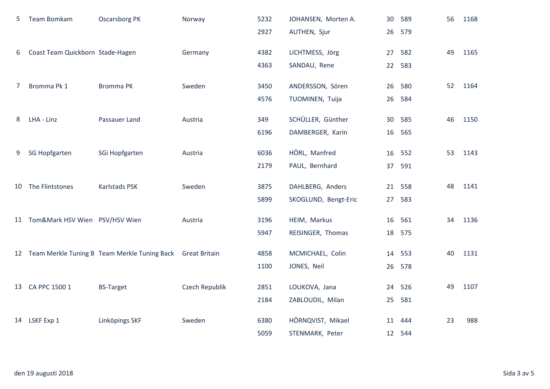| 5 | Team Bomkam                       | <b>Oscarsborg PK</b>                                          | Norway         | 5232 | JOHANSEN, Morten A.  |    | 30 589 | 56 | 1168 |
|---|-----------------------------------|---------------------------------------------------------------|----------------|------|----------------------|----|--------|----|------|
|   |                                   |                                                               |                | 2927 | AUTHEN, Sjur         |    | 26 579 |    |      |
| 6 | Coast Team Quickborn Stade-Hagen  |                                                               | Germany        | 4382 | LICHTMESS, Jörg      | 27 | 582    | 49 | 1165 |
|   |                                   |                                                               |                | 4363 | SANDAU, Rene         |    | 22 583 |    |      |
|   |                                   |                                                               |                |      |                      |    |        |    |      |
| 7 | Bromma Pk 1                       | <b>Bromma PK</b>                                              | Sweden         | 3450 | ANDERSSON, Sören     | 26 | 580    | 52 | 1164 |
|   |                                   |                                                               |                | 4576 | TUOMINEN, Tuija      | 26 | 584    |    |      |
| 8 | LHA - Linz                        | Passauer Land                                                 | Austria        | 349  | SCHÜLLER, Günther    |    | 30 585 | 46 | 1150 |
|   |                                   |                                                               |                | 6196 | DAMBERGER, Karin     |    | 16 565 |    |      |
| 9 | <b>SG Hopfgarten</b>              | SGi Hopfgarten                                                | Austria        | 6036 | HÖRL, Manfred        |    | 16 552 | 53 | 1143 |
|   |                                   |                                                               |                |      |                      |    |        |    |      |
|   |                                   |                                                               |                | 2179 | PAUL, Bernhard       |    | 37 591 |    |      |
|   | 10 The Flintstones                | Karlstads PSK                                                 | Sweden         | 3875 | DAHLBERG, Anders     |    | 21 558 | 48 | 1141 |
|   |                                   |                                                               |                | 5899 | SKOGLUND, Bengt-Eric |    | 27 583 |    |      |
|   | 11 Tom&Mark HSV Wien PSV/HSV Wien |                                                               | Austria        | 3196 | HEIM, Markus         |    | 16 561 | 34 | 1136 |
|   |                                   |                                                               |                | 5947 |                      |    |        |    |      |
|   |                                   |                                                               |                |      | REISINGER, Thomas    | 18 | 575    |    |      |
|   |                                   | 12 Team Merkle Tuning B Team Merkle Tuning Back Great Britain |                | 4858 | MCMICHAEL, Colin     |    | 14 553 | 40 | 1131 |
|   |                                   |                                                               |                | 1100 | JONES, Neil          |    | 26 578 |    |      |
|   | 13 CA PPC 1500 1                  | <b>BS-Target</b>                                              | Czech Republik | 2851 | LOUKOVA, Jana        |    | 24 526 | 49 | 1107 |
|   |                                   |                                                               |                |      |                      |    |        |    |      |
|   |                                   |                                                               |                | 2184 | ZABLOUDIL, Milan     | 25 | 581    |    |      |
|   | 14 LSKF Exp 1                     | Linköpings SKF                                                | Sweden         | 6380 | HÖRNQVIST, Mikael    |    | 11 444 | 23 | 988  |
|   |                                   |                                                               |                | 5059 | STENMARK, Peter      |    | 12 544 |    |      |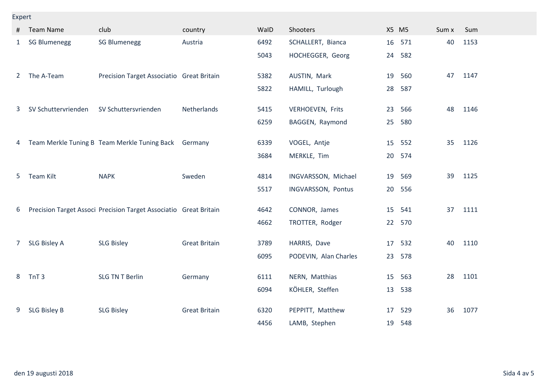#### Expert

| #              | <b>Team Name</b>    | club                                                              | country              | WalD | Shooters              | X5 M5 |     | Sum x | Sum  |
|----------------|---------------------|-------------------------------------------------------------------|----------------------|------|-----------------------|-------|-----|-------|------|
| 1              | <b>SG Blumenegg</b> | <b>SG Blumenegg</b>                                               | Austria              | 6492 | SCHALLERT, Bianca     | 16    | 571 | 40    | 1153 |
|                |                     |                                                                   |                      | 5043 | HOCHEGGER, Georg      | 24    | 582 |       |      |
| $2^{\circ}$    | The A-Team          | Precision Target Associatio Great Britain                         |                      | 5382 | AUSTIN, Mark          | 19    | 560 | 47    | 1147 |
|                |                     |                                                                   |                      | 5822 | HAMILL, Turlough      | 28    | 587 |       |      |
| 3              | SV Schuttervrienden | SV Schuttersvrienden                                              | Netherlands          | 5415 | VERHOEVEN, Frits      | 23    | 566 | 48    | 1146 |
|                |                     |                                                                   |                      | 6259 | BAGGEN, Raymond       | 25    | 580 |       |      |
| 4              |                     | Team Merkle Tuning B Team Merkle Tuning Back                      | Germany              | 6339 | VOGEL, Antje          | 15    | 552 | 35    | 1126 |
|                |                     |                                                                   |                      | 3684 | MERKLE, Tim           | 20    | 574 |       |      |
| 5              | Team Kilt           | <b>NAPK</b>                                                       | Sweden               | 4814 | INGVARSSON, Michael   | 19    | 569 | 39    | 1125 |
|                |                     |                                                                   |                      | 5517 | INGVARSSON, Pontus    | 20    | 556 |       |      |
| 6              |                     | Precision Target Associ Precision Target Associatio Great Britain |                      | 4642 | CONNOR, James         | 15    | 541 | 37    | 1111 |
|                |                     |                                                                   |                      | 4662 | TROTTER, Rodger       | 22    | 570 |       |      |
| 7 <sup>7</sup> | SLG Bisley A        | <b>SLG Bisley</b>                                                 | <b>Great Britain</b> | 3789 | HARRIS, Dave          | 17    | 532 | 40    | 1110 |
|                |                     |                                                                   |                      | 6095 | PODEVIN, Alan Charles | 23    | 578 |       |      |
| 8              | TnT <sub>3</sub>    | <b>SLG TN T Berlin</b>                                            | Germany              | 6111 | NERN, Matthias        | 15    | 563 | 28    | 1101 |
|                |                     |                                                                   |                      | 6094 | KÖHLER, Steffen       | 13    | 538 |       |      |
| 9              | <b>SLG Bisley B</b> | <b>SLG Bisley</b>                                                 | <b>Great Britain</b> | 6320 | PEPPITT, Matthew      | 17    | 529 | 36    | 1077 |
|                |                     |                                                                   |                      | 4456 | LAMB, Stephen         | 19    | 548 |       |      |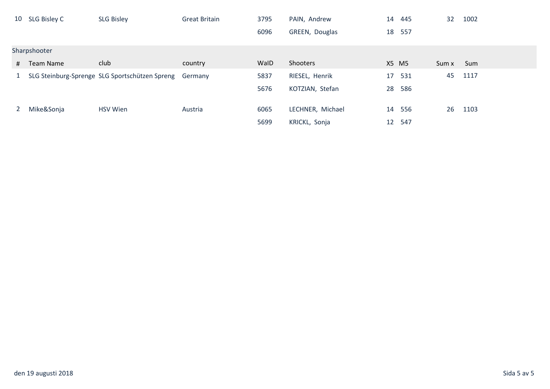|           | 10 SLG Bisley C | <b>SLG Bisley</b>                              | <b>Great Britain</b> | 3795 | PAIN, Andrew     | 14    | 445    | 32    | 1002 |
|-----------|-----------------|------------------------------------------------|----------------------|------|------------------|-------|--------|-------|------|
|           |                 |                                                |                      | 6096 | GREEN, Douglas   |       | 18 557 |       |      |
|           | Sharpshooter    |                                                |                      |      |                  |       |        |       |      |
| #         | Team Name       | club                                           | country              | WalD | Shooters         | X5 M5 |        | Sum x | Sum  |
| $1 \quad$ |                 | SLG Steinburg-Sprenge SLG Sportschützen Spreng | Germany              | 5837 | RIESEL, Henrik   | 17    | 531    | 45    | 1117 |
|           |                 |                                                |                      | 5676 | KOTZIAN, Stefan  | 28    | 586    |       |      |
| 2         | Mike&Sonja      | <b>HSV Wien</b>                                | Austria              | 6065 | LECHNER, Michael |       | 14 556 | 26    | 1103 |
|           |                 |                                                |                      | 5699 | KRICKL, Sonja    | 12    | 547    |       |      |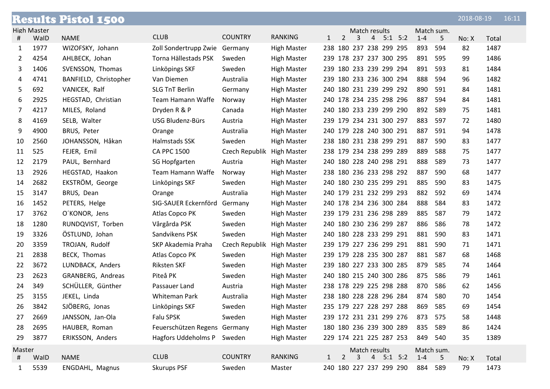|        |                    | <b>Results Pistol 1500</b> |                               |                |                    |              |                |   |               |                         |         |            | 2018-08-19 |       | 16:11 |
|--------|--------------------|----------------------------|-------------------------------|----------------|--------------------|--------------|----------------|---|---------------|-------------------------|---------|------------|------------|-------|-------|
|        | <b>High Master</b> |                            |                               |                |                    |              |                |   | Match results |                         |         | Match sum. |            |       |       |
| #      | WalD               | <b>NAME</b>                | <b>CLUB</b>                   | <b>COUNTRY</b> | <b>RANKING</b>     | $\mathbf{1}$ | $\overline{2}$ | 3 | 4             | $5:1$ $5:2$             | $1 - 4$ | 5          | No: X      | Total |       |
| 1      | 1977               | WIZOFSKY, Johann           | Zoll Sondertrupp Zwie Germany |                | <b>High Master</b> |              |                |   |               | 238 180 237 238 299 295 | 893     | 594        | 82         | 1487  |       |
| 2      | 4254               | AHLBECK, Johan             | Torna Hällestads PSK          | Sweden         | <b>High Master</b> |              |                |   |               | 239 178 237 237 300 295 | 891     | 595        | 99         | 1486  |       |
| 3      | 1406               | SVENSSON, Thomas           | Linköpings SKF                | Sweden         | <b>High Master</b> |              |                |   |               | 239 180 233 239 299 294 | 891     | 593        | 81         | 1484  |       |
| 4      | 4741               | BANFIELD, Christopher      | Van Diemen                    | Australia      | <b>High Master</b> |              |                |   |               | 239 180 233 236 300 294 | 888     | 594        | 96         | 1482  |       |
| 5      | 692                | VANICEK, Ralf              | <b>SLG TnT Berlin</b>         | Germany        | <b>High Master</b> |              |                |   |               | 240 180 231 239 299 292 | 890     | 591        | 84         | 1481  |       |
| 6      | 2925               | HEGSTAD, Christian         | Team Hamann Waffe             | Norway         | High Master        |              |                |   |               | 240 178 234 235 298 296 | 887     | 594        | 84         | 1481  |       |
| 7      | 4217               | MILES, Roland              | Dryden R & P                  | Canada         | <b>High Master</b> |              |                |   |               | 240 180 233 239 299 290 | 892     | 589        | 75         | 1481  |       |
| 8      | 4169               | SELB, Walter               | USG Bludenz-Bürs              | Austria        | <b>High Master</b> |              |                |   |               | 239 179 234 231 300 297 | 883     | 597        | 72         | 1480  |       |
| 9      | 4900               | BRUS, Peter                | Orange                        | Australia      | High Master        |              |                |   |               | 240 179 228 240 300 291 | 887     | 591        | 94         | 1478  |       |
| 10     | 2560               | JOHANSSON, Håkan           | Halmstads SSK                 | Sweden         | <b>High Master</b> |              |                |   |               | 238 180 231 238 299 291 | 887     | 590        | 83         | 1477  |       |
| 11     | 525                | FEJER, Emil                | <b>CA PPC 1500</b>            | Czech Republik | <b>High Master</b> |              |                |   |               | 238 179 234 238 299 289 | 889     | 588        | 75         | 1477  |       |
| 12     | 2179               | PAUL, Bernhard             | <b>SG Hopfgarten</b>          | Austria        | <b>High Master</b> |              |                |   |               | 240 180 228 240 298 291 | 888     | 589        | 73         | 1477  |       |
| 13     | 2926               | HEGSTAD, Haakon            | Team Hamann Waffe             | Norway         | <b>High Master</b> |              |                |   |               | 238 180 236 233 298 292 | 887     | 590        | 68         | 1477  |       |
| 14     | 2682               | EKSTRÖM, George            | Linköpings SKF                | Sweden         | <b>High Master</b> |              |                |   |               | 240 180 230 235 299 291 | 885     | 590        | 83         | 1475  |       |
| 15     | 3147               | BRUS, Dean                 | Orange                        | Australia      | <b>High Master</b> |              |                |   |               | 240 179 231 232 299 293 | 882     | 592        | 69         | 1474  |       |
| 16     | 1452               | PETERS, Helge              | SIG-SAUER Eckernförd Germany  |                | <b>High Master</b> |              |                |   |               | 240 178 234 236 300 284 | 888     | 584        | 83         | 1472  |       |
| 17     | 3762               | O'KONOR, Jens              | Atlas Copco PK                | Sweden         | High Master        |              |                |   |               | 239 179 231 236 298 289 | 885     | 587        | 79         | 1472  |       |
| 18     | 1280               | RUNDQVIST, Torben          | Vårgårda PSK                  | Sweden         | <b>High Master</b> |              |                |   |               | 240 180 230 236 299 287 | 886     | 586        | 78         | 1472  |       |
| 19     | 3326               | ÖSTLUND, Johan             | Sandvikens PSK                | Sweden         | <b>High Master</b> |              |                |   |               | 240 180 228 233 299 291 | 881     | 590        | 83         | 1471  |       |
| 20     | 3359               | TROJAN, Rudolf             | SKP Akademia Praha            | Czech Republik | <b>High Master</b> |              |                |   |               | 239 179 227 236 299 291 | 881     | 590        | 71         | 1471  |       |
| 21     | 2838               | BECK, Thomas               | Atlas Copco PK                | Sweden         | <b>High Master</b> |              |                |   |               | 239 179 228 235 300 287 | 881     | 587        | 68         | 1468  |       |
| 22     | 3672               | LUNDBACK, Anders           | Riksten SKF                   | Sweden         | <b>High Master</b> |              |                |   |               | 239 180 227 233 300 285 | 879     | 585        | 74         | 1464  |       |
| 23     | 2623               | GRANBERG, Andreas          | Piteå PK                      | Sweden         | High Master        |              |                |   |               | 240 180 215 240 300 286 | 875     | 586        | 79         | 1461  |       |
| 24     | 349                | SCHÜLLER, Günther          | Passauer Land                 | Austria        | <b>High Master</b> |              |                |   |               | 238 178 229 225 298 288 | 870     | 586        | 62         | 1456  |       |
| 25     | 3155               | JEKEL, Linda               | Whiteman Park                 | Australia      | <b>High Master</b> |              |                |   |               | 238 180 228 228 296 284 | 874     | 580        | 70         | 1454  |       |
| 26     | 3842               | SJÖBERG, Jonas             | Linköpings SKF                | Sweden         | <b>High Master</b> |              |                |   |               | 235 179 227 228 297 288 | 869     | 585        | 69         | 1454  |       |
| 27     | 2669               | JANSSON, Jan-Ola           | Falu SPSK                     | Sweden         | <b>High Master</b> |              |                |   |               | 239 172 231 231 299 276 | 873     | 575        | 58         | 1448  |       |
| 28     | 2695               | HAUBER, Roman              | Feuerschützen Regens Germany  |                | <b>High Master</b> |              |                |   |               | 180 180 236 239 300 289 | 835     | 589        | 86         | 1424  |       |
| 29     | 3877               | ERIKSSON, Anders           | Hagfors Uddeholms P           | Sweden         | <b>High Master</b> |              |                |   |               | 229 174 221 225 287 253 | 849     | 540        | 35         | 1389  |       |
| Master |                    |                            |                               |                |                    |              |                |   | Match results |                         |         | Match sum. |            |       |       |
| #      | WalD               | <b>NAME</b>                | <b>CLUB</b>                   | <b>COUNTRY</b> | <b>RANKING</b>     | $\mathbf{1}$ | 2              | 3 |               | $4 \quad 5:1 \quad 5:2$ | $1 - 4$ | 5          | No: X      | Total |       |
| 1      | 5539               | ENGDAHL, Magnus            | <b>Skurups PSF</b>            | Sweden         | Master             |              |                |   |               | 240 180 227 237 299 290 | 884 589 |            | 79         | 1473  |       |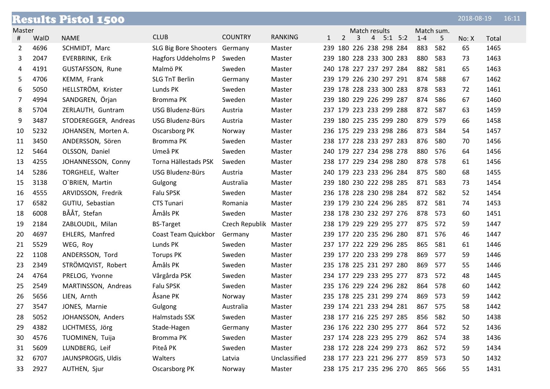|        |      | <b>Results Pistol 1500</b> |                               |                       |                |              |                |   |                         |             |         |            | 2018-08-19 |       | 16:11 |
|--------|------|----------------------------|-------------------------------|-----------------------|----------------|--------------|----------------|---|-------------------------|-------------|---------|------------|------------|-------|-------|
| Master |      |                            |                               |                       |                |              |                |   | Match results           |             |         | Match sum. |            |       |       |
| #      | WalD | <b>NAME</b>                | <b>CLUB</b>                   | <b>COUNTRY</b>        | <b>RANKING</b> | $\mathbf{1}$ | $\overline{2}$ | 3 | $\overline{4}$          | $5:1$ $5:2$ | $1 - 4$ | 5          | No: X      | Total |       |
| 2      | 4696 | SCHMIDT, Marc              | SLG Big Bore Shooters Germany |                       | Master         |              |                |   | 239 180 226 238 298 284 |             | 883     | 582        | 65         | 1465  |       |
| 3      | 2047 | EVERBRINK, Erik            | Hagfors Uddeholms P           | Sweden                | Master         |              |                |   | 239 180 228 233 300 283 |             | 880     | 583        | 73         | 1463  |       |
| 4      | 4191 | GUSTAFSSON, Rune           | Malmö PK                      | Sweden                | Master         |              |                |   | 240 178 227 237 297 284 |             | 882     | 581        | 65         | 1463  |       |
| 5      | 4706 | KEMM, Frank                | <b>SLG TnT Berlin</b>         | Germany               | Master         |              |                |   | 239 179 226 230 297 291 |             | 874     | 588        | 67         | 1462  |       |
| 6      | 5050 | HELLSTRÖM, Krister         | Lunds PK                      | Sweden                | Master         |              |                |   | 239 178 228 233 300 283 |             | 878     | 583        | 72         | 1461  |       |
| 7      | 4994 | SANDGREN, Örjan            | Bromma PK                     | Sweden                | Master         |              |                |   | 239 180 229 226 299 287 |             | 874     | 586        | 67         | 1460  |       |
| 8      | 5704 | ZERLAUTH, Guntram          | USG Bludenz-Bürs              | Austria               | Master         |              |                |   | 237 179 223 233 299 288 |             | 872     | 587        | 63         | 1459  |       |
| 9      | 3487 | STODEREGGER, Andreas       | USG Bludenz-Bürs              | Austria               | Master         |              |                |   | 239 180 225 235 299 280 |             | 879     | 579        | 66         | 1458  |       |
| 10     | 5232 | JOHANSEN, Morten A.        | Oscarsborg PK                 | Norway                | Master         |              |                |   | 236 175 229 233 298 286 |             | 873     | 584        | 54         | 1457  |       |
| 11     | 3450 | ANDERSSON, Sören           | Bromma PK                     | Sweden                | Master         |              |                |   | 238 177 228 233 297 283 |             | 876     | 580        | 70         | 1456  |       |
| 12     | 5464 | OLSSON, Daniel             | Umeå PK                       | Sweden                | Master         |              |                |   | 240 179 227 234 298 278 |             | 880     | 576        | 64         | 1456  |       |
| 13     | 4255 | JOHANNESSON, Conny         | Torna Hällestads PSK          | Sweden                | Master         |              |                |   | 238 177 229 234 298 280 |             | 878     | 578        | 61         | 1456  |       |
| 14     | 5286 | TORGHELE, Walter           | USG Bludenz-Bürs              | Austria               | Master         |              |                |   | 240 179 223 233 296 284 |             | 875     | 580        | 68         | 1455  |       |
| 15     | 3138 | O'BRIEN, Martin            | Gulgong                       | Australia             | Master         |              |                |   | 239 180 230 222 298 285 |             | 871     | 583        | 73         | 1454  |       |
| 16     | 4555 | ARVIDSSON, Fredrik         | Falu SPSK                     | Sweden                | Master         |              |                |   | 236 178 228 230 298 284 |             | 872     | 582        | 52         | 1454  |       |
| 17     | 6582 | GUTIU, Sebastian           | <b>CTS Tunari</b>             | Romania               | Master         |              |                |   | 239 179 230 224 296 285 |             | 872     | 581        | 74         | 1453  |       |
| 18     | 6008 | BÅÅT, Stefan               | Åmåls PK                      | Sweden                | Master         |              |                |   | 238 178 230 232 297 276 |             | 878     | 573        | 60         | 1451  |       |
| 19     | 2184 | ZABLOUDIL, Milan           | <b>BS-Target</b>              | Czech Republik Master |                |              |                |   | 238 179 229 229 295 277 |             | 875     | 572        | 59         | 1447  |       |
| 20     | 4697 | EHLERS, Manfred            | Coast Team Quickbor           | Germany               | Master         |              |                |   | 239 177 220 235 296 280 |             | 871     | 576        | 46         | 1447  |       |
| 21     | 5529 | WEG, Roy                   | Lunds PK                      | Sweden                | Master         |              |                |   | 237 177 222 229 296 285 |             | 865     | 581        | 61         | 1446  |       |
| 22     | 1108 | ANDERSSON, Tord            | <b>Torups PK</b>              | Sweden                | Master         |              |                |   | 239 177 220 233 299 278 |             | 869     | 577        | 59         | 1446  |       |
| 23     | 2349 | STRÖMQVIST, Robert         | Åmåls PK                      | Sweden                | Master         |              |                |   | 235 178 225 231 297 280 |             | 869     | 577        | 55         | 1446  |       |
| 24     | 4764 | PRELOG, Yvonne             | Vårgårda PSK                  | Sweden                | Master         |              |                |   | 234 177 229 233 295 277 |             | 873     | 572        | 48         | 1445  |       |
| 25     | 2549 | MARTINSSON, Andreas        | Falu SPSK                     | Sweden                | Master         |              |                |   | 235 176 229 224 296 282 |             | 864     | 578        | 60         | 1442  |       |
| 26     | 5656 | LIEN, Arnth                | Åsane PK                      | Norway                | Master         |              |                |   | 235 178 225 231 299 274 |             | 869     | 573        | 59         | 1442  |       |
| 27     | 3547 | JONES, Marnie              | Gulgong                       | Australia             | Master         |              |                |   | 239 174 221 233 294 281 |             | 867 575 |            | 58         | 1442  |       |
| 28     | 5052 | JOHANSSON, Anders          | Halmstads SSK                 | Sweden                | Master         |              |                |   | 238 177 216 225 297 285 |             | 856     | 582        | 50         | 1438  |       |
| 29     | 4382 | LICHTMESS, Jörg            | Stade-Hagen                   | Germany               | Master         |              |                |   | 236 176 222 230 295 277 |             | 864     | 572        | 52         | 1436  |       |
| 30     | 4576 | TUOMINEN, Tuija            | Bromma PK                     | Sweden                | Master         |              |                |   | 237 174 228 223 295 279 |             | 862 574 |            | 38         | 1436  |       |
| 31     | 5609 | LUNDBERG, Leif             | Piteå PK                      | Sweden                | Master         |              |                |   | 238 172 228 224 299 273 |             | 862     | 572        | 59         | 1434  |       |
| 32     | 6707 | JAUNSPROGIS, Uldis         | Walters                       | Latvia                | Unclassified   |              |                |   | 238 177 223 221 296 277 |             | 859     | 573        | 50         | 1432  |       |
| 33     | 2927 | AUTHEN, Sjur               | Oscarsborg PK                 | Norway                | Master         |              |                |   | 238 175 217 235 296 270 |             | 865 566 |            | 55         | 1431  |       |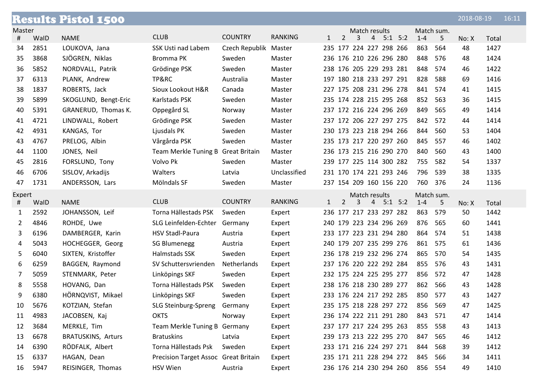|                |      | <b>Results Pistol 1500</b> |                                      |                       |                |              |                |   |                |                         |         |            | 2018-08-19 |       | 16:11 |
|----------------|------|----------------------------|--------------------------------------|-----------------------|----------------|--------------|----------------|---|----------------|-------------------------|---------|------------|------------|-------|-------|
| Master         |      |                            |                                      |                       |                |              |                |   | Match results  |                         |         | Match sum. |            |       |       |
| #              | WalD | <b>NAME</b>                | <b>CLUB</b>                          | <b>COUNTRY</b>        | <b>RANKING</b> | 1            | $\overline{2}$ | 3 | $\overline{4}$ | $5:1$ $5:2$             | $1 - 4$ | 5          | No: X      | Total |       |
| 34             | 2851 | LOUKOVA, Jana              | <b>SSK Usti nad Labem</b>            | Czech Republik Master |                |              |                |   |                | 235 177 224 227 298 266 | 863     | 564        | 48         | 1427  |       |
| 35             | 3868 | SJÖGREN, Niklas            | Bromma PK                            | Sweden                | Master         |              |                |   |                | 236 176 210 226 296 280 | 848     | 576        | 48         | 1424  |       |
| 36             | 5852 | NORDVALL, Patrik           | Grödinge PSK                         | Sweden                | Master         |              |                |   |                | 238 176 205 229 293 281 | 848     | 574        | 46         | 1422  |       |
| 37             | 6313 | PLANK, Andrew              | TP&RC                                | Australia             | Master         |              |                |   |                | 197 180 218 233 297 291 | 828     | 588        | 69         | 1416  |       |
| 38             | 1837 | ROBERTS, Jack              | Sioux Lookout H&R                    | Canada                | Master         |              |                |   |                | 227 175 208 231 296 278 | 841     | 574        | 41         | 1415  |       |
| 39             | 5899 | SKOGLUND, Bengt-Eric       | Karlstads PSK                        | Sweden                | Master         |              |                |   |                | 235 174 228 215 295 268 | 852     | 563        | 36         | 1415  |       |
| 40             | 5391 | GRANERUD, Thomas K.        | Oppegård SL                          | Norway                | Master         |              |                |   |                | 237 172 216 224 296 269 | 849     | 565        | 49         | 1414  |       |
| 41             | 4721 | LINDWALL, Robert           | Grödinge PSK                         | Sweden                | Master         |              |                |   |                | 237 172 206 227 297 275 | 842     | 572        | 44         | 1414  |       |
| 42             | 4931 | KANGAS, Tor                | Ljusdals PK                          | Sweden                | Master         |              |                |   |                | 230 173 223 218 294 266 | 844     | 560        | 53         | 1404  |       |
| 43             | 4767 | PRELOG, Albin              | Vårgårda PSK                         | Sweden                | Master         |              |                |   |                | 235 173 217 220 297 260 | 845     | 557        | 46         | 1402  |       |
| 44             | 1100 | JONES, Neil                | Team Merkle Tuning B Great Britain   |                       | Master         |              |                |   |                | 236 173 215 216 290 270 | 840     | 560        | 43         | 1400  |       |
| 45             | 2816 | FORSLUND, Tony             | Volvo Pk                             | Sweden                | Master         |              |                |   |                | 239 177 225 114 300 282 | 755     | 582        | 54         | 1337  |       |
| 46             | 6706 | SISLOV, Arkadijs           | Walters                              | Latvia                | Unclassified   |              |                |   |                | 231 170 174 221 293 246 | 796     | 539        | 38         | 1335  |       |
| 47             | 1731 | ANDERSSON, Lars            | Mölndals SF                          | Sweden                | Master         |              |                |   |                | 237 154 209 160 156 220 | 760     | 376        | 24         | 1136  |       |
| Expert         |      |                            |                                      |                       |                |              |                |   | Match results  |                         |         | Match sum. |            |       |       |
| #              | WalD | <b>NAME</b>                | <b>CLUB</b>                          | <b>COUNTRY</b>        | <b>RANKING</b> | $\mathbf{1}$ | $\overline{2}$ | 3 | $\overline{4}$ | $5:1$ $5:2$             | $1 - 4$ | 5          | No: X      | Total |       |
| $\mathbf{1}$   | 2592 | JOHANSSON, Leif            | Torna Hällestads PSK                 | Sweden                | Expert         |              |                |   |                | 236 177 217 233 297 282 | 863     | 579        | 50         | 1442  |       |
| $\overline{2}$ | 4846 | ROHDE, Uwe                 | SLG Leinfelden-Echter                | Germany               | Expert         |              |                |   |                | 240 179 223 234 296 269 | 876     | 565        | 60         | 1441  |       |
| 3              | 6196 | DAMBERGER, Karin           | <b>HSV Stadl-Paura</b>               | Austria               | Expert         |              |                |   |                | 233 177 223 231 294 280 | 864     | 574        | 51         | 1438  |       |
| 4              | 5043 | HOCHEGGER, Georg           | <b>SG Blumenegg</b>                  | Austria               | Expert         |              |                |   |                | 240 179 207 235 299 276 | 861     | 575        | 61         | 1436  |       |
| 5              | 6040 | SIXTEN, Kristoffer         | Halmstads SSK                        | Sweden                | Expert         |              |                |   |                | 236 178 219 232 296 274 | 865     | 570        | 54         | 1435  |       |
| 6              | 6259 | BAGGEN, Raymond            | SV Schuttersvrienden                 | Netherlands           | Expert         |              |                |   |                | 237 176 220 222 292 284 | 855     | 576        | 43         | 1431  |       |
| 7              | 5059 | STENMARK, Peter            | Linköpings SKF                       | Sweden                | Expert         |              |                |   |                | 232 175 224 225 295 277 | 856     | 572        | 47         | 1428  |       |
| 8              | 5558 | HOVANG, Dan                | Torna Hällestads PSK                 | Sweden                | Expert         |              |                |   |                | 238 176 218 230 289 277 | 862     | 566        | 43         | 1428  |       |
| 9              | 6380 | HÖRNQVIST, Mikael          | Linköpings SKF                       | Sweden                | Expert         |              |                |   |                | 233 176 224 217 292 285 | 850     | 577        | 43         | 1427  |       |
| 10             | 5676 | KOTZIAN, Stefan            | SLG Steinburg-Spreng                 | Germany               | Expert         |              |                |   |                | 235 175 218 228 297 272 | 856     | 569        | 47         | 1425  |       |
| 11             | 4983 | JACOBSEN, Kaj              | <b>OKTS</b>                          | Norway                | Expert         |              |                |   |                | 236 174 222 211 291 280 | 843     | 571        | 47         | 1414  |       |
| 12             | 3684 | MERKLE, Tim                | Team Merkle Tuning B Germany         |                       | Expert         |              |                |   |                | 237 177 217 224 295 263 | 855     | 558        | 43         | 1413  |       |
| 13             | 6678 | <b>BRATUSKINS, Arturs</b>  | <b>Bratuskins</b>                    | Latvia                | Expert         |              |                |   |                | 239 173 213 222 295 270 | 847     | 565        | 46         | 1412  |       |
| 14             | 6390 | RÖDFALK, Albert            | Torna Hällestads Psk                 | Sweden                | Expert         |              |                |   |                | 233 171 216 224 297 271 | 844     | 568        | 39         | 1412  |       |
| 15             | 6337 | HAGAN, Dean                | Precision Target Assoc Great Britain |                       | Expert         |              |                |   |                | 235 171 211 228 294 272 | 845     | 566        | 34         | 1411  |       |
| 16             | 5947 | REISINGER, Thomas          | HSV Wien                             | Austria               | Expert         |              |                |   |                | 236 176 214 230 294 260 |         | 856 554    | 49         | 1410  |       |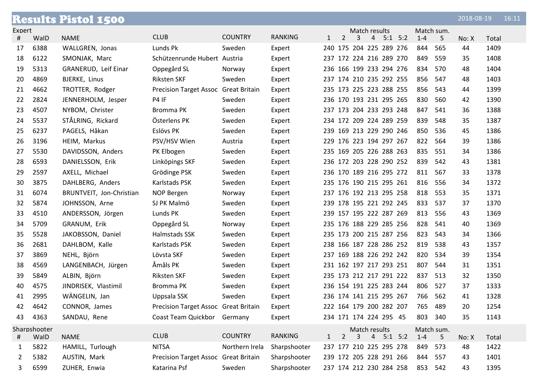|              | <b>Results Pistol 1500</b><br>16:11<br>2018-08-19 |                          |                                      |                |                |              |                |   |                |                         |         |            |       |       |  |
|--------------|---------------------------------------------------|--------------------------|--------------------------------------|----------------|----------------|--------------|----------------|---|----------------|-------------------------|---------|------------|-------|-------|--|
| Expert       |                                                   |                          |                                      |                |                |              |                |   | Match results  |                         |         | Match sum. |       |       |  |
| #            | WalD                                              | <b>NAME</b>              | <b>CLUB</b>                          | <b>COUNTRY</b> | <b>RANKING</b> | 1            | $\overline{2}$ | 3 | $\overline{4}$ | $5:1$ $5:2$             | $1 - 4$ | 5          | No: X | Total |  |
| 17           | 6388                                              | WALLGREN, Jonas          | Lunds Pk                             | Sweden         | Expert         |              |                |   |                | 240 175 204 225 289 276 | 844     | 565        | 44    | 1409  |  |
| 18           | 6122                                              | SMONJAK, Marc            | Schützenrunde Hubert Austria         |                | Expert         |              |                |   |                | 237 172 224 216 289 270 | 849     | 559        | 35    | 1408  |  |
| 19           | 5313                                              | GRANERUD, Leif Einar     | Oppegård SL                          | Norway         | Expert         |              |                |   |                | 236 166 199 233 294 276 | 834     | 570        | 48    | 1404  |  |
| 20           | 4869                                              | BJERKE, Linus            | <b>Riksten SKF</b>                   | Sweden         | Expert         |              |                |   |                | 237 174 210 235 292 255 | 856     | 547        | 48    | 1403  |  |
| 21           | 4662                                              | TROTTER, Rodger          | Precision Target Assoc Great Britain |                | Expert         |              |                |   |                | 235 173 225 223 288 255 | 856     | 543        | 44    | 1399  |  |
| 22           | 2824                                              | JENNERHOLM, Jesper       | P4 IF                                | Sweden         | Expert         |              |                |   |                | 236 170 193 231 295 265 | 830     | 560        | 42    | 1390  |  |
| 23           | 4507                                              | NYBOM, Christer          | Bromma PK                            | Sweden         | Expert         |              |                |   |                | 237 173 204 233 293 248 | 847     | 541        | 36    | 1388  |  |
| 24           | 5537                                              | STÅLRING, Rickard        | Österlens PK                         | Sweden         | Expert         |              |                |   |                | 234 172 209 224 289 259 | 839     | 548        | 35    | 1387  |  |
| 25           | 6237                                              | PAGELS, Håkan            | Eslövs PK                            | Sweden         | Expert         |              |                |   |                | 239 169 213 229 290 246 | 850     | 536        | 45    | 1386  |  |
| 26           | 3196                                              | HEIM, Markus             | PSV/HSV Wien                         | Austria        | Expert         |              |                |   |                | 229 176 223 194 297 267 | 822     | 564        | 39    | 1386  |  |
| 27           | 5530                                              | DAVIDSSON, Anders        | PK Elbogen                           | Sweden         | Expert         |              |                |   |                | 235 169 205 226 288 263 | 835     | 551        | 34    | 1386  |  |
| 28           | 6593                                              | DANIELSSON, Erik         | Linköpings SKF                       | Sweden         | Expert         |              |                |   |                | 236 172 203 228 290 252 | 839     | 542        | 43    | 1381  |  |
| 29           | 2597                                              | AXELL, Michael           | Grödinge PSK                         | Sweden         | Expert         |              |                |   |                | 236 170 189 216 295 272 | 811     | 567        | 33    | 1378  |  |
| 30           | 3875                                              | DAHLBERG, Anders         | Karlstads PSK                        | Sweden         | Expert         |              |                |   |                | 235 176 190 215 295 261 | 816     | 556        | 34    | 1372  |  |
| 31           | 6074                                              | BRUNTVEIT, Jon-Christian | NOP Bergen                           | Norway         | Expert         |              |                |   |                | 237 176 192 213 295 258 | 818     | 553        | 35    | 1371  |  |
| 32           | 5874                                              | JOHNSSON, Arne           | SJ PK Malmö                          | Sweden         | Expert         |              |                |   |                | 239 178 195 221 292 245 | 833     | 537        | 37    | 1370  |  |
| 33           | 4510                                              | ANDERSSON, Jörgen        | Lunds PK                             | Sweden         | Expert         |              |                |   |                | 239 157 195 222 287 269 | 813     | 556        | 43    | 1369  |  |
| 34           | 5709                                              | GRANUM, Erik             | Oppegård SL                          | Norway         | Expert         |              |                |   |                | 235 176 188 229 285 256 | 828     | 541        | 40    | 1369  |  |
| 35           | 5528                                              | JAKOBSSON, Daniel        | Halmstads SSK                        | Sweden         | Expert         |              |                |   |                | 235 173 200 215 287 256 | 823     | 543        | 34    | 1366  |  |
| 36           | 2681                                              | DAHLBOM, Kalle           | Karlstads PSK                        | Sweden         | Expert         |              |                |   |                | 238 166 187 228 286 252 | 819     | 538        | 43    | 1357  |  |
| 37           | 3869                                              | NEHL, Björn              | Lövsta SKF                           | Sweden         | Expert         |              |                |   |                | 237 169 188 226 292 242 | 820     | 534        | 39    | 1354  |  |
| 38           | 4569                                              | LANGENBACH, Jürgen       | Åmåls PK                             | Sweden         | Expert         |              |                |   |                | 231 162 197 217 293 251 | 807     | 544        | 31    | 1351  |  |
| 39           | 5849                                              | ALBIN, Björn             | <b>Riksten SKF</b>                   | Sweden         | Expert         |              |                |   |                | 235 173 212 217 291 222 | 837     | 513        | 32    | 1350  |  |
| 40           | 4575                                              | JINDRISEK, Vlastimil     | Bromma PK                            | Sweden         | Expert         |              |                |   |                | 236 154 191 225 283 244 | 806     | 527        | 37    | 1333  |  |
| 41           | 2995                                              | WÄNGELIN, Jan            | Uppsala SSK                          | Sweden         | Expert         |              |                |   |                | 236 174 141 215 295 267 | 766     | 562        | 41    | 1328  |  |
| 42           | 4642                                              | CONNOR, James            | Precision Target Assoc Great Britain |                | Expert         |              |                |   |                | 222 164 179 200 282 207 | 765     | 489        | 20    | 1254  |  |
| 43           | 4363                                              | SANDAU, Rene             | Coast Team Quickbor Germany          |                | Expert         |              |                |   |                | 234 171 174 224 295 45  | 803     | 340        | 35    | 1143  |  |
|              | Sharpshooter                                      |                          |                                      |                |                |              |                |   | Match results  |                         |         | Match sum. |       |       |  |
| #            | WalD                                              | <b>NAME</b>              | <b>CLUB</b>                          | <b>COUNTRY</b> | <b>RANKING</b> | $\mathbf{1}$ | $\overline{2}$ | 3 |                | $4$ 5:1 5:2             | $1 - 4$ | 5          | No: X | Total |  |
| $\mathbf{1}$ | 5822                                              | HAMILL, Turlough         | <b>NITSA</b>                         | Northern Irela | Sharpshooter   |              |                |   |                | 237 177 210 225 295 278 | 849     | 573        | 48    | 1422  |  |
| 2            | 5382                                              | AUSTIN, Mark             | Precision Target Assoc Great Britain |                | Sharpshooter   |              |                |   |                | 239 172 205 228 291 266 | 844     | 557        | 43    | 1401  |  |
| 3            | 6599                                              | ZUHER, Enwia             | Katarina Psf                         | Sweden         | Sharpshooter   |              |                |   |                | 237 174 212 230 284 258 |         | 853 542    | 43    | 1395  |  |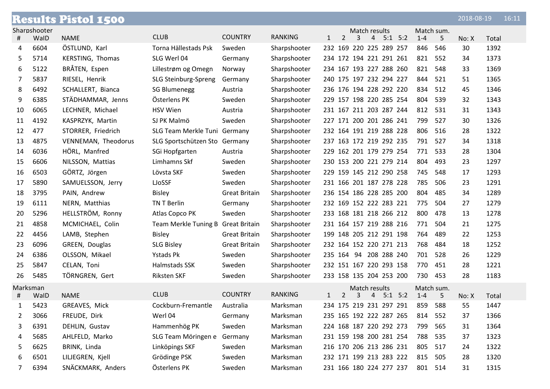|    |              | <b>Results Pistol 1500</b> |                                    |                      |                |                         |                |               |                |                         |         |            | 2018-08-19 |       | 16:11 |
|----|--------------|----------------------------|------------------------------------|----------------------|----------------|-------------------------|----------------|---------------|----------------|-------------------------|---------|------------|------------|-------|-------|
|    | Sharpshooter |                            |                                    |                      |                |                         |                | Match results |                |                         |         | Match sum. |            |       |       |
| #  | WalD         | <b>NAME</b>                | <b>CLUB</b>                        | <b>COUNTRY</b>       | <b>RANKING</b> | $\mathbf{1}$            | $\overline{2}$ | 3             | $\overline{4}$ | $5:1$ $5:2$             | $1 - 4$ | 5          | No: X      | Total |       |
| 4  | 6604         | ÖSTLUND, Karl              | Torna Hällestads Psk               | Sweden               | Sharpshooter   |                         |                |               |                | 232 169 220 225 289 257 | 846     | 546        | 30         | 1392  |       |
| 5  | 5714         | KERSTING, Thomas           | SLG Werl 04                        | Germany              | Sharpshooter   | 234 172 194 221 291 261 |                |               |                |                         | 821     | 552        | 34         | 1373  |       |
| 6  | 5122         | BRÅTEN, Espen              | Lillestrøm og Omegn                | Norway               | Sharpshooter   | 234 167 193 227 288 260 |                |               |                |                         | 821     | 548        | 33         | 1369  |       |
| 7  | 5837         | RIESEL, Henrik             | SLG Steinburg-Spreng               | Germany              | Sharpshooter   |                         |                |               |                | 240 175 197 232 294 227 | 844     | 521        | 51         | 1365  |       |
| 8  | 6492         | SCHALLERT, Bianca          | <b>SG Blumenegg</b>                | Austria              | Sharpshooter   | 236 176 194 228 292 220 |                |               |                |                         | 834     | 512        | 45         | 1346  |       |
| 9  | 6385         | STÄDHAMMAR, Jenns          | Österlens PK                       | Sweden               | Sharpshooter   | 229 157 198 220 285 254 |                |               |                |                         | 804     | 539        | 32         | 1343  |       |
| 10 | 6065         | LECHNER, Michael           | <b>HSV Wien</b>                    | Austria              | Sharpshooter   | 231 167 211 203 287 244 |                |               |                |                         | 812     | 531        | 31         | 1343  |       |
| 11 | 4192         | KASPRZYK, Martin           | SJ PK Malmö                        | Sweden               | Sharpshooter   | 227 171 200 201 286 241 |                |               |                |                         | 799     | 527        | 30         | 1326  |       |
| 12 | 477          | STORRER, Friedrich         | SLG Team Merkle Tuni Germany       |                      | Sharpshooter   | 232 164 191 219 288 228 |                |               |                |                         | 806     | 516        | 28         | 1322  |       |
| 13 | 4875         | VENNEMAN, Theodorus        | SLG Sportschützen Sto Germany      |                      | Sharpshooter   | 237 163 172 219 292 235 |                |               |                |                         | 791     | 527        | 34         | 1318  |       |
| 14 | 6036         | HÖRL, Manfred              | SGi Hopfgarten                     | Austria              | Sharpshooter   | 229 162 201 179 279 254 |                |               |                |                         | 771     | 533        | 28         | 1304  |       |
| 15 | 6606         | NILSSON, Mattias           | Limhamns Skf                       | Sweden               | Sharpshooter   | 230 153 200 221 279 214 |                |               |                |                         | 804     | 493        | 23         | 1297  |       |
| 16 | 6503         | GÖRTZ, Jörgen              | Lövsta SKF                         | Sweden               | Sharpshooter   | 229 159 145 212 290 258 |                |               |                |                         | 745     | 548        | 17         | 1293  |       |
| 17 | 5890         | SAMUELSSON, Jerry          | LJoSSF                             | Sweden               | Sharpshooter   | 231 166 201 187 278 228 |                |               |                |                         | 785     | 506        | 23         | 1291  |       |
| 18 | 3795         | PAIN, Andrew               | <b>Bisley</b>                      | <b>Great Britain</b> | Sharpshooter   |                         |                |               |                | 236 154 186 228 285 200 | 804     | 485        | 34         | 1289  |       |
| 19 | 6111         | NERN, Matthias             | TN T Berlin                        | Germany              | Sharpshooter   | 232 169 152 222 283 221 |                |               |                |                         | 775     | 504        | 27         | 1279  |       |
| 20 | 5296         | HELLSTRÖM, Ronny           | Atlas Copco PK                     | Sweden               | Sharpshooter   | 233 168 181 218 266 212 |                |               |                |                         | 800     | 478        | 13         | 1278  |       |
| 21 | 4858         | MCMICHAEL, Colin           | Team Merkle Tuning B Great Britain |                      | Sharpshooter   | 231 164 157 219 288 216 |                |               |                |                         | 771     | 504        | 21         | 1275  |       |
| 22 | 4456         | LAMB, Stephen              | <b>Bisley</b>                      | <b>Great Britain</b> | Sharpshooter   | 199 148 205 212 291 198 |                |               |                |                         | 764     | 489        | 22         | 1253  |       |
| 23 | 6096         | GREEN, Douglas             | <b>SLG Bisley</b>                  | <b>Great Britain</b> | Sharpshooter   | 232 164 152 220 271 213 |                |               |                |                         | 768     | 484        | 18         | 1252  |       |
| 24 | 6386         | OLSSON, Mikael             | Ystads Pk                          | Sweden               | Sharpshooter   | 235 164 94 208 288 240  |                |               |                |                         | 701     | 528        | 26         | 1229  |       |
| 25 | 5847         | CELAN, Toni                | Halmstads SSK                      | Sweden               | Sharpshooter   | 232 151 167 220 293 158 |                |               |                |                         | 770     | 451        | 28         | 1221  |       |
| 26 | 5485         | TÖRNGREN, Gert             | <b>Riksten SKF</b>                 | Sweden               | Sharpshooter   |                         |                |               |                | 233 158 135 204 253 200 | 730     | 453        | 28         | 1183  |       |
|    | Marksman     |                            |                                    |                      |                |                         |                | Match results |                |                         |         | Match sum. |            |       |       |
| #  | WalD         | <b>NAME</b>                | <b>CLUB</b>                        | <b>COUNTRY</b>       | <b>RANKING</b> | 1                       | 2              | 3             |                | 4 5:1 5:2               | $1 - 4$ | 5          | No: X      | Total |       |
| 1  | 5423         | GREAVES, Mick              | Cockburn-Fremantle                 | Australia            | Marksman       |                         |                |               |                | 234 175 219 231 297 291 | 859     | 588        | 55         | 1447  |       |
| 2  | 3066         | FREUDE, Dirk               | Werl 04                            | Germany              | Marksman       |                         |                |               |                | 235 165 192 222 287 265 | 814     | 552        | 37         | 1366  |       |
| 3  | 6391         | DEHLIN, Gustav             | Hammenhög PK                       | Sweden               | Marksman       | 224 168 187 220 292 273 |                |               |                |                         | 799     | 565        | 31         | 1364  |       |
| 4  | 5685         | AHLFELD, Marko             | SLG Team Möringen e                | Germany              | Marksman       |                         |                |               |                | 231 159 198 200 281 254 | 788     | 535        | 37         | 1323  |       |
| 5  | 6625         | BRINK, Linda               | Linköpings SKF                     | Sweden               | Marksman       | 216 170 206 213 286 231 |                |               |                |                         | 805     | 517        | 24         | 1322  |       |
| 6  | 6501         | LILJEGREN, Kjell           | Grödinge PSK                       | Sweden               | Marksman       | 232 171 199 213 283 222 |                |               |                |                         | 815     | 505        | 28         | 1320  |       |
| 7  | 6394         | SNÄCKMARK, Anders          | Österlens PK                       | Sweden               | Marksman       | 231 166 180 224 277 237 |                |               |                |                         | 801 514 |            | 31         | 1315  |       |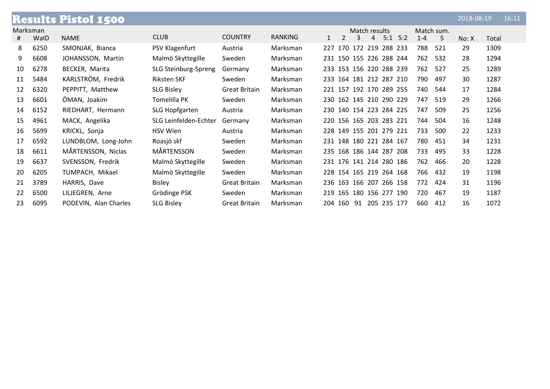|          |      | <b>Results Pistol 1500</b> |                       |                      |                |                         |   |               |             |         |            | 2018-08-19 |       | 16:11 |
|----------|------|----------------------------|-----------------------|----------------------|----------------|-------------------------|---|---------------|-------------|---------|------------|------------|-------|-------|
| Marksman |      |                            |                       |                      |                |                         |   | Match results |             |         | Match sum. |            |       |       |
| #        | WalD | <b>NAME</b>                | <b>CLUB</b>           | <b>COUNTRY</b>       | <b>RANKING</b> | $\mathfrak{D}$          | 3 | $-4$          | $5:1$ $5:2$ | $1 - 4$ | 5          | No: X      | Total |       |
| 8        | 6250 | SMONJAK, Bianca            | PSV Klagenfurt        | Austria              | Marksman       | 227 170 172 219 288 233 |   |               |             | 788     | 521        | 29         | 1309  |       |
| 9        | 6608 | JOHANSSON, Martin          | Malmö Skyttegille     | Sweden               | Marksman       | 231 150 155 226 288 244 |   |               |             | 762     | 532        | 28         | 1294  |       |
| 10       | 6278 | BECKER, Marita             | SLG Steinburg-Spreng  | Germany              | Marksman       | 233 153 156 220 288 239 |   |               |             | 762     | 527        | 25         | 1289  |       |
| 11       | 5484 | KARLSTRÖM, Fredrik         | <b>Riksten SKF</b>    | Sweden               | Marksman       | 233 164 181 212 287 210 |   |               |             | 790     | 497        | 30         | 1287  |       |
| 12       | 6320 | PEPPITT, Matthew           | <b>SLG Bisley</b>     | <b>Great Britain</b> | Marksman       | 221 157 192 170 289 255 |   |               |             | 740     | 544        | 17         | 1284  |       |
| 13       | 6601 | ÖMAN, Joakim               | Tomelilla PK          | Sweden               | Marksman       | 230 162 145 210 290 229 |   |               |             | 747     | 519        | 29         | 1266  |       |
| 14       | 6152 | RIEDHART, Hermann          | SLG Hopfgarten        | Austria              | Marksman       | 230 140 154 223 284 225 |   |               |             | 747     | 509        | 25         | 1256  |       |
| 15       | 4961 | MACK, Angelika             | SLG Leinfelden-Echter | Germany              | Marksman       | 220 156 165 203 283 221 |   |               |             | 744     | 504        | 16         | 1248  |       |
| 16       | 5699 | KRICKL, Sonja              | <b>HSV Wien</b>       | Austria              | Marksman       | 228 149 155 201 279 221 |   |               |             | 733     | 500        | 22         | 1233  |       |
| 17       | 6592 | LUNDBLOM, Long-John        | Roasjö skf            | Sweden               | Marksman       | 231 148 180 221 284 167 |   |               |             | 780     | 451        | 34         | 1231  |       |
| 18       | 6611 | MÅRTENSSON, Niclas         | MÅRTENSSON            | Sweden               | Marksman       | 235 168 186 144 287 208 |   |               |             | 733     | 495        | 33         | 1228  |       |
| 19       | 6637 | SVENSSON, Fredrik          | Malmö Skyttegille     | Sweden               | Marksman       | 231 176 141 214 280 186 |   |               |             | 762     | 466        | 20         | 1228  |       |
| 20       | 6205 | TUMPACH, Mikael            | Malmö Skyttegille     | Sweden               | Marksman       | 228 154 165 219 264 168 |   |               |             | 766     | 432        | 19         | 1198  |       |
| 21       | 3789 | HARRIS, Dave               | <b>Bisley</b>         | <b>Great Britain</b> | Marksman       | 236 163 166 207 266 158 |   |               |             | 772     | 424        | 31         | 1196  |       |
| 22       | 6500 | LILJEGREN, Arne            | Grödinge PSK          | Sweden               | Marksman       | 219 165 180 156 277 190 |   |               |             | 720     | 467        | 19         | 1187  |       |
| 23       | 6095 | PODEVIN, Alan Charles      | <b>SLG Bisley</b>     | <b>Great Britain</b> | Marksman       | 204 160 91 205 235 177  |   |               |             | 660     | 412        | 16         | 1072  |       |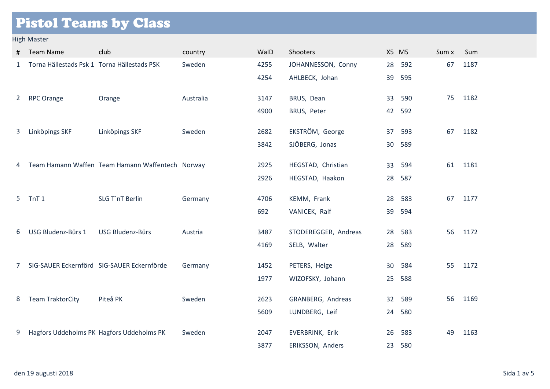# Pistol Teams by Class

### High Master

| #              | <b>Team Name</b>                            | club                                             | country   | WalD | Shooters             | X5 M5 |        | Sum x | Sum  |
|----------------|---------------------------------------------|--------------------------------------------------|-----------|------|----------------------|-------|--------|-------|------|
| 1              | Torna Hällestads Psk 1 Torna Hällestads PSK |                                                  | Sweden    | 4255 | JOHANNESSON, Conny   | 28    | 592    | 67    | 1187 |
|                |                                             |                                                  |           | 4254 | AHLBECK, Johan       | 39    | 595    |       |      |
| $\overline{2}$ | <b>RPC Orange</b>                           | Orange                                           | Australia | 3147 | BRUS, Dean           | 33    | 590    | 75    | 1182 |
|                |                                             |                                                  |           | 4900 | BRUS, Peter          |       | 42 592 |       |      |
|                |                                             |                                                  |           |      |                      |       |        |       |      |
| 3              | Linköpings SKF                              | Linköpings SKF                                   | Sweden    | 2682 | EKSTRÖM, George      | 37    | 593    | 67    | 1182 |
|                |                                             |                                                  |           | 3842 | SJÖBERG, Jonas       | 30    | 589    |       |      |
|                |                                             |                                                  |           |      |                      |       |        |       |      |
| 4              |                                             | Team Hamann Waffen Team Hamann Waffentech Norway |           | 2925 | HEGSTAD, Christian   | 33    | 594    | 61    | 1181 |
|                |                                             |                                                  |           | 2926 | HEGSTAD, Haakon      | 28    | 587    |       |      |
| $5 -$          | TnT <sub>1</sub>                            | SLG T'nT Berlin                                  | Germany   | 4706 | KEMM, Frank          | 28    | 583    | 67    | 1177 |
|                |                                             |                                                  |           | 692  | VANICEK, Ralf        | 39    | 594    |       |      |
|                |                                             |                                                  |           |      |                      |       |        |       |      |
| 6              | USG Bludenz-Bürs 1                          | USG Bludenz-Bürs                                 | Austria   | 3487 | STODEREGGER, Andreas | 28    | 583    | 56    | 1172 |
|                |                                             |                                                  |           | 4169 | SELB, Walter         | 28    | 589    |       |      |
| 7              |                                             | SIG-SAUER Eckernförd SIG-SAUER Eckernförde       | Germany   | 1452 | PETERS, Helge        | 30    | 584    | 55    | 1172 |
|                |                                             |                                                  |           | 1977 | WIZOFSKY, Johann     | 25    | 588    |       |      |
|                |                                             |                                                  |           |      |                      |       |        |       |      |
| 8              | <b>Team TraktorCity</b>                     | Piteå PK                                         | Sweden    | 2623 | GRANBERG, Andreas    | 32    | 589    | 56    | 1169 |
|                |                                             |                                                  |           | 5609 | LUNDBERG, Leif       |       | 24 580 |       |      |
|                |                                             |                                                  |           |      |                      |       |        |       |      |
| 9              |                                             | Hagfors Uddeholms PK Hagfors Uddeholms PK        | Sweden    | 2047 | EVERBRINK, Erik      | 26    | 583    | 49    | 1163 |
|                |                                             |                                                  |           | 3877 | ERIKSSON, Anders     | 23    | 580    |       |      |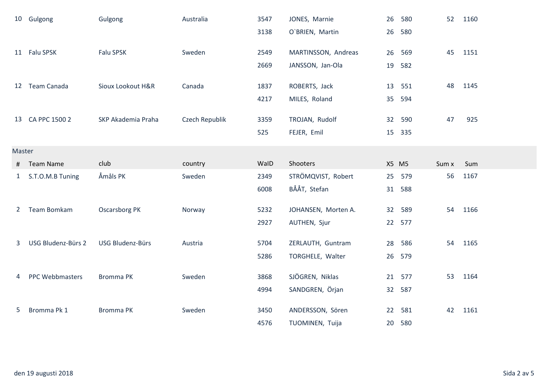|                | 10 Gulgong         | Gulgong              | Australia      | 3547 | JONES, Marnie       | 26              | 580    | 52    | 1160 |
|----------------|--------------------|----------------------|----------------|------|---------------------|-----------------|--------|-------|------|
|                |                    |                      |                | 3138 | O'BRIEN, Martin     | 26              | 580    |       |      |
|                | 11 Falu SPSK       | Falu SPSK            | Sweden         | 2549 | MARTINSSON, Andreas | 26              | 569    | 45    | 1151 |
|                |                    |                      |                | 2669 | JANSSON, Jan-Ola    | 19              | 582    |       |      |
|                | 12 Team Canada     | Sioux Lookout H&R    | Canada         | 1837 | ROBERTS, Jack       | 13              | 551    | 48    | 1145 |
|                |                    |                      |                | 4217 | MILES, Roland       | 35              | 594    |       |      |
|                | 13 CA PPC 1500 2   | SKP Akademia Praha   | Czech Republik | 3359 | TROJAN, Rudolf      | 32              | 590    | 47    | 925  |
|                |                    |                      |                | 525  | FEJER, Emil         | 15              | 335    |       |      |
| Master         |                    |                      |                |      |                     |                 |        |       |      |
| #              | <b>Team Name</b>   | club                 | country        | WalD | Shooters            | X5 M5           |        | Sum x | Sum  |
| $\mathbf{1}$   | S.T.O.M.B Tuning   | Åmåls PK             | Sweden         | 2349 | STRÖMQVIST, Robert  | 25              | 579    | 56    | 1167 |
|                |                    |                      |                | 6008 | BÅÅT, Stefan        | 31              | 588    |       |      |
| $\overline{2}$ | Team Bomkam        | <b>Oscarsborg PK</b> | Norway         | 5232 | JOHANSEN, Morten A. | 32 <sup>2</sup> | 589    | 54    | 1166 |
|                |                    |                      |                | 2927 | AUTHEN, Sjur        | 22              | 577    |       |      |
| 3              | USG Bludenz-Bürs 2 | USG Bludenz-Bürs     | Austria        | 5704 | ZERLAUTH, Guntram   | 28              | 586    | 54    | 1165 |
|                |                    |                      |                | 5286 | TORGHELE, Walter    | 26              | 579    |       |      |
| 4              | PPC Webbmasters    | <b>Bromma PK</b>     | Sweden         | 3868 | SJÖGREN, Niklas     | 21              | 577    | 53    | 1164 |
|                |                    |                      |                | 4994 | SANDGREN, Örjan     | 32              | 587    |       |      |
| 5              | Bromma Pk 1        | <b>Bromma PK</b>     | Sweden         | 3450 | ANDERSSON, Sören    | 22              | 581    | 42    | 1161 |
|                |                    |                      |                | 4576 | TUOMINEN, Tuija     |                 | 20 580 |       |      |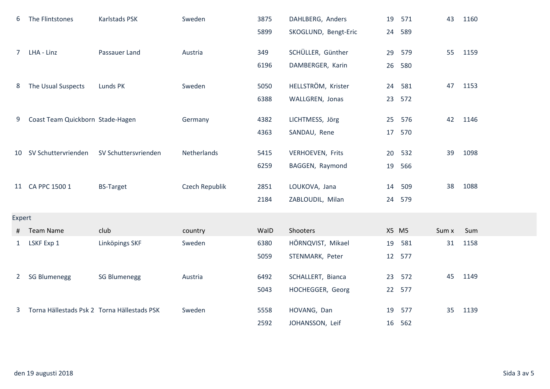| 6            | The Flintstones                             | Karlstads PSK        | Sweden         | 3875 | DAHLBERG, Anders     | 19    | 571    | 43    | 1160 |
|--------------|---------------------------------------------|----------------------|----------------|------|----------------------|-------|--------|-------|------|
|              |                                             |                      |                | 5899 | SKOGLUND, Bengt-Eric | 24    | 589    |       |      |
|              | 7 LHA - Linz                                | Passauer Land        | Austria        | 349  | SCHÜLLER, Günther    | 29    | 579    | 55    | 1159 |
|              |                                             |                      |                | 6196 | DAMBERGER, Karin     | 26    | 580    |       |      |
| 8            | The Usual Suspects                          | Lunds PK             | Sweden         | 5050 | HELLSTRÖM, Krister   | 24    | 581    | 47    | 1153 |
|              |                                             |                      |                | 6388 | WALLGREN, Jonas      | 23    | 572    |       |      |
| 9            | Coast Team Quickborn Stade-Hagen            |                      | Germany        | 4382 | LICHTMESS, Jörg      | 25    | 576    | 42    | 1146 |
|              |                                             |                      |                | 4363 | SANDAU, Rene         | 17    | 570    |       |      |
|              | 10 SV Schuttervrienden                      | SV Schuttersvrienden | Netherlands    | 5415 | VERHOEVEN, Frits     | 20    | 532    | 39    | 1098 |
|              |                                             |                      |                | 6259 | BAGGEN, Raymond      | 19    | 566    |       |      |
|              | 11 CA PPC 1500 1                            | <b>BS-Target</b>     | Czech Republik | 2851 | LOUKOVA, Jana        | 14    | 509    | 38    | 1088 |
|              |                                             |                      |                | 2184 | ZABLOUDIL, Milan     | 24    | 579    |       |      |
| Expert       |                                             |                      |                |      |                      |       |        |       |      |
| #            | <b>Team Name</b>                            | club                 | country        | WalD | Shooters             | X5 M5 |        | Sum x | Sum  |
| $\mathbf{1}$ | LSKF Exp 1                                  | Linköpings SKF       | Sweden         | 6380 | HÖRNQVIST, Mikael    | 19    | 581    | 31    | 1158 |
|              |                                             |                      |                | 5059 | STENMARK, Peter      | 12    | 577    |       |      |
| $2^{\circ}$  | <b>SG Blumenegg</b>                         | <b>SG Blumenegg</b>  | Austria        | 6492 | SCHALLERT, Bianca    | 23    | 572    | 45    | 1149 |
|              |                                             |                      |                | 5043 | HOCHEGGER, Georg     | 22    | 577    |       |      |
| 3            | Torna Hällestads Psk 2 Torna Hällestads PSK |                      | Sweden         | 5558 | HOVANG, Dan          | 19    | 577    | 35    | 1139 |
|              |                                             |                      |                | 2592 | JOHANSSON, Leif      |       | 16 562 |       |      |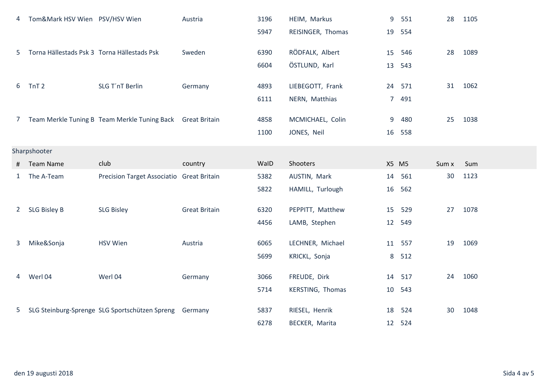| 4              | Tom&Mark HSV Wien PSV/HSV Wien              |                                                            | Austria              | 3196 | HEIM, Markus      | 9           | 551    | 28    | 1105 |
|----------------|---------------------------------------------|------------------------------------------------------------|----------------------|------|-------------------|-------------|--------|-------|------|
|                |                                             |                                                            |                      | 5947 | REISINGER, Thomas | 19          | 554    |       |      |
| 5              | Torna Hällestads Psk 3 Torna Hällestads Psk |                                                            | Sweden               | 6390 | RÖDFALK, Albert   | 15          | 546    | 28    | 1089 |
|                |                                             |                                                            |                      | 6604 | ÖSTLUND, Karl     | 13          | 543    |       |      |
| 6              | TnT <sub>2</sub>                            | SLG T'nT Berlin                                            | Germany              | 4893 | LIEBEGOTT, Frank  |             | 24 571 | 31    | 1062 |
|                |                                             |                                                            |                      | 6111 | NERN, Matthias    | $7^{\circ}$ | 491    |       |      |
| 7 <sup>7</sup> |                                             | Team Merkle Tuning B Team Merkle Tuning Back Great Britain |                      | 4858 | MCMICHAEL, Colin  | 9           | 480    | 25    | 1038 |
|                |                                             |                                                            |                      | 1100 | JONES, Neil       | 16          | 558    |       |      |
|                | Sharpshooter                                |                                                            |                      |      |                   |             |        |       |      |
| #              | <b>Team Name</b>                            | club                                                       | country              | WalD | Shooters          | X5 M5       |        | Sum x | Sum  |
| 1              | The A-Team                                  | Precision Target Associatio Great Britain                  |                      | 5382 | AUSTIN, Mark      | 14          | 561    | 30    | 1123 |
|                |                                             |                                                            |                      | 5822 | HAMILL, Turlough  | 16          | 562    |       |      |
| 2              | <b>SLG Bisley B</b>                         | <b>SLG Bisley</b>                                          | <b>Great Britain</b> | 6320 | PEPPITT, Matthew  | 15          | 529    | 27    | 1078 |
|                |                                             |                                                            |                      | 4456 | LAMB, Stephen     | 12          | 549    |       |      |
| 3              | Mike&Sonja                                  | <b>HSV Wien</b>                                            | Austria              | 6065 | LECHNER, Michael  | 11          | 557    | 19    | 1069 |
|                |                                             |                                                            |                      | 5699 | KRICKL, Sonja     | 8           | 512    |       |      |
| 4              | Werl 04                                     | Werl 04                                                    | Germany              | 3066 | FREUDE, Dirk      | 14          | 517    | 24    | 1060 |
|                |                                             |                                                            |                      | 5714 | KERSTING, Thomas  | 10          | 543    |       |      |
| $5^{\circ}$    |                                             | SLG Steinburg-Sprenge SLG Sportschützen Spreng             | Germany              | 5837 | RIESEL, Henrik    | 18          | 524    | 30    | 1048 |
|                |                                             |                                                            |                      | 6278 | BECKER, Marita    | 12          | 524    |       |      |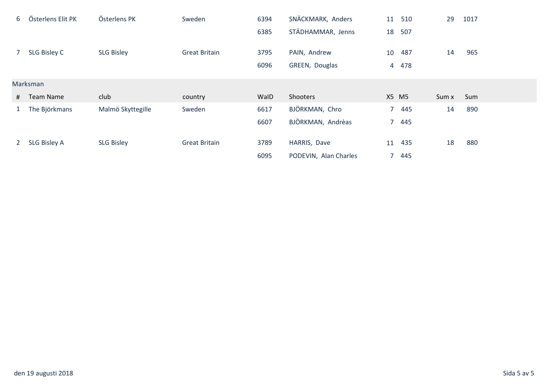| 6                | Österlens Elit PK | Österlens PK      | Sweden               | 6394 | SNÄCKMARK, Anders     | 11    | 510    | 29    | 1017 |  |
|------------------|-------------------|-------------------|----------------------|------|-----------------------|-------|--------|-------|------|--|
|                  |                   |                   |                      | 6385 | STÄDHAMMAR, Jenns     |       | 18 507 |       |      |  |
| $\overline{7}$   | SLG Bisley C      | <b>SLG Bisley</b> | <b>Great Britain</b> | 3795 |                       |       | 487    | 14    | 965  |  |
|                  |                   |                   |                      |      | PAIN, Andrew          | 10    |        |       |      |  |
|                  |                   |                   |                      | 6096 | GREEN, Douglas        |       | 4 478  |       |      |  |
|                  | Marksman          |                   |                      |      |                       |       |        |       |      |  |
|                  | # Team Name       | club              | country              | WalD | Shooters              | X5 M5 |        | Sum x | Sum  |  |
|                  | 1 The Björkmans   | Malmö Skyttegille | Sweden               | 6617 | BJÖRKMAN, Chro        |       | 7 445  | 14    | 890  |  |
|                  |                   |                   |                      | 6607 | BJÖRKMAN, Andrèas     |       | 7 445  |       |      |  |
|                  |                   |                   |                      |      |                       |       |        |       |      |  |
| $2 \overline{ }$ | SLG Bisley A      | <b>SLG Bisley</b> | <b>Great Britain</b> | 3789 | HARRIS, Dave          | 11    | 435    | 18    | 880  |  |
|                  |                   |                   |                      | 6095 | PODEVIN, Alan Charles |       | 7 445  |       |      |  |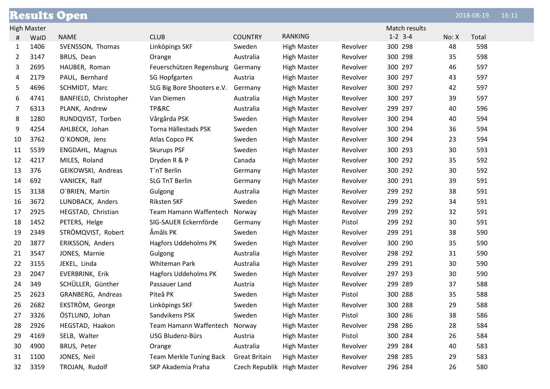|    |                    | <b>Results Open</b>   |                                |                            |                    |          |               |       | 2018-08-19 | 16:11 |
|----|--------------------|-----------------------|--------------------------------|----------------------------|--------------------|----------|---------------|-------|------------|-------|
|    | <b>High Master</b> |                       |                                |                            |                    |          | Match results |       |            |       |
| #  | WalD               | <b>NAME</b>           | <b>CLUB</b>                    | <b>COUNTRY</b>             | <b>RANKING</b>     |          | $1 - 2$ 3-4   | No: X | Total      |       |
| 1  | 1406               | SVENSSON, Thomas      | Linköpings SKF                 | Sweden                     | <b>High Master</b> | Revolver | 300 298       | 48    | 598        |       |
| 2  | 3147               | BRUS, Dean            | Orange                         | Australia                  | <b>High Master</b> | Revolver | 300 298       | 35    | 598        |       |
| 3  | 2695               | HAUBER, Roman         | Feuerschützen Regensburg       | Germany                    | <b>High Master</b> | Revolver | 300 297       | 46    | 597        |       |
| 4  | 2179               | PAUL, Bernhard        | SG Hopfgarten                  | Austria                    | <b>High Master</b> | Revolver | 300 297       | 43    | 597        |       |
| 5  | 4696               | SCHMIDT, Marc         | SLG Big Bore Shooters e.V.     | Germany                    | <b>High Master</b> | Revolver | 300 297       | 42    | 597        |       |
| 6  | 4741               | BANFIELD, Christopher | Van Diemen                     | Australia                  | <b>High Master</b> | Revolver | 300 297       | 39    | 597        |       |
| 7  | 6313               | PLANK, Andrew         | TP&RC                          | Australia                  | <b>High Master</b> | Revolver | 299 297       | 40    | 596        |       |
| 8  | 1280               | RUNDQVIST, Torben     | Vårgårda PSK                   | Sweden                     | <b>High Master</b> | Revolver | 300 294       | 40    | 594        |       |
| 9  | 4254               | AHLBECK, Johan        | Torna Hällestads PSK           | Sweden                     | <b>High Master</b> | Revolver | 300 294       | 36    | 594        |       |
| 10 | 3762               | O'KONOR, Jens         | Atlas Copco PK                 | Sweden                     | <b>High Master</b> | Revolver | 300 294       | 23    | 594        |       |
| 11 | 5539               | ENGDAHL, Magnus       | <b>Skurups PSF</b>             | Sweden                     | <b>High Master</b> | Revolver | 300 293       | 30    | 593        |       |
| 12 | 4217               | MILES, Roland         | Dryden R & P                   | Canada                     | <b>High Master</b> | Revolver | 300 292       | 35    | 592        |       |
| 13 | 376                | GEIKOWSKI, Andreas    | T'nT Berlin                    | Germany                    | <b>High Master</b> | Revolver | 300 292       | 30    | 592        |       |
| 14 | 692                | VANICEK, Ralf         | <b>SLG TnT Berlin</b>          | Germany                    | <b>High Master</b> | Revolver | 300 291       | 39    | 591        |       |
| 15 | 3138               | O'BRIEN, Martin       | Gulgong                        | Australia                  | <b>High Master</b> | Revolver | 299 292       | 38    | 591        |       |
| 16 | 3672               | LUNDBACK, Anders      | <b>Riksten SKF</b>             | Sweden                     | <b>High Master</b> | Revolver | 299 292       | 34    | 591        |       |
| 17 | 2925               | HEGSTAD, Christian    | Team Hamann Waffentech         | Norway                     | <b>High Master</b> | Revolver | 299 292       | 32    | 591        |       |
| 18 | 1452               | PETERS, Helge         | SIG-SAUER Eckernförde          | Germany                    | <b>High Master</b> | Pistol   | 299 292       | 30    | 591        |       |
| 19 | 2349               | STRÖMQVIST, Robert    | Åmåls PK                       | Sweden                     | <b>High Master</b> | Revolver | 299 291       | 38    | 590        |       |
| 20 | 3877               | ERIKSSON, Anders      | Hagfors Uddeholms PK           | Sweden                     | <b>High Master</b> | Revolver | 300 290       | 35    | 590        |       |
| 21 | 3547               | JONES, Marnie         | Gulgong                        | Australia                  | <b>High Master</b> | Revolver | 298 292       | 31    | 590        |       |
| 22 | 3155               | JEKEL, Linda          | Whiteman Park                  | Australia                  | <b>High Master</b> | Revolver | 299 291       | 30    | 590        |       |
| 23 | 2047               | EVERBRINK, Erik       | <b>Hagfors Uddeholms PK</b>    | Sweden                     | <b>High Master</b> | Revolver | 297 293       | 30    | 590        |       |
| 24 | 349                | SCHÜLLER, Günther     | Passauer Land                  | Austria                    | <b>High Master</b> | Revolver | 299 289       | 37    | 588        |       |
| 25 | 2623               | GRANBERG, Andreas     | Piteå PK                       | Sweden                     | <b>High Master</b> | Pistol   | 300 288       | 35    | 588        |       |
| 26 | 2682               | EKSTRÖM, George       | Linköpings SKF                 | Sweden                     | <b>High Master</b> | Revolver | 300 288       | 29    | 588        |       |
| 27 | 3326               | ÖSTLUND, Johan        | Sandvikens PSK                 | Sweden                     | <b>High Master</b> | Pistol   | 300 286       | 38    | 586        |       |
| 28 | 2926               | HEGSTAD, Haakon       | Team Hamann Waffentech         | Norway                     | <b>High Master</b> | Revolver | 298 286       | 28    | 584        |       |
| 29 | 4169               | SELB, Walter          | USG Bludenz-Bürs               | Austria                    | <b>High Master</b> | Pistol   | 300 284       | 26    | 584        |       |
| 30 | 4900               | BRUS, Peter           | Orange                         | Australia                  | <b>High Master</b> | Revolver | 299 284       | 40    | 583        |       |
| 31 | 1100               | JONES, Neil           | <b>Team Merkle Tuning Back</b> | <b>Great Britain</b>       | <b>High Master</b> | Revolver | 298 285       | 29    | 583        |       |
| 32 | 3359               | TROJAN, Rudolf        | SKP Akademia Praha             | Czech Republik High Master |                    | Revolver | 296 284       | 26    | 580        |       |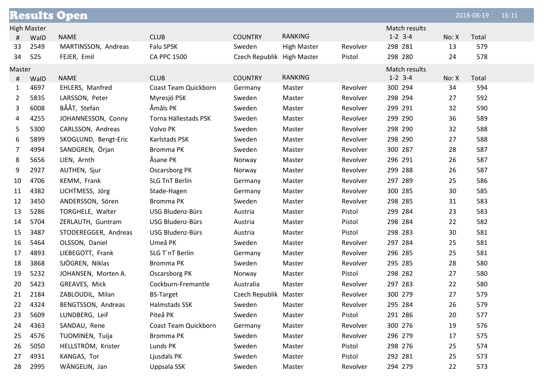|              |                    | <b>Results Open</b>  |                       |                            |                    |          |               |       | 2018-08-19 | 16:11 |
|--------------|--------------------|----------------------|-----------------------|----------------------------|--------------------|----------|---------------|-------|------------|-------|
|              | <b>High Master</b> |                      |                       |                            |                    |          | Match results |       |            |       |
| #            | WalD               | <b>NAME</b>          | <b>CLUB</b>           | <b>COUNTRY</b>             | <b>RANKING</b>     |          | $1-2$ 3-4     | No: X | Total      |       |
| 33           | 2549               | MARTINSSON, Andreas  | Falu SPSK             | Sweden                     | <b>High Master</b> | Revolver | 298 281       | 13    | 579        |       |
| 34           | 525                | FEJER, Emil          | <b>CA PPC 1500</b>    | Czech Republik High Master |                    | Pistol   | 298 280       | 24    | 578        |       |
| Master       |                    |                      |                       |                            |                    |          | Match results |       |            |       |
| #            | WalD               | <b>NAME</b>          | <b>CLUB</b>           | <b>COUNTRY</b>             | <b>RANKING</b>     |          | $1 - 2$ 3-4   | No: X | Total      |       |
| $\mathbf{1}$ | 4697               | EHLERS, Manfred      | Coast Team Quickborn  | Germany                    | Master             | Revolver | 300 294       | 34    | 594        |       |
| $\mathbf{2}$ | 5835               | LARSSON, Peter       | Myresjö PSK           | Sweden                     | Master             | Revolver | 298 294       | 27    | 592        |       |
| 3            | 6008               | BÅÅT, Stefan         | Åmåls PK              | Sweden                     | Master             | Revolver | 299 291       | 32    | 590        |       |
| 4            | 4255               | JOHANNESSON, Conny   | Torna Hällestads PSK  | Sweden                     | Master             | Revolver | 299 290       | 36    | 589        |       |
| 5            | 5300               | CARLSSON, Andreas    | Volvo PK              | Sweden                     | Master             | Revolver | 298 290       | 32    | 588        |       |
| 6            | 5899               | SKOGLUND, Bengt-Eric | Karlstads PSK         | Sweden                     | Master             | Revolver | 298 290       | 27    | 588        |       |
| 7            | 4994               | SANDGREN, Örjan      | Bromma PK             | Sweden                     | Master             | Revolver | 300 287       | 28    | 587        |       |
| 8            | 5656               | LIEN, Arnth          | Åsane PK              | Norway                     | Master             | Revolver | 296 291       | 26    | 587        |       |
| 9            | 2927               | AUTHEN, Sjur         | Oscarsborg PK         | Norway                     | Master             | Revolver | 299 288       | 26    | 587        |       |
| 10           | 4706               | KEMM, Frank          | <b>SLG TnT Berlin</b> | Germany                    | Master             | Revolver | 297 289       | 25    | 586        |       |
| 11           | 4382               | LICHTMESS, Jörg      | Stade-Hagen           | Germany                    | Master             | Revolver | 300 285       | 30    | 585        |       |
| 12           | 3450               | ANDERSSON, Sören     | Bromma PK             | Sweden                     | Master             | Revolver | 298 285       | 31    | 583        |       |
| 13           | 5286               | TORGHELE, Walter     | USG Bludenz-Bürs      | Austria                    | Master             | Pistol   | 299 284       | 23    | 583        |       |
| 14           | 5704               | ZERLAUTH, Guntram    | USG Bludenz-Bürs      | Austria                    | Master             | Pistol   | 298 284       | 22    | 582        |       |
| 15           | 3487               | STODEREGGER, Andreas | USG Bludenz-Bürs      | Austria                    | Master             | Pistol   | 298 283       | 30    | 581        |       |
| 16           | 5464               | OLSSON, Daniel       | Umeå PK               | Sweden                     | Master             | Revolver | 297 284       | 25    | 581        |       |
| 17           | 4893               | LIEBEGOTT, Frank     | SLG T'nT Berlin       | Germany                    | Master             | Revolver | 296 285       | 25    | 581        |       |
| 18           | 3868               | SJÖGREN, Niklas      | Bromma PK             | Sweden                     | Master             | Revolver | 295 285       | 28    | 580        |       |
| 19           | 5232               | JOHANSEN, Morten A.  | Oscarsborg PK         | Norway                     | Master             | Pistol   | 298 282       | 27    | 580        |       |
| 20           | 5423               | GREAVES, Mick        | Cockburn-Fremantle    | Australia                  | Master             | Revolver | 297 283       | 22    | 580        |       |
| 21           | 2184               | ZABLOUDIL, Milan     | <b>BS-Target</b>      | Czech Republik Master      |                    | Revolver | 300 279       | 27    | 579        |       |
| 22           | 4324               | BENGTSSON, Andreas   | Halmstads SSK         | Sweden                     | Master             | Revolver | 295 284       | 26    | 579        |       |
| 23           | 5609               | LUNDBERG, Leif       | Piteå PK              | Sweden                     | Master             | Pistol   | 291 286       | 20    | 577        |       |
| 24           | 4363               | SANDAU, Rene         | Coast Team Quickborn  | Germany                    | Master             | Revolver | 300 276       | 19    | 576        |       |
| 25           | 4576               | TUOMINEN, Tuija      | Bromma PK             | Sweden                     | Master             | Revolver | 296 279       | 17    | 575        |       |
| 26           | 5050               | HELLSTRÖM, Krister   | Lunds PK              | Sweden                     | Master             | Pistol   | 298 276       | 25    | 574        |       |
| 27           | 4931               | KANGAS, Tor          | Ljusdals PK           | Sweden                     | Master             | Pistol   | 292 281       | 25    | 573        |       |
| 28           | 2995               | WÄNGELIN, Jan        | Uppsala SSK           | Sweden                     | Master             | Revolver | 294 279       | 22    | 573        |       |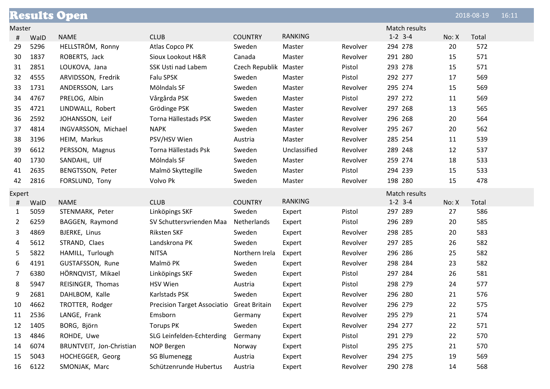|                |      | <b>Results Open</b>      |                                           |                       |                |          |               |       | 2018-08-19 | 16:11 |
|----------------|------|--------------------------|-------------------------------------------|-----------------------|----------------|----------|---------------|-------|------------|-------|
| Master         |      |                          |                                           |                       |                |          | Match results |       |            |       |
| #              | WalD | <b>NAME</b>              | <b>CLUB</b>                               | <b>COUNTRY</b>        | <b>RANKING</b> |          | $1 - 2$ 3-4   | No: X | Total      |       |
| 29             | 5296 | HELLSTRÖM, Ronny         | Atlas Copco PK                            | Sweden                | Master         | Revolver | 294 278       | 20    | 572        |       |
| 30             | 1837 | ROBERTS, Jack            | Sioux Lookout H&R                         | Canada                | Master         | Revolver | 291 280       | 15    | 571        |       |
| 31             | 2851 | LOUKOVA, Jana            | SSK Usti nad Labem                        | Czech Republik Master |                | Pistol   | 293 278       | 15    | 571        |       |
| 32             | 4555 | ARVIDSSON, Fredrik       | Falu SPSK                                 | Sweden                | Master         | Pistol   | 292 277       | 17    | 569        |       |
| 33             | 1731 | ANDERSSON, Lars          | Mölndals SF                               | Sweden                | Master         | Revolver | 295 274       | 15    | 569        |       |
| 34             | 4767 | PRELOG, Albin            | Vårgårda PSK                              | Sweden                | Master         | Pistol   | 297 272       | 11    | 569        |       |
| 35             | 4721 | LINDWALL, Robert         | Grödinge PSK                              | Sweden                | Master         | Revolver | 297 268       | 13    | 565        |       |
| 36             | 2592 | JOHANSSON, Leif          | Torna Hällestads PSK                      | Sweden                | Master         | Revolver | 296 268       | 20    | 564        |       |
| 37             | 4814 | INGVARSSON, Michael      | <b>NAPK</b>                               | Sweden                | Master         | Revolver | 295 267       | 20    | 562        |       |
| 38             | 3196 | HEIM, Markus             | PSV/HSV Wien                              | Austria               | Master         | Revolver | 285 254       | 11    | 539        |       |
| 39             | 6612 | PERSSON, Magnus          | Torna Hällestads Psk                      | Sweden                | Unclassified   | Revolver | 289 248       | 12    | 537        |       |
| 40             | 1730 | SANDAHL, Ulf             | Mölndals SF                               | Sweden                | Master         | Revolver | 259 274       | 18    | 533        |       |
| 41             | 2635 | BENGTSSON, Peter         | Malmö Skyttegille                         | Sweden                | Master         | Pistol   | 294 239       | 15    | 533        |       |
| 42             | 2816 | FORSLUND, Tony           | Volvo Pk                                  | Sweden                | Master         | Revolver | 198 280       | 15    | 478        |       |
| Expert         |      |                          |                                           |                       |                |          | Match results |       |            |       |
| #              | WalD | <b>NAME</b>              | <b>CLUB</b>                               | <b>COUNTRY</b>        | <b>RANKING</b> |          | $1-2$ 3-4     | No: X | Total      |       |
| 1              | 5059 | STENMARK, Peter          | Linköpings SKF                            | Sweden                | Expert         | Pistol   | 297 289       | 27    | 586        |       |
| $\overline{2}$ | 6259 | BAGGEN, Raymond          | SV Schuttersvrienden Maa                  | Netherlands           | Expert         | Pistol   | 296 289       | 20    | 585        |       |
| 3              | 4869 | BJERKE, Linus            | <b>Riksten SKF</b>                        | Sweden                | Expert         | Revolver | 298 285       | 20    | 583        |       |
| 4              | 5612 | STRAND, Claes            | Landskrona PK                             | Sweden                | Expert         | Revolver | 297 285       | 26    | 582        |       |
| 5              | 5822 | HAMILL, Turlough         | <b>NITSA</b>                              | Northern Irela        | Expert         | Revolver | 296 286       | 25    | 582        |       |
| 6              | 4191 | GUSTAFSSON, Rune         | Malmö PK                                  | Sweden                | Expert         | Revolver | 298 284       | 23    | 582        |       |
| 7              | 6380 | HÖRNQVIST, Mikael        | Linköpings SKF                            | Sweden                | Expert         | Pistol   | 297 284       | 26    | 581        |       |
| 8              | 5947 | REISINGER, Thomas        | <b>HSV Wien</b>                           | Austria               | Expert         | Pistol   | 298 279       | 24    | 577        |       |
| 9              | 2681 | DAHLBOM, Kalle           | Karlstads PSK                             | Sweden                | Expert         | Revolver | 296 280       | 21    | 576        |       |
| 10             | 4662 | TROTTER, Rodger          | Precision Target Associatio Great Britain |                       | Expert         | Revolver | 296 279       | 22    | 575        |       |
| 11             | 2536 | LANGE, Frank             | Emsborn                                   | Germany               | Expert         | Revolver | 295 279       | 21    | 574        |       |
| 12             | 1405 | BORG, Björn              | <b>Torups PK</b>                          | Sweden                | Expert         | Revolver | 294 277       | 22    | 571        |       |
| 13             | 4846 | ROHDE, Uwe               | SLG Leinfelden-Echterding                 | Germany               | Expert         | Pistol   | 291 279       | 22    | 570        |       |
| 14             | 6074 | BRUNTVEIT, Jon-Christian | NOP Bergen                                | Norway                | Expert         | Pistol   | 295 275       | 21    | 570        |       |
| 15             | 5043 | HOCHEGGER, Georg         | <b>SG Blumenegg</b>                       | Austria               | Expert         | Revolver | 294 275       | 19    | 569        |       |
| 16             | 6122 | SMONJAK, Marc            | Schützenrunde Hubertus                    | Austria               | Expert         | Revolver | 290 278       | 14    | 568        |       |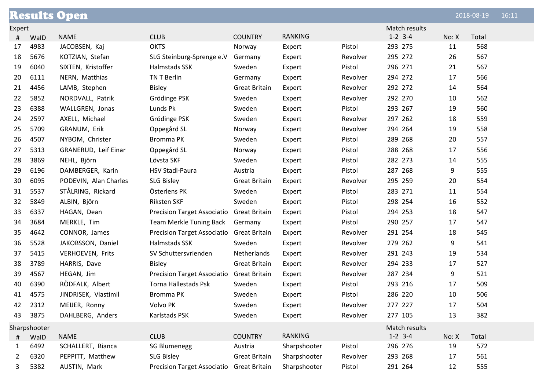|        |              | <b>Results Open</b>     |                                           |                      |                |          |               |       | 2018-08-19 | 16:11 |
|--------|--------------|-------------------------|-------------------------------------------|----------------------|----------------|----------|---------------|-------|------------|-------|
| Expert |              |                         |                                           |                      |                |          | Match results |       |            |       |
| #      | WalD         | <b>NAME</b>             | <b>CLUB</b>                               | <b>COUNTRY</b>       | <b>RANKING</b> |          | $1-2$ 3-4     | No: X | Total      |       |
| 17     | 4983         | JACOBSEN, Kaj           | <b>OKTS</b>                               | Norway               | Expert         | Pistol   | 293 275       | 11    | 568        |       |
| 18     | 5676         | KOTZIAN, Stefan         | SLG Steinburg-Sprenge e.V                 | Germany              | Expert         | Revolver | 295 272       | 26    | 567        |       |
| 19     | 6040         | SIXTEN, Kristoffer      | Halmstads SSK                             | Sweden               | Expert         | Pistol   | 296 271       | 21    | 567        |       |
| 20     | 6111         | NERN, Matthias          | TN T Berlin                               | Germany              | Expert         | Revolver | 294 272       | 17    | 566        |       |
| 21     | 4456         | LAMB, Stephen           | <b>Bisley</b>                             | <b>Great Britain</b> | Expert         | Revolver | 292 272       | 14    | 564        |       |
| 22     | 5852         | NORDVALL, Patrik        | Grödinge PSK                              | Sweden               | Expert         | Revolver | 292 270       | 10    | 562        |       |
| 23     | 6388         | WALLGREN, Jonas         | Lunds Pk                                  | Sweden               | Expert         | Pistol   | 293 267       | 19    | 560        |       |
| 24     | 2597         | AXELL, Michael          | Grödinge PSK                              | Sweden               | Expert         | Revolver | 297 262       | 18    | 559        |       |
| 25     | 5709         | GRANUM, Erik            | Oppegård SL                               | Norway               | Expert         | Revolver | 294 264       | 19    | 558        |       |
| 26     | 4507         | NYBOM, Christer         | Bromma PK                                 | Sweden               | Expert         | Pistol   | 289 268       | 20    | 557        |       |
| 27     | 5313         | GRANERUD, Leif Einar    | Oppegård SL                               | Norway               | Expert         | Pistol   | 288 268       | 17    | 556        |       |
| 28     | 3869         | NEHL, Björn             | Lövsta SKF                                | Sweden               | Expert         | Pistol   | 282 273       | 14    | 555        |       |
| 29     | 6196         | DAMBERGER, Karin        | <b>HSV Stadl-Paura</b>                    | Austria              | Expert         | Pistol   | 287 268       | 9     | 555        |       |
| 30     | 6095         | PODEVIN, Alan Charles   | <b>SLG Bisley</b>                         | <b>Great Britain</b> | Expert         | Revolver | 295 259       | 20    | 554        |       |
| 31     | 5537         | STÅLRING, Rickard       | Österlens PK                              | Sweden               | Expert         | Pistol   | 283 271       | 11    | 554        |       |
| 32     | 5849         | ALBIN, Björn            | <b>Riksten SKF</b>                        | Sweden               | Expert         | Pistol   | 298 254       | 16    | 552        |       |
| 33     | 6337         | HAGAN, Dean             | Precision Target Associatio Great Britain |                      | Expert         | Pistol   | 294 253       | 18    | 547        |       |
| 34     | 3684         | MERKLE, Tim             | Team Merkle Tuning Back                   | Germany              | Expert         | Pistol   | 290 257       | 17    | 547        |       |
| 35     | 4642         | CONNOR, James           | Precision Target Associatio Great Britain |                      | Expert         | Revolver | 291 254       | 18    | 545        |       |
| 36     | 5528         | JAKOBSSON, Daniel       | Halmstads SSK                             | Sweden               | Expert         | Revolver | 279 262       | 9     | 541        |       |
| 37     | 5415         | <b>VERHOEVEN, Frits</b> | SV Schuttersvrienden                      | Netherlands          | Expert         | Revolver | 291 243       | 19    | 534        |       |
| 38     | 3789         | HARRIS, Dave            | <b>Bisley</b>                             | <b>Great Britain</b> | Expert         | Revolver | 294 233       | 17    | 527        |       |
| 39     | 4567         | HEGAN, Jim              | <b>Precision Target Associatio</b>        | <b>Great Britain</b> | Expert         | Revolver | 287 234       | 9     | 521        |       |
| 40     | 6390         | RÖDFALK, Albert         | Torna Hällestads Psk                      | Sweden               | Expert         | Pistol   | 293 216       | 17    | 509        |       |
| 41     | 4575         | JINDRISEK, Vlastimil    | Bromma PK                                 | Sweden               | Expert         | Pistol   | 286 220       | 10    | 506        |       |
| 42     | 2312         | MEIJER, Ronny           | Volvo PK                                  | Sweden               | Expert         | Revolver | 277 227       | 17    | 504        |       |
| 43     | 3875         | DAHLBERG, Anders        | Karlstads PSK                             | Sweden               | Expert         | Revolver | 277 105       | 13    | 382        |       |
|        | Sharpshooter |                         |                                           |                      |                |          | Match results |       |            |       |
| #      | WalD         | <b>NAME</b>             | <b>CLUB</b>                               | <b>COUNTRY</b>       | <b>RANKING</b> |          | $1-2$ 3-4     | No: X | Total      |       |
| 1      | 6492         | SCHALLERT, Bianca       | <b>SG Blumenegg</b>                       | Austria              | Sharpshooter   | Pistol   | 296 276       | 19    | 572        |       |
| 2      | 6320         | PEPPITT, Matthew        | <b>SLG Bisley</b>                         | <b>Great Britain</b> | Sharpshooter   | Revolver | 293 268       | 17    | 561        |       |
| 3      | 5382         | AUSTIN, Mark            | Precision Target Associatio Great Britain |                      | Sharpshooter   | Pistol   | 291 264       | 12    | 555        |       |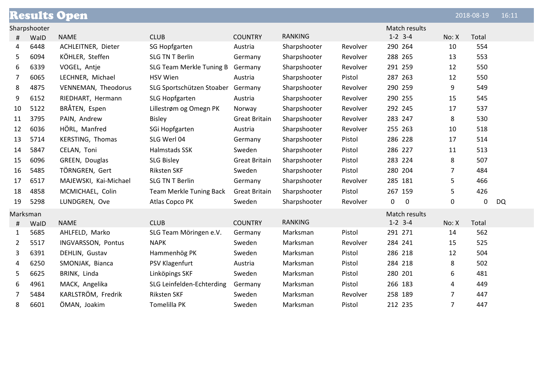|          |              | <b>Results Open</b>   |                                |                      |                |          |                       |                | 2018-08-19       | 16:11     |
|----------|--------------|-----------------------|--------------------------------|----------------------|----------------|----------|-----------------------|----------------|------------------|-----------|
|          | Sharpshooter |                       |                                |                      |                |          | Match results         |                |                  |           |
| #        | WalD         | <b>NAME</b>           | <b>CLUB</b>                    | <b>COUNTRY</b>       | <b>RANKING</b> |          | $1-2$ 3-4             | No: X          | Total            |           |
| 4        | 6448         | ACHLEITNER, Dieter    | <b>SG Hopfgarten</b>           | Austria              | Sharpshooter   | Revolver | 290 264               | 10             | 554              |           |
| 5        | 6094         | KÖHLER, Steffen       | <b>SLG TN T Berlin</b>         | Germany              | Sharpshooter   | Revolver | 288 265               | 13             | 553              |           |
| 6        | 6339         | VOGEL, Antje          | SLG Team Merkle Tuning B       | Germany              | Sharpshooter   | Revolver | 291 259               | 12             | 550              |           |
| 7        | 6065         | LECHNER, Michael      | <b>HSV Wien</b>                | Austria              | Sharpshooter   | Pistol   | 287 263               | 12             | 550              |           |
| 8        | 4875         | VENNEMAN, Theodorus   | SLG Sportschützen Stoaber      | Germany              | Sharpshooter   | Revolver | 290 259               | 9              | 549              |           |
| 9        | 6152         | RIEDHART, Hermann     | SLG Hopfgarten                 | Austria              | Sharpshooter   | Revolver | 290 255               | 15             | 545              |           |
| 10       | 5122         | BRÅTEN, Espen         | Lillestrøm og Omegn PK         | Norway               | Sharpshooter   | Revolver | 292 245               | 17             | 537              |           |
| 11       | 3795         | PAIN, Andrew          | <b>Bisley</b>                  | <b>Great Britain</b> | Sharpshooter   | Revolver | 283 247               | 8              | 530              |           |
| 12       | 6036         | HÖRL, Manfred         | SGi Hopfgarten                 | Austria              | Sharpshooter   | Revolver | 255 263               | 10             | 518              |           |
| 13       | 5714         | KERSTING, Thomas      | SLG Werl 04                    | Germany              | Sharpshooter   | Pistol   | 286 228               | 17             | 514              |           |
| 14       | 5847         | CELAN, Toni           | Halmstads SSK                  | Sweden               | Sharpshooter   | Pistol   | 286 227               | 11             | 513              |           |
| 15       | 6096         | GREEN, Douglas        | <b>SLG Bisley</b>              | <b>Great Britain</b> | Sharpshooter   | Pistol   | 283 224               | 8              | 507              |           |
| 16       | 5485         | TÖRNGREN, Gert        | <b>Riksten SKF</b>             | Sweden               | Sharpshooter   | Pistol   | 280 204               | $\overline{7}$ | 484              |           |
| 17       | 6517         | MAJEWSKI, Kai-Michael | <b>SLG TN T Berlin</b>         | Germany              | Sharpshooter   | Revolver | 285 181               | 5              | 466              |           |
| 18       | 4858         | MCMICHAEL, Colin      | <b>Team Merkle Tuning Back</b> | <b>Great Britain</b> | Sharpshooter   | Pistol   | 267 159               | 5              | 426              |           |
| 19       | 5298         | LUNDGREN, Ove         | Atlas Copco PK                 | Sweden               | Sharpshooter   | Revolver | 0<br>$\boldsymbol{0}$ | 0              | $\boldsymbol{0}$ | <b>DQ</b> |
| Marksman |              |                       |                                |                      |                |          | Match results         |                |                  |           |
| #        | WalD         | <b>NAME</b>           | <b>CLUB</b>                    | <b>COUNTRY</b>       | <b>RANKING</b> |          | $1-2$ 3-4             | No: X          | Total            |           |
| 1        | 5685         | AHLFELD, Marko        | SLG Team Möringen e.V.         | Germany              | Marksman       | Pistol   | 291 271               | 14             | 562              |           |
| 2        | 5517         | INGVARSSON, Pontus    | <b>NAPK</b>                    | Sweden               | Marksman       | Revolver | 284 241               | 15             | 525              |           |
| 3        | 6391         | DEHLIN, Gustav        | Hammenhög PK                   | Sweden               | Marksman       | Pistol   | 286 218               | 12             | 504              |           |
| 4        | 6250         | SMONJAK, Bianca       | PSV Klagenfurt                 | Austria              | Marksman       | Pistol   | 284 218               | 8              | 502              |           |
| 5        | 6625         | BRINK, Linda          | Linköpings SKF                 | Sweden               | Marksman       | Pistol   | 280 201               | 6              | 481              |           |
| 6        | 4961         | MACK, Angelika        | SLG Leinfelden-Echterding      | Germany              | Marksman       | Pistol   | 266 183               | 4              | 449              |           |
| 7        | 5484         | KARLSTRÖM, Fredrik    | <b>Riksten SKF</b>             | Sweden               | Marksman       | Revolver | 258 189               | $\overline{7}$ | 447              |           |
| 8        | 6601         | ÖMAN, Joakim          | <b>Tomelilla PK</b>            | Sweden               | Marksman       | Pistol   | 212 235               | $\overline{7}$ | 447              |           |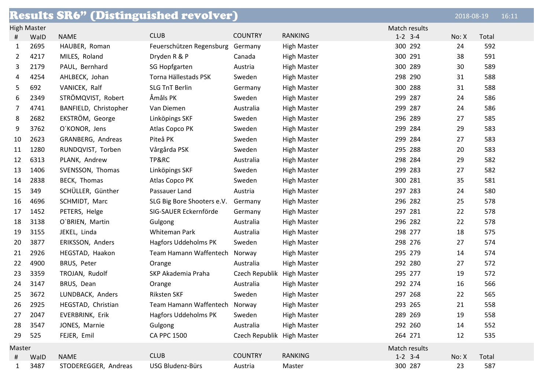|        |                    | <b>Results SR6" (Distinguished revolver)</b> |                             |                            |                    |               | 2018-08-19 |       | 16:11 |
|--------|--------------------|----------------------------------------------|-----------------------------|----------------------------|--------------------|---------------|------------|-------|-------|
|        | <b>High Master</b> |                                              |                             |                            |                    | Match results |            |       |       |
| #      | WalD               | <b>NAME</b>                                  | <b>CLUB</b>                 | <b>COUNTRY</b>             | <b>RANKING</b>     | $1-2$ 3-4     | No: X      | Total |       |
| 1      | 2695               | HAUBER, Roman                                | Feuerschützen Regensburg    | Germany                    | <b>High Master</b> | 300 292       | 24         | 592   |       |
| 2      | 4217               | MILES, Roland                                | Dryden R & P                | Canada                     | <b>High Master</b> | 300 291       | 38         | 591   |       |
| 3      | 2179               | PAUL, Bernhard                               | SG Hopfgarten               | Austria                    | <b>High Master</b> | 300 289       | 30         | 589   |       |
| 4      | 4254               | AHLBECK, Johan                               | Torna Hällestads PSK        | Sweden                     | <b>High Master</b> | 298 290       | 31         | 588   |       |
| 5      | 692                | VANICEK, Ralf                                | <b>SLG TnT Berlin</b>       | Germany                    | <b>High Master</b> | 300 288       | 31         | 588   |       |
| 6      | 2349               | STRÖMQVIST, Robert                           | Åmåls PK                    | Sweden                     | <b>High Master</b> | 299 287       | 24         | 586   |       |
| 7      | 4741               | BANFIELD, Christopher                        | Van Diemen                  | Australia                  | <b>High Master</b> | 299 287       | 24         | 586   |       |
| 8      | 2682               | EKSTRÖM, George                              | Linköpings SKF              | Sweden                     | <b>High Master</b> | 296 289       | 27         | 585   |       |
| 9      | 3762               | O'KONOR, Jens                                | Atlas Copco PK              | Sweden                     | <b>High Master</b> | 299 284       | 29         | 583   |       |
| 10     | 2623               | GRANBERG, Andreas                            | Piteå PK                    | Sweden                     | <b>High Master</b> | 299 284       | 27         | 583   |       |
| 11     | 1280               | RUNDQVIST, Torben                            | Vårgårda PSK                | Sweden                     | <b>High Master</b> | 295 288       | 20         | 583   |       |
| 12     | 6313               | PLANK, Andrew                                | TP&RC                       | Australia                  | <b>High Master</b> | 298 284       | 29         | 582   |       |
| 13     | 1406               | SVENSSON, Thomas                             | Linköpings SKF              | Sweden                     | <b>High Master</b> | 299 283       | 27         | 582   |       |
| 14     | 2838               | BECK, Thomas                                 | Atlas Copco PK              | Sweden                     | <b>High Master</b> | 300 281       | 35         | 581   |       |
| 15     | 349                | SCHÜLLER, Günther                            | Passauer Land               | Austria                    | <b>High Master</b> | 297 283       | 24         | 580   |       |
| 16     | 4696               | SCHMIDT, Marc                                | SLG Big Bore Shooters e.V.  | Germany                    | <b>High Master</b> | 296 282       | 25         | 578   |       |
| 17     | 1452               | PETERS, Helge                                | SIG-SAUER Eckernförde       | Germany                    | <b>High Master</b> | 297 281       | 22         | 578   |       |
| 18     | 3138               | O'BRIEN, Martin                              | Gulgong                     | Australia                  | <b>High Master</b> | 296 282       | 22         | 578   |       |
| 19     | 3155               | JEKEL, Linda                                 | Whiteman Park               | Australia                  | <b>High Master</b> | 298 277       | 18         | 575   |       |
| 20     | 3877               | ERIKSSON, Anders                             | <b>Hagfors Uddeholms PK</b> | Sweden                     | <b>High Master</b> | 298 276       | 27         | 574   |       |
| 21     | 2926               | HEGSTAD, Haakon                              | Team Hamann Waffentech      | Norway                     | <b>High Master</b> | 295 279       | 14         | 574   |       |
| 22     | 4900               | BRUS, Peter                                  | Orange                      | Australia                  | <b>High Master</b> | 292 280       | 27         | 572   |       |
| 23     | 3359               | TROJAN, Rudolf                               | SKP Akademia Praha          | Czech Republik             | <b>High Master</b> | 295 277       | 19         | 572   |       |
| 24     | 3147               | BRUS, Dean                                   | Orange                      | Australia                  | <b>High Master</b> | 292 274       | 16         | 566   |       |
| 25     | 3672               | LUNDBACK, Anders                             | <b>Riksten SKF</b>          | Sweden                     | <b>High Master</b> | 297 268       | 22         | 565   |       |
| 26     | 2925               | HEGSTAD, Christian                           | Team Hamann Waffentech      | Norway                     | <b>High Master</b> | 293 265       | 21         | 558   |       |
| 27     | 2047               | EVERBRINK, Erik                              | Hagfors Uddeholms PK        | Sweden                     | <b>High Master</b> | 289 269       | 19         | 558   |       |
| 28     | 3547               | JONES, Marnie                                | Gulgong                     | Australia                  | <b>High Master</b> | 292 260       | 14         | 552   |       |
| 29     | 525                | FEJER, Emil                                  | <b>CA PPC 1500</b>          | Czech Republik High Master |                    | 264 271       | 12         | 535   |       |
| Master |                    |                                              |                             |                            |                    | Match results |            |       |       |
| #      | WalD               | NAME                                         | <b>CLUB</b>                 | <b>COUNTRY</b>             | <b>RANKING</b>     | $1-2$ 3-4     | No: X      | Total |       |
| 1      | 3487               | STODEREGGER, Andreas                         | USG Bludenz-Bürs            | Austria                    | Master             | 300 287       | 23         | 587   |       |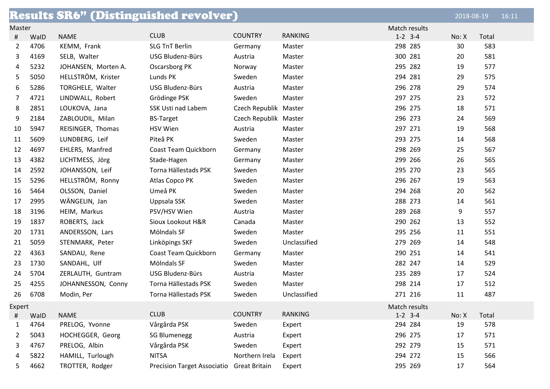| <b>Results SR6" (Distinguished revolver)</b> |      |                     |                                           |                       |                |               | 2018-08-19 |       | 16:11 |
|----------------------------------------------|------|---------------------|-------------------------------------------|-----------------------|----------------|---------------|------------|-------|-------|
| Master                                       |      |                     |                                           |                       |                | Match results |            |       |       |
| $^{\sharp}$                                  | WalD | <b>NAME</b>         | <b>CLUB</b>                               | <b>COUNTRY</b>        | <b>RANKING</b> | $1-2$ 3-4     | No: X      | Total |       |
| 2                                            | 4706 | KEMM, Frank         | <b>SLG TnT Berlin</b>                     | Germany               | Master         | 298 285       | 30         | 583   |       |
| 3                                            | 4169 | SELB, Walter        | USG Bludenz-Bürs                          | Austria               | Master         | 300 281       | 20         | 581   |       |
| 4                                            | 5232 | JOHANSEN, Morten A. | Oscarsborg PK                             | Norway                | Master         | 295 282       | 19         | 577   |       |
| 5                                            | 5050 | HELLSTRÖM, Krister  | Lunds PK                                  | Sweden                | Master         | 294 281       | 29         | 575   |       |
| 6                                            | 5286 | TORGHELE, Walter    | USG Bludenz-Bürs                          | Austria               | Master         | 296 278       | 29         | 574   |       |
| 7                                            | 4721 | LINDWALL, Robert    | Grödinge PSK                              | Sweden                | Master         | 297 275       | 23         | 572   |       |
| 8                                            | 2851 | LOUKOVA, Jana       | SSK Usti nad Labem                        | Czech Republik Master |                | 296 275       | 18         | 571   |       |
| 9                                            | 2184 | ZABLOUDIL, Milan    | <b>BS-Target</b>                          | Czech Republik Master |                | 296 273       | 24         | 569   |       |
| 10                                           | 5947 | REISINGER, Thomas   | <b>HSV Wien</b>                           | Austria               | Master         | 297 271       | 19         | 568   |       |
| 11                                           | 5609 | LUNDBERG, Leif      | Piteå PK                                  | Sweden                | Master         | 293 275       | 14         | 568   |       |
| 12                                           | 4697 | EHLERS, Manfred     | Coast Team Quickborn                      | Germany               | Master         | 298 269       | 25         | 567   |       |
| 13                                           | 4382 | LICHTMESS, Jörg     | Stade-Hagen                               | Germany               | Master         | 299 266       | 26         | 565   |       |
| 14                                           | 2592 | JOHANSSON, Leif     | Torna Hällestads PSK                      | Sweden                | Master         | 295 270       | 23         | 565   |       |
| 15                                           | 5296 | HELLSTRÖM, Ronny    | Atlas Copco PK                            | Sweden                | Master         | 296 267       | 19         | 563   |       |
| 16                                           | 5464 | OLSSON, Daniel      | Umeå PK                                   | Sweden                | Master         | 294 268       | 20         | 562   |       |
| 17                                           | 2995 | WÄNGELIN, Jan       | Uppsala SSK                               | Sweden                | Master         | 288 273       | 14         | 561   |       |
| 18                                           | 3196 | HEIM, Markus        | PSV/HSV Wien                              | Austria               | Master         | 289 268       | 9          | 557   |       |
| 19                                           | 1837 | ROBERTS, Jack       | Sioux Lookout H&R                         | Canada                | Master         | 290 262       | 13         | 552   |       |
| 20                                           | 1731 | ANDERSSON, Lars     | Mölndals SF                               | Sweden                | Master         | 295 256       | 11         | 551   |       |
| 21                                           | 5059 | STENMARK, Peter     | Linköpings SKF                            | Sweden                | Unclassified   | 279 269       | 14         | 548   |       |
| 22                                           | 4363 | SANDAU, Rene        | Coast Team Quickborn                      | Germany               | Master         | 290 251       | 14         | 541   |       |
| 23                                           | 1730 | SANDAHL, Ulf        | Mölndals SF                               | Sweden                | Master         | 282 247       | 14         | 529   |       |
| 24                                           | 5704 | ZERLAUTH, Guntram   | USG Bludenz-Bürs                          | Austria               | Master         | 235 289       | 17         | 524   |       |
| 25                                           | 4255 | JOHANNESSON, Conny  | Torna Hällestads PSK                      | Sweden                | Master         | 298 214       | 17         | 512   |       |
| 26                                           | 6708 | Modin, Per          | Torna Hällestads PSK                      | Sweden                | Unclassified   | 271 216       | 11         | 487   |       |
| Expert                                       |      |                     |                                           |                       |                | Match results |            |       |       |
| #                                            | WalD | <b>NAME</b>         | <b>CLUB</b>                               | <b>COUNTRY</b>        | <b>RANKING</b> | $1-2$ 3-4     | No: X      | Total |       |
| 1                                            | 4764 | PRELOG, Yvonne      | Vårgårda PSK                              | Sweden                | Expert         | 294 284       | 19         | 578   |       |
| 2                                            | 5043 | HOCHEGGER, Georg    | <b>SG Blumenegg</b>                       | Austria               | Expert         | 296 275       | 17         | 571   |       |
| 3                                            | 4767 | PRELOG, Albin       | Vårgårda PSK                              | Sweden                | Expert         | 292 279       | 15         | 571   |       |
| 4                                            | 5822 | HAMILL, Turlough    | <b>NITSA</b>                              | Northern Irela        | Expert         | 294 272       | 15         | 566   |       |
| 5                                            | 4662 | TROTTER, Rodger     | Precision Target Associatio Great Britain |                       | Expert         | 295 269       | 17         | 564   |       |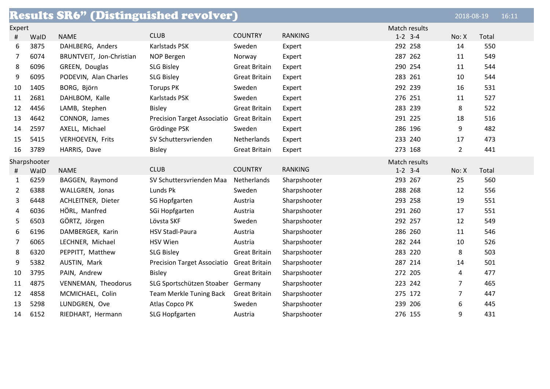|        |              | <b>Results SR6" (Distinguished revolver)</b> |                                    |                      |                |               | 2018-08-19     |       | 16:11 |
|--------|--------------|----------------------------------------------|------------------------------------|----------------------|----------------|---------------|----------------|-------|-------|
| Expert |              |                                              |                                    |                      |                | Match results |                |       |       |
| #      | WalD         | <b>NAME</b>                                  | <b>CLUB</b>                        | <b>COUNTRY</b>       | <b>RANKING</b> | $1-2$ 3-4     | No: X          | Total |       |
| 6      | 3875         | DAHLBERG, Anders                             | Karlstads PSK                      | Sweden               | Expert         | 292 258       | 14             | 550   |       |
| 7      | 6074         | BRUNTVEIT, Jon-Christian                     | <b>NOP Bergen</b>                  | Norway               | Expert         | 287 262       | 11             | 549   |       |
| 8      | 6096         | GREEN, Douglas                               | <b>SLG Bisley</b>                  | <b>Great Britain</b> | Expert         | 290 254       | 11             | 544   |       |
| 9      | 6095         | PODEVIN, Alan Charles                        | <b>SLG Bisley</b>                  | <b>Great Britain</b> | Expert         | 283 261       | 10             | 544   |       |
| 10     | 1405         | BORG, Björn                                  | <b>Torups PK</b>                   | Sweden               | Expert         | 292 239       | 16             | 531   |       |
| 11     | 2681         | DAHLBOM, Kalle                               | Karlstads PSK                      | Sweden               | Expert         | 276 251       | 11             | 527   |       |
| 12     | 4456         | LAMB, Stephen                                | <b>Bisley</b>                      | <b>Great Britain</b> | Expert         | 283 239       | 8              | 522   |       |
| 13     | 4642         | CONNOR, James                                | <b>Precision Target Associatio</b> | <b>Great Britain</b> | Expert         | 291 225       | 18             | 516   |       |
| 14     | 2597         | AXELL, Michael                               | Grödinge PSK                       | Sweden               | Expert         | 286 196       | 9              | 482   |       |
| 15     | 5415         | <b>VERHOEVEN, Frits</b>                      | SV Schuttersvrienden               | Netherlands          | Expert         | 233 240       | 17             | 473   |       |
| 16     | 3789         | HARRIS, Dave                                 | <b>Bisley</b>                      | <b>Great Britain</b> | Expert         | 273 168       | $\overline{2}$ | 441   |       |
|        | Sharpshooter |                                              |                                    |                      |                | Match results |                |       |       |
| #      | WalD         | <b>NAME</b>                                  | <b>CLUB</b>                        | <b>COUNTRY</b>       | <b>RANKING</b> | $1 - 2$ 3-4   | No: X          | Total |       |
| 1      | 6259         | BAGGEN, Raymond                              | SV Schuttersvrienden Maa           | Netherlands          | Sharpshooter   | 293 267       | 25             | 560   |       |
| 2      | 6388         | WALLGREN, Jonas                              | Lunds Pk                           | Sweden               | Sharpshooter   | 288 268       | 12             | 556   |       |
| 3      | 6448         | ACHLEITNER, Dieter                           | SG Hopfgarten                      | Austria              | Sharpshooter   | 293 258       | 19             | 551   |       |
| 4      | 6036         | HÖRL, Manfred                                | SGi Hopfgarten                     | Austria              | Sharpshooter   | 291 260       | 17             | 551   |       |
| 5      | 6503         | GÖRTZ, Jörgen                                | Lövsta SKF                         | Sweden               | Sharpshooter   | 292 257       | 12             | 549   |       |
| 6      | 6196         | DAMBERGER, Karin                             | <b>HSV Stadl-Paura</b>             | Austria              | Sharpshooter   | 286 260       | 11             | 546   |       |
| 7      | 6065         | LECHNER, Michael                             | <b>HSV Wien</b>                    | Austria              | Sharpshooter   | 282 244       | 10             | 526   |       |
| 8      | 6320         | PEPPITT, Matthew                             | <b>SLG Bisley</b>                  | <b>Great Britain</b> | Sharpshooter   | 283 220       | 8              | 503   |       |
| 9      | 5382         | AUSTIN, Mark                                 | <b>Precision Target Associatio</b> | <b>Great Britain</b> | Sharpshooter   | 287 214       | 14             | 501   |       |
| 10     | 3795         | PAIN, Andrew                                 | <b>Bisley</b>                      | <b>Great Britain</b> | Sharpshooter   | 272 205       | 4              | 477   |       |
| 11     | 4875         | VENNEMAN, Theodorus                          | SLG Sportschützen Stoaber          | Germany              | Sharpshooter   | 223 242       | $\overline{7}$ | 465   |       |
| 12     | 4858         | MCMICHAEL, Colin                             | Team Merkle Tuning Back            | <b>Great Britain</b> | Sharpshooter   | 275 172       | $\overline{7}$ | 447   |       |
| 13     | 5298         | LUNDGREN, Ove                                | Atlas Copco PK                     | Sweden               | Sharpshooter   | 239 206       | 6              | 445   |       |
| 14     | 6152         | RIEDHART, Hermann                            | SLG Hopfgarten                     | Austria              | Sharpshooter   | 276 155       | 9              | 431   |       |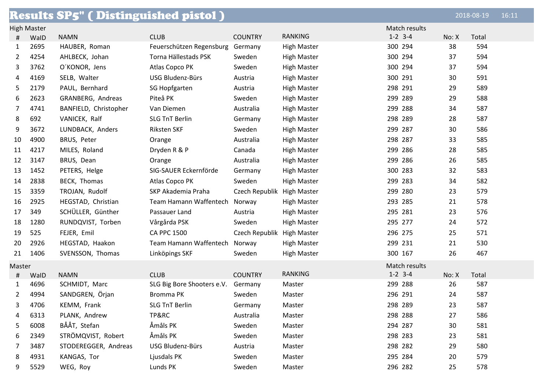|        |                    | <b>Results SP5" (Distinguished pistol)</b> |                            |                            |                    |               |       | 2018-08-19 | 16:11 |
|--------|--------------------|--------------------------------------------|----------------------------|----------------------------|--------------------|---------------|-------|------------|-------|
|        | <b>High Master</b> |                                            |                            |                            |                    | Match results |       |            |       |
| #      | WalD               | <b>NAMN</b>                                | <b>CLUB</b>                | <b>COUNTRY</b>             | <b>RANKING</b>     | $1-2$ 3-4     | No: X | Total      |       |
| 1      | 2695               | HAUBER, Roman                              | Feuerschützen Regensburg   | Germany                    | <b>High Master</b> | 300 294       | 38    | 594        |       |
| 2      | 4254               | AHLBECK, Johan                             | Torna Hällestads PSK       | Sweden                     | <b>High Master</b> | 300 294       | 37    | 594        |       |
| 3      | 3762               | O'KONOR, Jens                              | Atlas Copco PK             | Sweden                     | <b>High Master</b> | 300 294       | 37    | 594        |       |
| 4      | 4169               | SELB, Walter                               | USG Bludenz-Bürs           | Austria                    | <b>High Master</b> | 300 291       | 30    | 591        |       |
| 5      | 2179               | PAUL, Bernhard                             | SG Hopfgarten              | Austria                    | <b>High Master</b> | 298 291       | 29    | 589        |       |
| 6      | 2623               | GRANBERG, Andreas                          | Piteå PK                   | Sweden                     | <b>High Master</b> | 299 289       | 29    | 588        |       |
| 7      | 4741               | BANFIELD, Christopher                      | Van Diemen                 | Australia                  | <b>High Master</b> | 299 288       | 34    | 587        |       |
| 8      | 692                | VANICEK, Ralf                              | <b>SLG TnT Berlin</b>      | Germany                    | <b>High Master</b> | 298 289       | 28    | 587        |       |
| 9      | 3672               | LUNDBACK, Anders                           | Riksten SKF                | Sweden                     | <b>High Master</b> | 299 287       | 30    | 586        |       |
| 10     | 4900               | BRUS, Peter                                | Orange                     | Australia                  | <b>High Master</b> | 298 287       | 33    | 585        |       |
| 11     | 4217               | MILES, Roland                              | Dryden R & P               | Canada                     | <b>High Master</b> | 299 286       | 28    | 585        |       |
| 12     | 3147               | BRUS, Dean                                 | Orange                     | Australia                  | <b>High Master</b> | 299 286       | 26    | 585        |       |
| 13     | 1452               | PETERS, Helge                              | SIG-SAUER Eckernförde      | Germany                    | <b>High Master</b> | 300 283       | 32    | 583        |       |
| 14     | 2838               | BECK, Thomas                               | Atlas Copco PK             | Sweden                     | <b>High Master</b> | 299 283       | 34    | 582        |       |
| 15     | 3359               | TROJAN, Rudolf                             | SKP Akademia Praha         | Czech Republik High Master |                    | 299 280       | 23    | 579        |       |
| 16     | 2925               | HEGSTAD, Christian                         | Team Hamann Waffentech     | Norway                     | <b>High Master</b> | 293 285       | 21    | 578        |       |
| 17     | 349                | SCHÜLLER, Günther                          | Passauer Land              | Austria                    | <b>High Master</b> | 295 281       | 23    | 576        |       |
| 18     | 1280               | RUNDQVIST, Torben                          | Vårgårda PSK               | Sweden                     | <b>High Master</b> | 295 277       | 24    | 572        |       |
| 19     | 525                | FEJER, Emil                                | <b>CA PPC 1500</b>         | Czech Republik High Master |                    | 296 275       | 25    | 571        |       |
| 20     | 2926               | HEGSTAD, Haakon                            | Team Hamann Waffentech     | Norway                     | <b>High Master</b> | 299 231       | 21    | 530        |       |
| 21     | 1406               | SVENSSON, Thomas                           | Linköpings SKF             | Sweden                     | <b>High Master</b> | 300 167       | 26    | 467        |       |
| Master |                    |                                            |                            |                            |                    | Match results |       |            |       |
| #      | WalD               | <b>NAMN</b>                                | <b>CLUB</b>                | <b>COUNTRY</b>             | <b>RANKING</b>     | $1 - 2$ 3-4   | No: X | Total      |       |
| 1      | 4696               | SCHMIDT, Marc                              | SLG Big Bore Shooters e.V. | Germany                    | Master             | 299 288       | 26    | 587        |       |
| 2      | 4994               | SANDGREN, Örjan                            | <b>Bromma PK</b>           | Sweden                     | Master             | 296 291       | 24    | 587        |       |
| 3      | 4706               | KEMM, Frank                                | <b>SLG TnT Berlin</b>      | Germany                    | Master             | 298 289       | 23    | 587        |       |
| 4      | 6313               | PLANK, Andrew                              | TP&RC                      | Australia                  | Master             | 298 288       | 27    | 586        |       |
| 5      | 6008               | BÅÅT, Stefan                               | Åmåls PK                   | Sweden                     | Master             | 294 287       | 30    | 581        |       |
| 6      | 2349               | STRÖMQVIST, Robert                         | Åmåls PK                   | Sweden                     | Master             | 298 283       | 23    | 581        |       |
| 7      | 3487               | STODEREGGER, Andreas                       | USG Bludenz-Bürs           | Austria                    | Master             | 298 282       | 29    | 580        |       |
| 8      | 4931               | KANGAS, Tor                                | Ljusdals PK                | Sweden                     | Master             | 295 284       | 20    | 579        |       |
| 9      | 5529               | WEG, Roy                                   | Lunds PK                   | Sweden                     | Master             | 296 282       | 25    | 578        |       |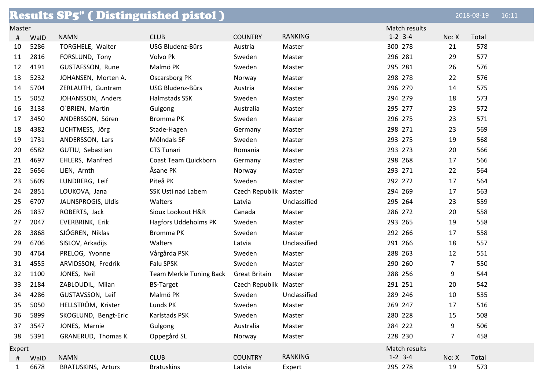|        |      | <b>Results SP5" ( Distinguished pistol )</b> |                         |                       |                |               |                | 2018-08-19 | 16:11 |
|--------|------|----------------------------------------------|-------------------------|-----------------------|----------------|---------------|----------------|------------|-------|
| Master |      |                                              |                         |                       |                | Match results |                |            |       |
| #      | WalD | <b>NAMN</b>                                  | <b>CLUB</b>             | <b>COUNTRY</b>        | <b>RANKING</b> | $1-2$ 3-4     | No: X          | Total      |       |
| 10     | 5286 | TORGHELE, Walter                             | USG Bludenz-Bürs        | Austria               | Master         | 300 278       | 21             | 578        |       |
| 11     | 2816 | FORSLUND, Tony                               | Volvo Pk                | Sweden                | Master         | 296 281       | 29             | 577        |       |
| 12     | 4191 | GUSTAFSSON, Rune                             | Malmö PK                | Sweden                | Master         | 295 281       | 26             | 576        |       |
| 13     | 5232 | JOHANSEN, Morten A.                          | Oscarsborg PK           | Norway                | Master         | 298 278       | 22             | 576        |       |
| 14     | 5704 | ZERLAUTH, Guntram                            | USG Bludenz-Bürs        | Austria               | Master         | 296 279       | 14             | 575        |       |
| 15     | 5052 | JOHANSSON, Anders                            | Halmstads SSK           | Sweden                | Master         | 294 279       | 18             | 573        |       |
| 16     | 3138 | O'BRIEN, Martin                              | Gulgong                 | Australia             | Master         | 295 277       | 23             | 572        |       |
| 17     | 3450 | ANDERSSON, Sören                             | Bromma PK               | Sweden                | Master         | 296 275       | 23             | 571        |       |
| 18     | 4382 | LICHTMESS, Jörg                              | Stade-Hagen             | Germany               | Master         | 298 271       | 23             | 569        |       |
| 19     | 1731 | ANDERSSON, Lars                              | Mölndals SF             | Sweden                | Master         | 293 275       | 19             | 568        |       |
| 20     | 6582 | GUTIU, Sebastian                             | <b>CTS Tunari</b>       | Romania               | Master         | 293 273       | 20             | 566        |       |
| 21     | 4697 | EHLERS, Manfred                              | Coast Team Quickborn    | Germany               | Master         | 298 268       | 17             | 566        |       |
| 22     | 5656 | LIEN, Arnth                                  | Åsane PK                | Norway                | Master         | 293 271       | 22             | 564        |       |
| 23     | 5609 | LUNDBERG, Leif                               | Piteå PK                | Sweden                | Master         | 292 272       | 17             | 564        |       |
| 24     | 2851 | LOUKOVA, Jana                                | SSK Usti nad Labem      | Czech Republik        | Master         | 294 269       | 17             | 563        |       |
| 25     | 6707 | JAUNSPROGIS, Uldis                           | Walters                 | Latvia                | Unclassified   | 295 264       | 23             | 559        |       |
| 26     | 1837 | ROBERTS, Jack                                | Sioux Lookout H&R       | Canada                | Master         | 286 272       | 20             | 558        |       |
| 27     | 2047 | EVERBRINK, Erik                              | Hagfors Uddeholms PK    | Sweden                | Master         | 293 265       | 19             | 558        |       |
| 28     | 3868 | SJÖGREN, Niklas                              | Bromma PK               | Sweden                | Master         | 292 266       | 17             | 558        |       |
| 29     | 6706 | SISLOV, Arkadijs                             | Walters                 | Latvia                | Unclassified   | 291 266       | 18             | 557        |       |
| 30     | 4764 | PRELOG, Yvonne                               | Vårgårda PSK            | Sweden                | Master         | 288 263       | 12             | 551        |       |
| 31     | 4555 | ARVIDSSON, Fredrik                           | Falu SPSK               | Sweden                | Master         | 290 260       | $\overline{7}$ | 550        |       |
| 32     | 1100 | JONES, Neil                                  | Team Merkle Tuning Back | <b>Great Britain</b>  | Master         | 288 256       | 9              | 544        |       |
| 33     | 2184 | ZABLOUDIL, Milan                             | <b>BS-Target</b>        | Czech Republik Master |                | 291 251       | 20             | 542        |       |
| 34     | 4286 | GUSTAVSSON, Leif                             | Malmö PK                | Sweden                | Unclassified   | 289 246       | 10             | 535        |       |
| 35     | 5050 | HELLSTRÖM, Krister                           | Lunds PK                | Sweden                | Master         | 269 247       | 17             | 516        |       |
| 36     | 5899 | SKOGLUND, Bengt-Eric                         | Karlstads PSK           | Sweden                | Master         | 280 228       | 15             | 508        |       |
| 37     | 3547 | JONES, Marnie                                | Gulgong                 | Australia             | Master         | 284 222       | 9              | 506        |       |
| 38     | 5391 | GRANERUD, Thomas K.                          | Oppegård SL             | Norway                | Master         | 228 230       | $\overline{7}$ | 458        |       |
| Expert |      |                                              |                         |                       |                | Match results |                |            |       |
| #      | WalD | <b>NAMN</b>                                  | <b>CLUB</b>             | <b>COUNTRY</b>        | RANKING        | $1-2$ 3-4     | No: X          | Total      |       |
| 1      | 6678 | <b>BRATUSKINS, Arturs</b>                    | <b>Bratuskins</b>       | Latvia                | Expert         | 295 278       | 19             | 573        |       |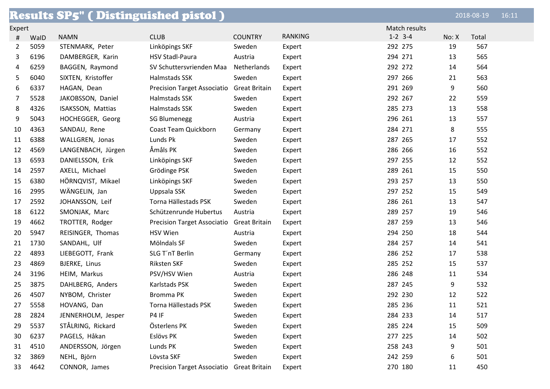|        |      | <b>Results SP5" (Distinguished pistol )</b> |                                           |                      |                |               |       | 2018-08-19 | 16:11 |
|--------|------|---------------------------------------------|-------------------------------------------|----------------------|----------------|---------------|-------|------------|-------|
| Expert |      |                                             |                                           |                      |                | Match results |       |            |       |
| #      | WalD | <b>NAMN</b>                                 | <b>CLUB</b>                               | <b>COUNTRY</b>       | <b>RANKING</b> | $1-2$ 3-4     | No: X | Total      |       |
| 2      | 5059 | STENMARK, Peter                             | Linköpings SKF                            | Sweden               | Expert         | 292 275       | 19    | 567        |       |
| 3      | 6196 | DAMBERGER, Karin                            | <b>HSV Stadl-Paura</b>                    | Austria              | Expert         | 294 271       | 13    | 565        |       |
| 4      | 6259 | BAGGEN, Raymond                             | SV Schuttersvrienden Maa                  | Netherlands          | Expert         | 292 272       | 14    | 564        |       |
| 5      | 6040 | SIXTEN, Kristoffer                          | Halmstads SSK                             | Sweden               | Expert         | 297 266       | 21    | 563        |       |
| 6      | 6337 | HAGAN, Dean                                 | <b>Precision Target Associatio</b>        | <b>Great Britain</b> | Expert         | 291 269       | 9     | 560        |       |
| 7      | 5528 | JAKOBSSON, Daniel                           | Halmstads SSK                             | Sweden               | Expert         | 292 267       | 22    | 559        |       |
| 8      | 4326 | ISAKSSON, Mattias                           | Halmstads SSK                             | Sweden               | Expert         | 285 273       | 13    | 558        |       |
| 9      | 5043 | HOCHEGGER, Georg                            | <b>SG Blumenegg</b>                       | Austria              | Expert         | 296 261       | 13    | 557        |       |
| 10     | 4363 | SANDAU, Rene                                | Coast Team Quickborn                      | Germany              | Expert         | 284 271       | 8     | 555        |       |
| 11     | 6388 | WALLGREN, Jonas                             | Lunds Pk                                  | Sweden               | Expert         | 287 265       | 17    | 552        |       |
| 12     | 4569 | LANGENBACH, Jürgen                          | Åmåls PK                                  | Sweden               | Expert         | 286 266       | 16    | 552        |       |
| 13     | 6593 | DANIELSSON, Erik                            | Linköpings SKF                            | Sweden               | Expert         | 297 255       | 12    | 552        |       |
| 14     | 2597 | AXELL, Michael                              | Grödinge PSK                              | Sweden               | Expert         | 289 261       | 15    | 550        |       |
| 15     | 6380 | HÖRNQVIST, Mikael                           | Linköpings SKF                            | Sweden               | Expert         | 293 257       | 13    | 550        |       |
| 16     | 2995 | WÄNGELIN, Jan                               | Uppsala SSK                               | Sweden               | Expert         | 297 252       | 15    | 549        |       |
| 17     | 2592 | JOHANSSON, Leif                             | Torna Hällestads PSK                      | Sweden               | Expert         | 286 261       | 13    | 547        |       |
| 18     | 6122 | SMONJAK, Marc                               | Schützenrunde Hubertus                    | Austria              | Expert         | 289 257       | 19    | 546        |       |
| 19     | 4662 | TROTTER, Rodger                             | <b>Precision Target Associatio</b>        | <b>Great Britain</b> | Expert         | 287 259       | 13    | 546        |       |
| 20     | 5947 | REISINGER, Thomas                           | <b>HSV Wien</b>                           | Austria              | Expert         | 294 250       | 18    | 544        |       |
| 21     | 1730 | SANDAHL, Ulf                                | Mölndals SF                               | Sweden               | Expert         | 284 257       | 14    | 541        |       |
| 22     | 4893 | LIEBEGOTT, Frank                            | SLG T'nT Berlin                           | Germany              | Expert         | 286 252       | 17    | 538        |       |
| 23     | 4869 | BJERKE, Linus                               | Riksten SKF                               | Sweden               | Expert         | 285 252       | 15    | 537        |       |
| 24     | 3196 | HEIM, Markus                                | PSV/HSV Wien                              | Austria              | Expert         | 286 248       | 11    | 534        |       |
| 25     | 3875 | DAHLBERG, Anders                            | Karlstads PSK                             | Sweden               | Expert         | 287 245       | 9     | 532        |       |
| 26     | 4507 | NYBOM, Christer                             | Bromma PK                                 | Sweden               | Expert         | 292 230       | 12    | 522        |       |
| 27     | 5558 | HOVANG, Dan                                 | Torna Hällestads PSK                      | Sweden               | Expert         | 285 236       | 11    | 521        |       |
| 28     | 2824 | JENNERHOLM, Jesper                          | P4 IF                                     | Sweden               | Expert         | 284 233       | 14    | 517        |       |
| 29     | 5537 | STÅLRING, Rickard                           | Österlens PK                              | Sweden               | Expert         | 285 224       | 15    | 509        |       |
| 30     | 6237 | PAGELS, Håkan                               | Eslövs PK                                 | Sweden               | Expert         | 277 225       | 14    | 502        |       |
| 31     | 4510 | ANDERSSON, Jörgen                           | Lunds PK                                  | Sweden               | Expert         | 258 243       | 9     | 501        |       |
| 32     | 3869 | NEHL, Björn                                 | Lövsta SKF                                | Sweden               | Expert         | 242 259       | 6     | 501        |       |
| 33     | 4642 | CONNOR, James                               | Precision Target Associatio Great Britain |                      | Expert         | 270 180       | 11    | 450        |       |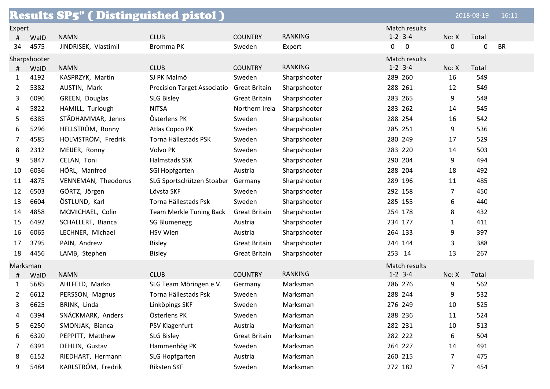|                |              | <b>Results SP5" (Distinguished pistol)</b> |                                    |                      |                |                       |              | 2018-08-19 | 16:11     |
|----------------|--------------|--------------------------------------------|------------------------------------|----------------------|----------------|-----------------------|--------------|------------|-----------|
| Expert         |              |                                            |                                    |                      |                | Match results         |              |            |           |
| #              | WalD         | <b>NAMN</b>                                | <b>CLUB</b>                        | <b>COUNTRY</b>       | <b>RANKING</b> | $1 - 2$ 3-4           | No: X        | Total      |           |
| 34             | 4575         | JINDRISEK, Vlastimil                       | Bromma PK                          | Sweden               | Expert         | $\boldsymbol{0}$<br>0 | 0            | 0          | <b>BR</b> |
|                | Sharpshooter |                                            |                                    |                      |                | Match results         |              |            |           |
| #              | WalD         | <b>NAMN</b>                                | <b>CLUB</b>                        | <b>COUNTRY</b>       | <b>RANKING</b> | $1-2$ 3-4             | No: X        | Total      |           |
| 1              | 4192         | KASPRZYK, Martin                           | SJ PK Malmö                        | Sweden               | Sharpshooter   | 289 260               | 16           | 549        |           |
| 2              | 5382         | AUSTIN, Mark                               | <b>Precision Target Associatio</b> | <b>Great Britain</b> | Sharpshooter   | 288 261               | 12           | 549        |           |
| 3              | 6096         | GREEN, Douglas                             | <b>SLG Bisley</b>                  | <b>Great Britain</b> | Sharpshooter   | 283 265               | 9            | 548        |           |
| 4              | 5822         | HAMILL, Turlough                           | <b>NITSA</b>                       | Northern Irela       | Sharpshooter   | 283 262               | 14           | 545        |           |
| 5              | 6385         | STÄDHAMMAR, Jenns                          | Österlens PK                       | Sweden               | Sharpshooter   | 288 254               | 16           | 542        |           |
| 6              | 5296         | HELLSTRÖM, Ronny                           | Atlas Copco PK                     | Sweden               | Sharpshooter   | 285 251               | 9            | 536        |           |
| $\overline{7}$ | 4585         | HOLMSTRÖM, Fredrik                         | Torna Hällestads PSK               | Sweden               | Sharpshooter   | 280 249               | 17           | 529        |           |
| 8              | 2312         | MEIJER, Ronny                              | Volvo PK                           | Sweden               | Sharpshooter   | 283 220               | 14           | 503        |           |
| 9              | 5847         | CELAN, Toni                                | Halmstads SSK                      | Sweden               | Sharpshooter   | 290 204               | 9            | 494        |           |
| 10             | 6036         | HÖRL, Manfred                              | SGi Hopfgarten                     | Austria              | Sharpshooter   | 288 204               | 18           | 492        |           |
| 11             | 4875         | VENNEMAN, Theodorus                        | SLG Sportschützen Stoaber          | Germany              | Sharpshooter   | 289 196               | 11           | 485        |           |
| 12             | 6503         | GÖRTZ, Jörgen                              | Lövsta SKF                         | Sweden               | Sharpshooter   | 292 158               | 7            | 450        |           |
| 13             | 6604         | ÖSTLUND, Karl                              | Torna Hällestads Psk               | Sweden               | Sharpshooter   | 285 155               | 6            | 440        |           |
| 14             | 4858         | MCMICHAEL, Colin                           | <b>Team Merkle Tuning Back</b>     | <b>Great Britain</b> | Sharpshooter   | 254 178               | 8            | 432        |           |
| 15             | 6492         | SCHALLERT, Bianca                          | <b>SG Blumenegg</b>                | Austria              | Sharpshooter   | 234 177               | $\mathbf{1}$ | 411        |           |
| 16             | 6065         | LECHNER, Michael                           | <b>HSV Wien</b>                    | Austria              | Sharpshooter   | 264 133               | 9            | 397        |           |
| 17             | 3795         | PAIN, Andrew                               | <b>Bisley</b>                      | <b>Great Britain</b> | Sharpshooter   | 244 144               | 3            | 388        |           |
| 18             | 4456         | LAMB, Stephen                              | <b>Bisley</b>                      | <b>Great Britain</b> | Sharpshooter   | 253 14                | 13           | 267        |           |
| Marksman       |              |                                            |                                    |                      |                | Match results         |              |            |           |
| #              | WalD         | <b>NAMN</b>                                | <b>CLUB</b>                        | <b>COUNTRY</b>       | <b>RANKING</b> | $1-2$ 3-4             | No: X        | Total      |           |
| 1              | 5685         | AHLFELD, Marko                             | SLG Team Möringen e.V.             | Germany              | Marksman       | 286 276               | 9            | 562        |           |
| 2              | 6612         | PERSSON, Magnus                            | Torna Hällestads Psk               | Sweden               | Marksman       | 288 244               | 9            | 532        |           |
| 3              | 6625         | BRINK, Linda                               | Linköpings SKF                     | Sweden               | Marksman       | 276 249               | 10           | 525        |           |
| 4              | 6394         | SNÄCKMARK, Anders                          | Österlens PK                       | Sweden               | Marksman       | 288 236               | 11           | 524        |           |
| 5              | 6250         | SMONJAK, Bianca                            | PSV Klagenfurt                     | Austria              | Marksman       | 282 231               | 10           | 513        |           |
| 6              | 6320         | PEPPITT, Matthew                           | <b>SLG Bisley</b>                  | <b>Great Britain</b> | Marksman       | 282 222               | 6            | 504        |           |
| 7              | 6391         | DEHLIN, Gustav                             | Hammenhög PK                       | Sweden               | Marksman       | 264 227               | 14           | 491        |           |
| 8              | 6152         | RIEDHART, Hermann                          | SLG Hopfgarten                     | Austria              | Marksman       | 260 215               | 7            | 475        |           |
| 9              | 5484         | KARLSTRÖM, Fredrik                         | Riksten SKF                        | Sweden               | Marksman       | 272 182               | 7            | 454        |           |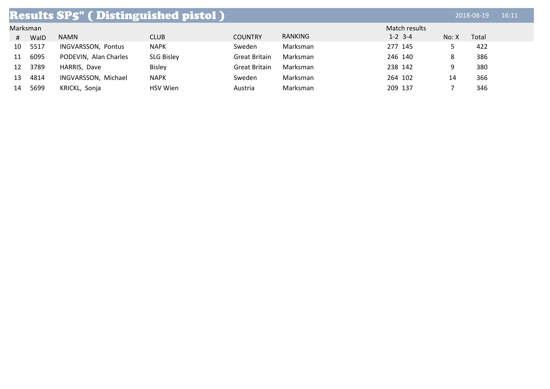|    | <b>Results SP5" (Distinguished pistol)</b> |                       |                   |                      |          |               |       |       |  |
|----|--------------------------------------------|-----------------------|-------------------|----------------------|----------|---------------|-------|-------|--|
|    | Marksman                                   |                       |                   |                      |          | Match results |       |       |  |
| #  | WalD                                       | <b>NAMN</b>           | <b>CLUB</b>       | <b>COUNTRY</b>       | RANKING  | $1 - 2$ 3-4   | No: X | Total |  |
| 10 | 5517                                       | INGVARSSON, Pontus    | <b>NAPK</b>       | Sweden               | Marksman | 277 145       |       | 422   |  |
| 11 | 6095                                       | PODEVIN, Alan Charles | <b>SLG Bisley</b> | <b>Great Britain</b> | Marksman | 246 140       | 8     | 386   |  |
| 12 | 3789                                       | HARRIS, Dave          | <b>Bisley</b>     | <b>Great Britain</b> | Marksman | 238 142       | 9     | 380   |  |
| 13 | 4814                                       | INGVARSSON, Michael   | <b>NAPK</b>       | Sweden               | Marksman | 264 102       | 14    | 366   |  |
| 14 | 5699                                       | KRICKL, Sonja         | <b>HSV</b> Wien   | Austria              | Marksman | 209 137       |       | 346   |  |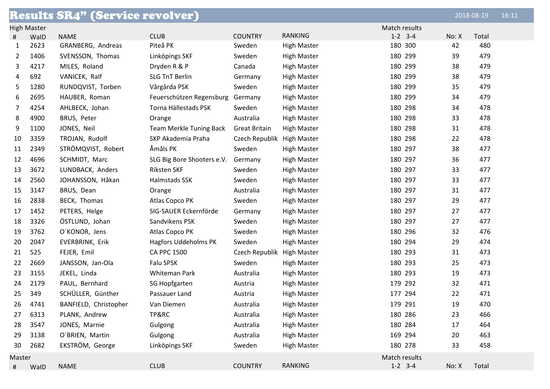|        |                    | <b>Results SR4" (Service revolver)</b> |                                |                            |                    |               |       | 2018-08-19 | 16:11 |
|--------|--------------------|----------------------------------------|--------------------------------|----------------------------|--------------------|---------------|-------|------------|-------|
|        | <b>High Master</b> |                                        |                                |                            |                    | Match results |       |            |       |
| #      | WalD               | <b>NAME</b>                            | <b>CLUB</b>                    | <b>COUNTRY</b>             | <b>RANKING</b>     | $1-2$ 3-4     | No: X | Total      |       |
| 1      | 2623               | GRANBERG, Andreas                      | Piteå PK                       | Sweden                     | <b>High Master</b> | 180 300       | 42    | 480        |       |
| 2      | 1406               | SVENSSON, Thomas                       | Linköpings SKF                 | Sweden                     | <b>High Master</b> | 180 299       | 39    | 479        |       |
| 3      | 4217               | MILES, Roland                          | Dryden R & P                   | Canada                     | <b>High Master</b> | 180 299       | 38    | 479        |       |
| 4      | 692                | VANICEK, Ralf                          | <b>SLG TnT Berlin</b>          | Germany                    | <b>High Master</b> | 180 299       | 38    | 479        |       |
| 5      | 1280               | RUNDQVIST, Torben                      | Vårgårda PSK                   | Sweden                     | <b>High Master</b> | 180 299       | 35    | 479        |       |
| 6      | 2695               | HAUBER, Roman                          | Feuerschützen Regensburg       | Germany                    | <b>High Master</b> | 180 299       | 34    | 479        |       |
| 7      | 4254               | AHLBECK, Johan                         | Torna Hällestads PSK           | Sweden                     | <b>High Master</b> | 180 298       | 34    | 478        |       |
| 8      | 4900               | BRUS, Peter                            | Orange                         | Australia                  | <b>High Master</b> | 180 298       | 33    | 478        |       |
| 9      | 1100               | JONES, Neil                            | <b>Team Merkle Tuning Back</b> | <b>Great Britain</b>       | <b>High Master</b> | 180 298       | 31    | 478        |       |
| 10     | 3359               | TROJAN, Rudolf                         | SKP Akademia Praha             | Czech Republik High Master |                    | 180 298       | 22    | 478        |       |
| 11     | 2349               | STRÖMQVIST, Robert                     | Åmåls PK                       | Sweden                     | <b>High Master</b> | 180 297       | 38    | 477        |       |
| 12     | 4696               | SCHMIDT, Marc                          | SLG Big Bore Shooters e.V.     | Germany                    | <b>High Master</b> | 180 297       | 36    | 477        |       |
| 13     | 3672               | LUNDBACK, Anders                       | <b>Riksten SKF</b>             | Sweden                     | <b>High Master</b> | 180 297       | 33    | 477        |       |
| 14     | 2560               | JOHANSSON, Håkan                       | Halmstads SSK                  | Sweden                     | <b>High Master</b> | 180 297       | 33    | 477        |       |
| 15     | 3147               | BRUS, Dean                             | Orange                         | Australia                  | <b>High Master</b> | 180 297       | 31    | 477        |       |
| 16     | 2838               | BECK, Thomas                           | Atlas Copco PK                 | Sweden                     | <b>High Master</b> | 180 297       | 29    | 477        |       |
| 17     | 1452               | PETERS, Helge                          | SIG-SAUER Eckernförde          | Germany                    | <b>High Master</b> | 180 297       | 27    | 477        |       |
| 18     | 3326               | ÖSTLUND, Johan                         | Sandvikens PSK                 | Sweden                     | <b>High Master</b> | 180 297       | 27    | 477        |       |
| 19     | 3762               | O'KONOR, Jens                          | Atlas Copco PK                 | Sweden                     | <b>High Master</b> | 180 296       | 32    | 476        |       |
| 20     | 2047               | EVERBRINK, Erik                        | Hagfors Uddeholms PK           | Sweden                     | <b>High Master</b> | 180 294       | 29    | 474        |       |
| 21     | 525                | FEJER, Emil                            | <b>CA PPC 1500</b>             | Czech Republik High Master |                    | 180 293       | 31    | 473        |       |
| 22     | 2669               | JANSSON, Jan-Ola                       | <b>Falu SPSK</b>               | Sweden                     | <b>High Master</b> | 180 293       | 25    | 473        |       |
| 23     | 3155               | JEKEL, Linda                           | Whiteman Park                  | Australia                  | <b>High Master</b> | 180 293       | 19    | 473        |       |
| 24     | 2179               | PAUL, Bernhard                         | SG Hopfgarten                  | Austria                    | <b>High Master</b> | 179 292       | 32    | 471        |       |
| 25     | 349                | SCHÜLLER, Günther                      | Passauer Land                  | Austria                    | <b>High Master</b> | 177 294       | 22    | 471        |       |
| 26     | 4741               | BANFIELD, Christopher                  | Van Diemen                     | Australia                  | <b>High Master</b> | 179 291       | 19    | 470        |       |
| 27     | 6313               | PLANK, Andrew                          | TP&RC                          | Australia                  | <b>High Master</b> | 180 286       | 23    | 466        |       |
| 28     | 3547               | JONES, Marnie                          | Gulgong                        | Australia                  | <b>High Master</b> | 180 284       | 17    | 464        |       |
| 29     | 3138               | O'BRIEN, Martin                        | Gulgong                        | Australia                  | <b>High Master</b> | 169 294       | 20    | 463        |       |
| 30     | 2682               | EKSTRÖM, George                        | Linköpings SKF                 | Sweden                     | <b>High Master</b> | 180 278       | 33    | 458        |       |
| Master |                    |                                        |                                |                            |                    | Match results |       |            |       |
| #      | WalD               | <b>NAME</b>                            | <b>CLUB</b>                    | <b>COUNTRY</b>             | <b>RANKING</b>     | $1-2$ 3-4     | No: X | Total      |       |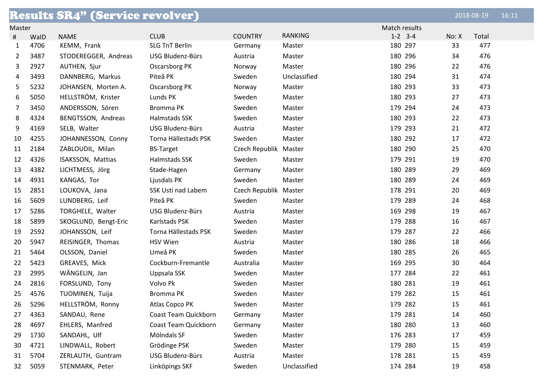|                         |      | <b>Results SR4" (Service revolver)</b> |                       |                       |                |           |       | 2018-08-19 | 16:11 |
|-------------------------|------|----------------------------------------|-----------------------|-----------------------|----------------|-----------|-------|------------|-------|
| Match results<br>Master |      |                                        |                       |                       |                |           |       |            |       |
| #                       | WalD | <b>NAME</b>                            | <b>CLUB</b>           | <b>COUNTRY</b>        | <b>RANKING</b> | $1-2$ 3-4 | No: X | Total      |       |
| 1                       | 4706 | KEMM, Frank                            | <b>SLG TnT Berlin</b> | Germany               | Master         | 180 297   | 33    | 477        |       |
| 2                       | 3487 | STODEREGGER, Andreas                   | USG Bludenz-Bürs      | Austria               | Master         | 180 296   | 34    | 476        |       |
| 3                       | 2927 | AUTHEN, Sjur                           | Oscarsborg PK         | Norway                | Master         | 180 296   | 22    | 476        |       |
| 4                       | 3493 | DANNBERG, Markus                       | Piteå PK              | Sweden                | Unclassified   | 180 294   | 31    | 474        |       |
| 5                       | 5232 | JOHANSEN, Morten A.                    | Oscarsborg PK         | Norway                | Master         | 180 293   | 33    | 473        |       |
| 6                       | 5050 | HELLSTRÖM, Krister                     | Lunds PK              | Sweden                | Master         | 180 293   | 27    | 473        |       |
| 7                       | 3450 | ANDERSSON, Sören                       | Bromma PK             | Sweden                | Master         | 179 294   | 24    | 473        |       |
| 8                       | 4324 | BENGTSSON, Andreas                     | Halmstads SSK         | Sweden                | Master         | 180 293   | 22    | 473        |       |
| 9                       | 4169 | SELB, Walter                           | USG Bludenz-Bürs      | Austria               | Master         | 179 293   | 21    | 472        |       |
| 10                      | 4255 | JOHANNESSON, Conny                     | Torna Hällestads PSK  | Sweden                | Master         | 180 292   | 17    | 472        |       |
| 11                      | 2184 | ZABLOUDIL, Milan                       | <b>BS-Target</b>      | Czech Republik Master |                | 180 290   | 25    | 470        |       |
| 12                      | 4326 | ISAKSSON, Mattias                      | Halmstads SSK         | Sweden                | Master         | 179 291   | 19    | 470        |       |
| 13                      | 4382 | LICHTMESS, Jörg                        | Stade-Hagen           | Germany               | Master         | 180 289   | 29    | 469        |       |
| 14                      | 4931 | KANGAS, Tor                            | Ljusdals PK           | Sweden                | Master         | 180 289   | 24    | 469        |       |
| 15                      | 2851 | LOUKOVA, Jana                          | SSK Usti nad Labem    | Czech Republik Master |                | 178 291   | 20    | 469        |       |
| 16                      | 5609 | LUNDBERG, Leif                         | Piteå PK              | Sweden                | Master         | 179 289   | 24    | 468        |       |
| 17                      | 5286 | TORGHELE, Walter                       | USG Bludenz-Bürs      | Austria               | Master         | 169 298   | 19    | 467        |       |
| 18                      | 5899 | SKOGLUND, Bengt-Eric                   | Karlstads PSK         | Sweden                | Master         | 179 288   | 16    | 467        |       |
| 19                      | 2592 | JOHANSSON, Leif                        | Torna Hällestads PSK  | Sweden                | Master         | 179 287   | 22    | 466        |       |
| 20                      | 5947 | REISINGER, Thomas                      | <b>HSV Wien</b>       | Austria               | Master         | 180 286   | 18    | 466        |       |
| 21                      | 5464 | OLSSON, Daniel                         | Umeå PK               | Sweden                | Master         | 180 285   | 26    | 465        |       |
| 22                      | 5423 | GREAVES, Mick                          | Cockburn-Fremantle    | Australia             | Master         | 169 295   | 30    | 464        |       |
| 23                      | 2995 | WÄNGELIN, Jan                          | Uppsala SSK           | Sweden                | Master         | 177 284   | 22    | 461        |       |
| 24                      | 2816 | FORSLUND, Tony                         | Volvo Pk              | Sweden                | Master         | 180 281   | 19    | 461        |       |
| 25                      | 4576 | TUOMINEN, Tuija                        | Bromma PK             | Sweden                | Master         | 179 282   | 15    | 461        |       |
| 26                      | 5296 | HELLSTRÖM, Ronny                       | Atlas Copco PK        | Sweden                | Master         | 179 282   | 15    | 461        |       |
| 27                      | 4363 | SANDAU, Rene                           | Coast Team Quickborn  | Germany               | Master         | 179 281   | 14    | 460        |       |
| 28                      | 4697 | EHLERS, Manfred                        | Coast Team Quickborn  | Germany               | Master         | 180 280   | 13    | 460        |       |
| 29                      | 1730 | SANDAHL, Ulf                           | Mölndals SF           | Sweden                | Master         | 176 283   | 17    | 459        |       |
| 30                      | 4721 | LINDWALL, Robert                       | Grödinge PSK          | Sweden                | Master         | 179 280   | 15    | 459        |       |
| 31                      | 5704 | ZERLAUTH, Guntram                      | USG Bludenz-Bürs      | Austria               | Master         | 178 281   | 15    | 459        |       |
| 32                      | 5059 | STENMARK, Peter                        | Linköpings SKF        | Sweden                | Unclassified   | 174 284   | 19    | 458        |       |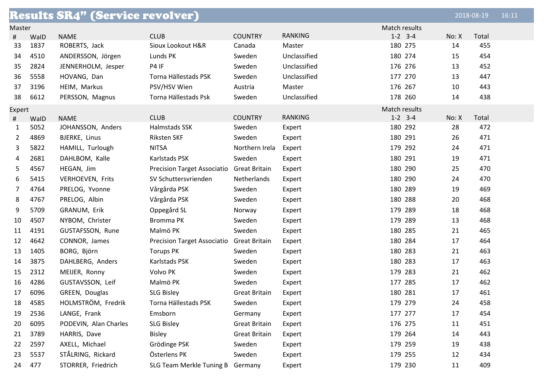|                         |      | <b>Results SR4" (Service revolver)</b> |                                    |                      |                |               |       | 2018-08-19 | 16:11 |
|-------------------------|------|----------------------------------------|------------------------------------|----------------------|----------------|---------------|-------|------------|-------|
| Match results<br>Master |      |                                        |                                    |                      |                |               |       |            |       |
| #                       | WalD | <b>NAME</b>                            | <b>CLUB</b>                        | <b>COUNTRY</b>       | <b>RANKING</b> | $1-2$ 3-4     | No: X | Total      |       |
| 33                      | 1837 | ROBERTS, Jack                          | Sioux Lookout H&R                  | Canada               | Master         | 180 275       | 14    | 455        |       |
| 34                      | 4510 | ANDERSSON, Jörgen                      | Lunds PK                           | Sweden               | Unclassified   | 180 274       | 15    | 454        |       |
| 35                      | 2824 | JENNERHOLM, Jesper                     | P4 IF                              | Sweden               | Unclassified   | 176 276       | 13    | 452        |       |
| 36                      | 5558 | HOVANG, Dan                            | Torna Hällestads PSK               | Sweden               | Unclassified   | 177 270       | 13    | 447        |       |
| 37                      | 3196 | HEIM, Markus                           | PSV/HSV Wien                       | Austria              | Master         | 176 267       | 10    | 443        |       |
| 38                      | 6612 | PERSSON, Magnus                        | Torna Hällestads Psk               | Sweden               | Unclassified   | 178 260       | 14    | 438        |       |
| Expert                  |      |                                        |                                    |                      |                | Match results |       |            |       |
| #                       | WalD | <b>NAME</b>                            | <b>CLUB</b>                        | <b>COUNTRY</b>       | <b>RANKING</b> | $1-2$ 3-4     | No: X | Total      |       |
| $\mathbf{1}$            | 5052 | JOHANSSON, Anders                      | Halmstads SSK                      | Sweden               | Expert         | 180 292       | 28    | 472        |       |
| 2                       | 4869 | BJERKE, Linus                          | Riksten SKF                        | Sweden               | Expert         | 180 291       | 26    | 471        |       |
| 3                       | 5822 | HAMILL, Turlough                       | <b>NITSA</b>                       | Northern Irela       | Expert         | 179 292       | 24    | 471        |       |
| 4                       | 2681 | DAHLBOM, Kalle                         | Karlstads PSK                      | Sweden               | Expert         | 180 291       | 19    | 471        |       |
| 5                       | 4567 | HEGAN, Jim                             | <b>Precision Target Associatio</b> | <b>Great Britain</b> | Expert         | 180 290       | 25    | 470        |       |
| 6                       | 5415 | VERHOEVEN, Frits                       | SV Schuttersvrienden               | Netherlands          | Expert         | 180 290       | 24    | 470        |       |
| 7                       | 4764 | PRELOG, Yvonne                         | Vårgårda PSK                       | Sweden               | Expert         | 180 289       | 19    | 469        |       |
| 8                       | 4767 | PRELOG, Albin                          | Vårgårda PSK                       | Sweden               | Expert         | 180 288       | 20    | 468        |       |
| 9                       | 5709 | GRANUM, Erik                           | Oppegård SL                        | Norway               | Expert         | 179 289       | 18    | 468        |       |
| 10                      | 4507 | NYBOM, Christer                        | Bromma PK                          | Sweden               | Expert         | 179 289       | 13    | 468        |       |
| 11                      | 4191 | GUSTAFSSON, Rune                       | Malmö PK                           | Sweden               | Expert         | 180 285       | 21    | 465        |       |
| 12                      | 4642 | CONNOR, James                          | <b>Precision Target Associatio</b> | <b>Great Britain</b> | Expert         | 180 284       | 17    | 464        |       |
| 13                      | 1405 | BORG, Björn                            | <b>Torups PK</b>                   | Sweden               | Expert         | 180 283       | 21    | 463        |       |
| 14                      | 3875 | DAHLBERG, Anders                       | Karlstads PSK                      | Sweden               | Expert         | 180 283       | 17    | 463        |       |
| 15                      | 2312 | MEIJER, Ronny                          | Volvo PK                           | Sweden               | Expert         | 179 283       | 21    | 462        |       |
| 16                      | 4286 | GUSTAVSSON, Leif                       | Malmö PK                           | Sweden               | Expert         | 177 285       | 17    | 462        |       |
| 17                      | 6096 | GREEN, Douglas                         | <b>SLG Bisley</b>                  | <b>Great Britain</b> | Expert         | 180 281       | 17    | 461        |       |
| 18                      | 4585 | HOLMSTRÖM, Fredrik                     | Torna Hällestads PSK               | Sweden               | Expert         | 179 279       | 24    | 458        |       |
| 19                      | 2536 | LANGE, Frank                           | Emsborn                            | Germany              | Expert         | 177 277       | 17    | 454        |       |
| 20                      | 6095 | PODEVIN, Alan Charles                  | <b>SLG Bisley</b>                  | <b>Great Britain</b> | Expert         | 176 275       | 11    | 451        |       |
| 21                      | 3789 | HARRIS, Dave                           | <b>Bisley</b>                      | <b>Great Britain</b> | Expert         | 179 264       | 14    | 443        |       |
| 22                      | 2597 | AXELL, Michael                         | Grödinge PSK                       | Sweden               | Expert         | 179 259       | 19    | 438        |       |
| 23                      | 5537 | STÅLRING, Rickard                      | Österlens PK                       | Sweden               | Expert         | 179 255       | 12    | 434        |       |
| 24                      | 477  | STORRER, Friedrich                     | SLG Team Merkle Tuning B Germany   |                      | Expert         | 179 230       | 11    | 409        |       |